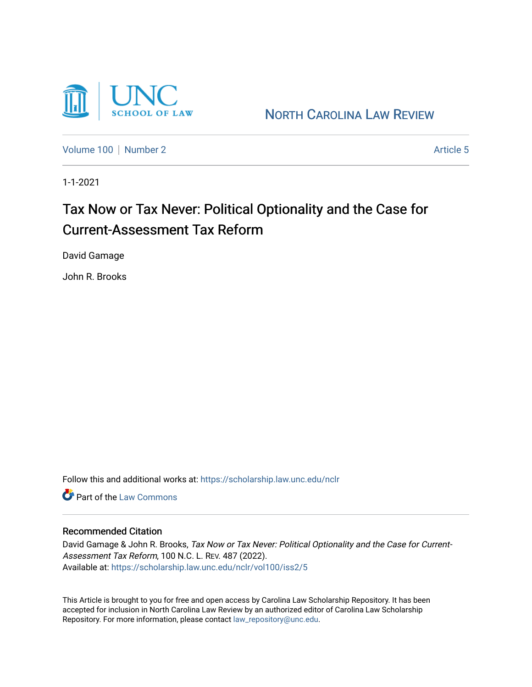

NORTH C[AROLINA](https://scholarship.law.unc.edu/nclr) LAW REVIEW

[Volume 100](https://scholarship.law.unc.edu/nclr/vol100) | [Number 2](https://scholarship.law.unc.edu/nclr/vol100/iss2) Article 5

1-1-2021

# Tax Now or Tax Never: Political Optionality and the Case for Current-Assessment Tax Reform

David Gamage

John R. Brooks

Follow this and additional works at: [https://scholarship.law.unc.edu/nclr](https://scholarship.law.unc.edu/nclr?utm_source=scholarship.law.unc.edu%2Fnclr%2Fvol100%2Fiss2%2F5&utm_medium=PDF&utm_campaign=PDFCoverPages) 

**C** Part of the [Law Commons](http://network.bepress.com/hgg/discipline/578?utm_source=scholarship.law.unc.edu%2Fnclr%2Fvol100%2Fiss2%2F5&utm_medium=PDF&utm_campaign=PDFCoverPages)

### Recommended Citation

David Gamage & John R. Brooks, Tax Now or Tax Never: Political Optionality and the Case for Current-Assessment Tax Reform, 100 N.C. L. REV. 487 (2022). Available at: [https://scholarship.law.unc.edu/nclr/vol100/iss2/5](https://scholarship.law.unc.edu/nclr/vol100/iss2/5?utm_source=scholarship.law.unc.edu%2Fnclr%2Fvol100%2Fiss2%2F5&utm_medium=PDF&utm_campaign=PDFCoverPages)

This Article is brought to you for free and open access by Carolina Law Scholarship Repository. It has been accepted for inclusion in North Carolina Law Review by an authorized editor of Carolina Law Scholarship Repository. For more information, please contact [law\\_repository@unc.edu](mailto:law_repository@unc.edu).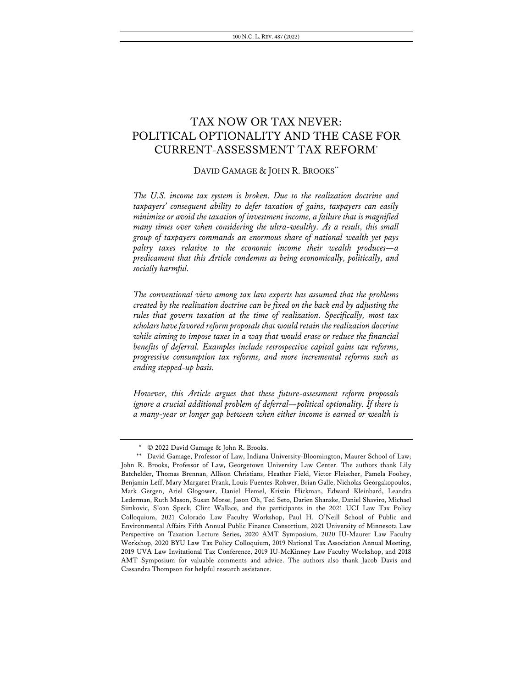# TAX NOW OR TAX NEVER: POLITICAL OPTIONALITY AND THE CASE FOR CURRENT-ASSESSMENT TAX REFORM\*

### DAVID GAMAGE & JOHN R. BROOKS\*\*

*The U.S. income tax system is broken. Due to the realization doctrine and taxpayers' consequent ability to defer taxation of gains, taxpayers can easily minimize or avoid the taxation of investment income, a failure that is magnified many times over when considering the ultra-wealthy. As a result, this small group of taxpayers commands an enormous share of national wealth yet pays paltry taxes relative to the economic income their wealth produces—a predicament that this Article condemns as being economically, politically, and socially harmful.*

*The conventional view among tax law experts has assumed that the problems created by the realization doctrine can be fixed on the back end by adjusting the rules that govern taxation at the time of realization. Specifically, most tax scholars have favored reform proposals that would retain the realization doctrine*  while aiming to impose taxes in a way that would erase or reduce the financial *benefits of deferral. Examples include retrospective capital gains tax reforms, progressive consumption tax reforms, and more incremental reforms such as ending stepped-up basis.*

*However, this Article argues that these future-assessment reform proposals*  ignore a crucial additional problem of deferral—political optionality. If there is *a many-year or longer gap between when either income is earned or wealth is* 

<sup>\*</sup> © 2022 David Gamage & John R. Brooks.

<sup>\*\*</sup> David Gamage, Professor of Law, Indiana University-Bloomington, Maurer School of Law; John R. Brooks, Professor of Law, Georgetown University Law Center. The authors thank Lily Batchelder, Thomas Brennan, Allison Christians, Heather Field, Victor Fleischer, Pamela Foohey, Benjamin Leff, Mary Margaret Frank, Louis Fuentes-Rohwer, Brian Galle, Nicholas Georgakopoulos, Mark Gergen, Ariel Glogower, Daniel Hemel, Kristin Hickman, Edward Kleinbard, Leandra Lederman, Ruth Mason, Susan Morse, Jason Oh, Ted Seto, Darien Shanske, Daniel Shaviro, Michael Simkovic, Sloan Speck, Clint Wallace, and the participants in the 2021 UCI Law Tax Policy Colloquium, 2021 Colorado Law Faculty Workshop, Paul H. O'Neill School of Public and Environmental Affairs Fifth Annual Public Finance Consortium, 2021 University of Minnesota Law Perspective on Taxation Lecture Series, 2020 AMT Symposium, 2020 IU-Maurer Law Faculty Workshop, 2020 BYU Law Tax Policy Colloquium, 2019 National Tax Association Annual Meeting, 2019 UVA Law Invitational Tax Conference, 2019 IU-McKinney Law Faculty Workshop, and 2018 AMT Symposium for valuable comments and advice. The authors also thank Jacob Davis and Cassandra Thompson for helpful research assistance.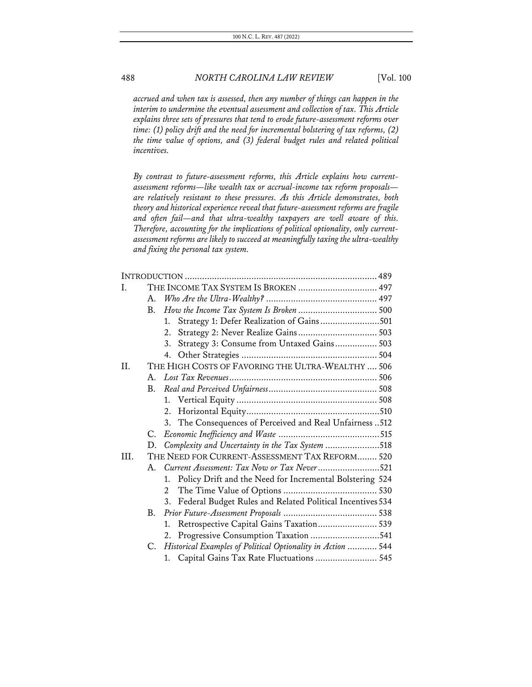*accrued and when tax is assessed, then any number of things can happen in the interim to undermine the eventual assessment and collection of tax. This Article explains three sets of pressures that tend to erode future-assessment reforms over time: (1) policy drift and the need for incremental bolstering of tax reforms, (2) the time value of options, and (3) federal budget rules and related political incentives.*

*By contrast to future-assessment reforms, this Article explains how currentassessment reforms—like wealth tax or accrual-income tax reform proposals are relatively resistant to these pressures. As this Article demonstrates, both theory and historical experience reveal that future-assessment reforms are fragile and often fail—and that ultra-wealthy taxpayers are well aware of this. Therefore, accounting for the implications of political optionality, only currentassessment reforms are likely to succeed at meaningfully taxing the ultra-wealthy and fixing the personal tax system.*

| T.   |           | THE INCOME TAX SYSTEM IS BROKEN  497                           |  |
|------|-----------|----------------------------------------------------------------|--|
|      | A.        |                                                                |  |
|      | B.        |                                                                |  |
|      |           | Strategy 1: Defer Realization of Gains501<br>1.                |  |
|      |           | 2.                                                             |  |
|      |           | Strategy 3: Consume from Untaxed Gains 503<br>3.               |  |
|      |           |                                                                |  |
| II.  |           | THE HIGH COSTS OF FAVORING THE ULTRA-WEALTHY  506              |  |
|      |           |                                                                |  |
|      | <b>B.</b> |                                                                |  |
|      |           |                                                                |  |
|      |           |                                                                |  |
|      |           | 3. The Consequences of Perceived and Real Unfairness 512       |  |
|      | C.        |                                                                |  |
|      |           | D. Complexity and Uncertainty in the Tax System 518            |  |
| III. |           | THE NEED FOR CURRENT-ASSESSMENT TAX REFORM 520                 |  |
|      |           | A. Current Assessment: Tax Now or Tax Never521                 |  |
|      |           | 1. Policy Drift and the Need for Incremental Bolstering 524    |  |
|      |           | 2                                                              |  |
|      |           | 3. Federal Budget Rules and Related Political Incentives 534   |  |
|      | <b>B.</b> |                                                                |  |
|      |           | Retrospective Capital Gains Taxation 539<br>1.                 |  |
|      |           | 2. Progressive Consumption Taxation 541                        |  |
|      |           | C. Historical Examples of Political Optionality in Action  544 |  |
|      |           | 1. Capital Gains Tax Rate Fluctuations  545                    |  |
|      |           |                                                                |  |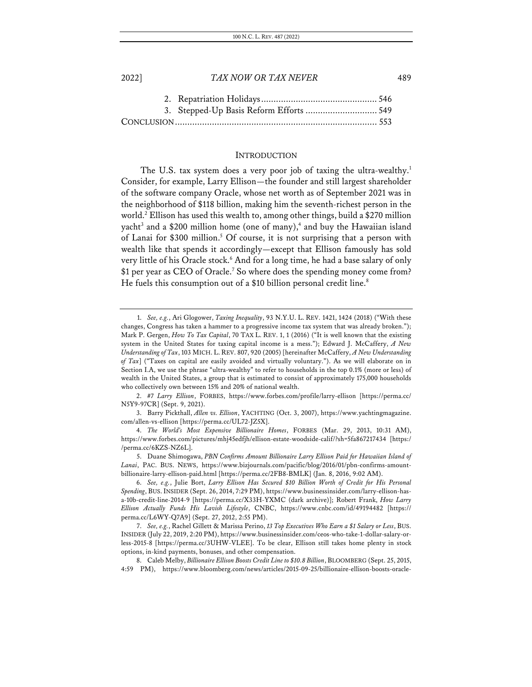| 2022] | TAX NOW OR TAX NEVER                    | 189 |
|-------|-----------------------------------------|-----|
|       |                                         |     |
|       | 3. Stepped-Up Basis Reform Efforts  549 |     |
|       |                                         |     |
|       |                                         |     |

### **INTRODUCTION**

The U.S. tax system does a very poor job of taxing the ultra-wealthy.<sup>1</sup> Consider, for example, Larry Ellison—the founder and still largest shareholder of the software company Oracle, whose net worth as of September 2021 was in the neighborhood of \$118 billion, making him the seventh-richest person in the world.<sup>2</sup> Ellison has used this wealth to, among other things, build a \$270 million yacht<sup>3</sup> and a \$200 million home (one of many),<sup>4</sup> and buy the Hawaiian island of Lanai for \$300 million.<sup>5</sup> Of course, it is not surprising that a person with wealth like that spends it accordingly—except that Ellison famously has sold very little of his Oracle stock.<sup>6</sup> And for a long time, he had a base salary of only \$1 per year as CEO of Oracle.<sup>7</sup> So where does the spending money come from? He fuels this consumption out of a \$10 billion personal credit line.<sup>8</sup>

2. *#7 Larry Ellison*, FORBES, https://www.forbes.com/profile/larry-ellison [https://perma.cc/ N5Y9-97CR] (Sept. 9, 2021).

3. Barry Pickthall, *Allen vs. Ellison*, YACHTING (Oct. 3, 2007), https://www.yachtingmagazine. com/allen-vs-ellison [https://perma.cc/UL72-JZ5X].

<sup>1.</sup> *See, e.g.*, Ari Glogower, *Taxing Inequality*, 93 N.Y.U. L. REV. 1421, 1424 (2018) ("With these changes, Congress has taken a hammer to a progressive income tax system that was already broken."); Mark P. Gergen, *How To Tax Capital*, 70 TAX L. REV. 1, 1 (2016) ("It is well known that the existing system in the United States for taxing capital income is a mess."); Edward J. McCaffery, *A New Understanding of Tax*, 103 MICH. L. REV. 807, 920 (2005) [hereinafter McCaffery, *A New Understanding of Tax*] ("Taxes on capital are easily avoided and virtually voluntary."). As we will elaborate on in Section I.A, we use the phrase "ultra-wealthy" to refer to households in the top 0.1% (more or less) of wealth in the United States, a group that is estimated to consist of approximately 175,000 households who collectively own between 15% and 20% of national wealth.

<sup>4.</sup> *The World's Most Expensive Billionaire Homes*, FORBES (Mar. 29, 2013, 10:31 AM), https://www.forbes.com/pictures/mhj45edfjh/ellison-estate-woodside-calif/?sh=5fa867217434 [https:/ /perma.cc/6KZS-NZ6L].

<sup>5.</sup> Duane Shimogawa, *PBN Confirms Amount Billionaire Larry Ellison Paid for Hawaiian Island of Lanai*, PAC. BUS. NEWS, https://www.bizjournals.com/pacific/blog/2016/01/pbn-confirms-amountbillionaire-larry-ellison-paid.html [https://perma.cc/2FB8-BMLK] (Jan. 8, 2016, 9:02 AM).

<sup>6.</sup> *See, e.g.*, Julie Bort, *Larry Ellison Has Secured \$10 Billion Worth of Credit for His Personal Spending*, BUS.INSIDER (Sept. 26, 2014, 7:29 PM), https://www.businessinsider.com/larry-ellison-hasa-10b-credit-line-2014-9 [https://perma.cc/X33H-YXMC (dark archive)]; Robert Frank, *How Larry Ellison Actually Funds His Lavish Lifestyle*, CNBC, https://www.cnbc.com/id/49194482 [https:// perma.cc/L6WY-Q7A9] (Sept. 27, 2012, 2:55 PM).

<sup>7.</sup> *See, e.g.*, Rachel Gillett & Marissa Perino, *13 Top Executives Who Earn a \$1 Salary or Less*, BUS. INSIDER (July 22, 2019, 2:20 PM), https://www.businessinsider.com/ceos-who-take-1-dollar-salary-orless-2015-8 [https://perma.cc/3UHW-VLEE]. To be clear, Ellison still takes home plenty in stock options, in-kind payments, bonuses, and other compensation.

<sup>8.</sup> Caleb Melby, *Billionaire Ellison Boosts Credit Line to \$10.8 Billion*, BLOOMBERG (Sept. 25, 2015, 4:59 PM), https://www.bloomberg.com/news/articles/2015-09-25/billionaire-ellison-boosts-oracle-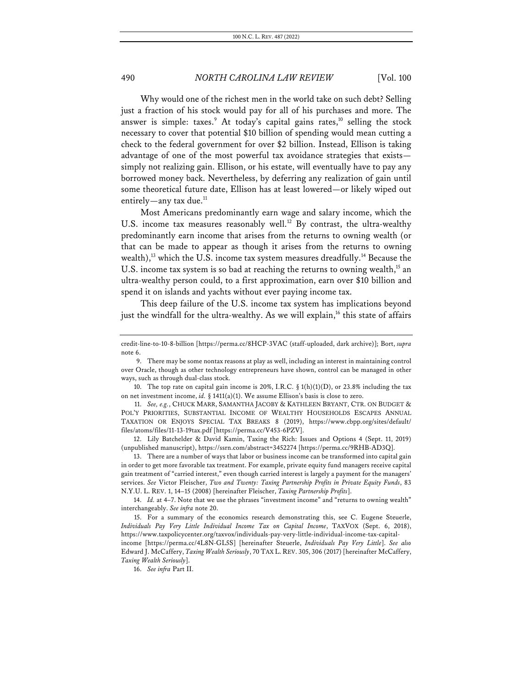Why would one of the richest men in the world take on such debt? Selling just a fraction of his stock would pay for all of his purchases and more. The answer is simple: taxes.<sup>9</sup> At today's capital gains rates,<sup>10</sup> selling the stock necessary to cover that potential \$10 billion of spending would mean cutting a check to the federal government for over \$2 billion. Instead, Ellison is taking advantage of one of the most powerful tax avoidance strategies that exists simply not realizing gain. Ellison, or his estate, will eventually have to pay any borrowed money back. Nevertheless, by deferring any realization of gain until some theoretical future date, Ellison has at least lowered—or likely wiped out entirely—any tax due. $<sup>11</sup>$ </sup>

Most Americans predominantly earn wage and salary income, which the U.S. income tax measures reasonably well.<sup>12</sup> By contrast, the ultra-wealthy predominantly earn income that arises from the returns to owning wealth (or that can be made to appear as though it arises from the returns to owning wealth),<sup>13</sup> which the U.S. income tax system measures dreadfully.<sup>14</sup> Because the U.S. income tax system is so bad at reaching the returns to owning wealth, $^{15}$  an ultra-wealthy person could, to a first approximation, earn over \$10 billion and spend it on islands and yachts without ever paying income tax.

This deep failure of the U.S. income tax system has implications beyond just the windfall for the ultra-wealthy. As we will explain,<sup>16</sup> this state of affairs

12. Lily Batchelder & David Kamin, Taxing the Rich: Issues and Options 4 (Sept. 11, 2019) (unpublished manuscript), https://ssrn.com/abstract=3452274 [https://perma.cc/9RHB-AD3Q].

13. There are a number of ways that labor or business income can be transformed into capital gain in order to get more favorable tax treatment. For example, private equity fund managers receive capital gain treatment of "carried interest," even though carried interest is largely a payment for the managers' services. *See* Victor Fleischer, *Two and Twenty: Taxing Partnership Profits in Private Equity Funds*, 83 N.Y.U. L. REV. 1, 14–15 (2008) [hereinafter Fleischer, *Taxing Partnership Profits*].

14. *Id.* at 4–7. Note that we use the phrases "investment income" and "returns to owning wealth" interchangeably. *See infra* note 20.

15. For a summary of the economics research demonstrating this, see C. Eugene Steuerle, *Individuals Pay Very Little Individual Income Tax on Capital Income*, TAXVOX (Sept. 6, 2018), https://www.taxpolicycenter.org/taxvox/individuals-pay-very-little-individual-income-tax-capital-

income [https://perma.cc/4L8N-GL5S] [hereinafter Steuerle, *Individuals Pay Very Little*]. *See also* Edward J. McCaffery, *Taxing Wealth Seriously*, 70 TAX L. REV. 305, 306 (2017) [hereinafter McCaffery, *Taxing Wealth Seriously*].

16. *See infra* Part II.

credit-line-to-10-8-billion [https://perma.cc/8HCP-3VAC (staff-uploaded, dark archive)]; Bort, *supra* note 6.

<sup>9.</sup> There may be some nontax reasons at play as well, including an interest in maintaining control over Oracle, though as other technology entrepreneurs have shown, control can be managed in other ways, such as through dual-class stock.

<sup>10.</sup> The top rate on capital gain income is 20%, I.R.C.  $\S 1(h)(1)(D)$ , or 23.8% including the tax on net investment income, *id.* § 1411(a)(1). We assume Ellison's basis is close to zero.

<sup>11.</sup> *See, e.g.*, CHUCK MARR, SAMANTHA JACOBY & KATHLEEN BRYANT, CTR. ON BUDGET & POL'Y PRIORITIES, SUBSTANTIAL INCOME OF WEALTHY HOUSEHOLDS ESCAPES ANNUAL TAXATION OR ENJOYS SPECIAL TAX BREAKS 8 (2019), https://www.cbpp.org/sites/default/ files/atoms/files/11-13-19tax.pdf [https://perma.cc/V453-6PZV].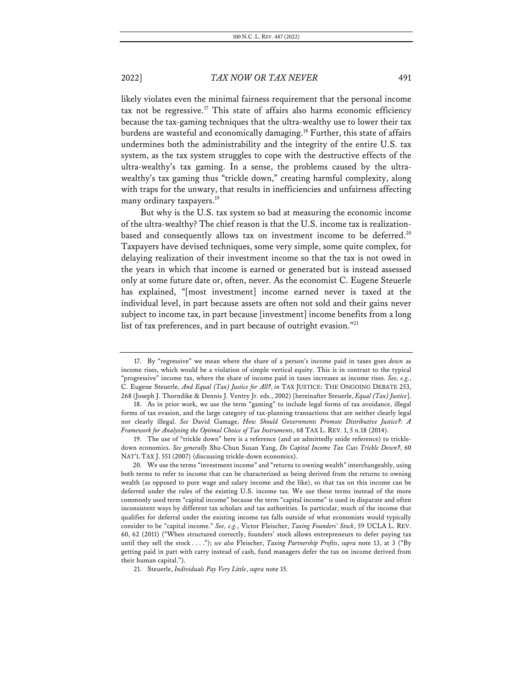likely violates even the minimal fairness requirement that the personal income tax not be regressive.<sup>17</sup> This state of affairs also harms economic efficiency because the tax-gaming techniques that the ultra-wealthy use to lower their tax burdens are wasteful and economically damaging.<sup>18</sup> Further, this state of affairs undermines both the administrability and the integrity of the entire U.S. tax system, as the tax system struggles to cope with the destructive effects of the ultra-wealthy's tax gaming. In a sense, the problems caused by the ultrawealthy's tax gaming thus "trickle down," creating harmful complexity, along with traps for the unwary, that results in inefficiencies and unfairness affecting many ordinary taxpayers.<sup>19</sup>

But why is the U.S. tax system so bad at measuring the economic income of the ultra-wealthy? The chief reason is that the U.S. income tax is realizationbased and consequently allows tax on investment income to be deferred.<sup>20</sup> Taxpayers have devised techniques, some very simple, some quite complex, for delaying realization of their investment income so that the tax is not owed in the years in which that income is earned or generated but is instead assessed only at some future date or, often, never. As the economist C. Eugene Steuerle has explained, "[most investment] income earned never is taxed at the individual level, in part because assets are often not sold and their gains never subject to income tax, in part because [investment] income benefits from a long list of tax preferences, and in part because of outright evasion."<sup>21</sup>

<sup>17.</sup> By "regressive" we mean where the share of a person's income paid in taxes goes *down* as income rises, which would be a violation of simple vertical equity. This is in contrast to the typical "progressive" income tax, where the share of income paid in taxes increases as income rises. *See, e.g.*, C. Eugene Steuerle, *And Equal (Tax) Justice for All?*, *in* TAX JUSTICE: THE ONGOING DEBATE 253, 268 (Joseph J. Thorndike & Dennis J. Ventry Jr. eds., 2002) [hereinafter Steuerle, *Equal (Tax) Justice*].

<sup>18.</sup> As in prior work, we use the term "gaming" to include legal forms of tax avoidance, illegal forms of tax evasion, and the large category of tax-planning transactions that are neither clearly legal nor clearly illegal. *See* David Gamage, *How Should Governments Promote Distributive Justice?: A Framework for Analyzing the Optimal Choice of Tax Instruments*, 68 TAX L. REV. 1, 5 n.18 (2014).

<sup>19.</sup> The use of "trickle down" here is a reference (and an admittedly snide reference) to trickledown economics. *See generally* Shu-Chun Susan Yang, *Do Capital Income Tax Cuts Trickle Down?*, 60 NAT'L TAX J. 551 (2007) (discussing trickle-down economics).

<sup>20.</sup> We use the terms "investment income" and "returns to owning wealth" interchangeably, using both terms to refer to income that can be characterized as being derived from the returns to owning wealth (as opposed to pure wage and salary income and the like), so that tax on this income can be deferred under the rules of the existing U.S. income tax. We use these terms instead of the more commonly used term "capital income" because the term "capital income" is used in disparate and often inconsistent ways by different tax scholars and tax authorities. In particular, much of the income that qualifies for deferral under the existing income tax falls outside of what economists would typically consider to be "capital income." *See, e.g.*, Victor Fleischer, *Taxing Founders' Stock*, 59 UCLA L. REV. 60, 62 (2011) ("When structured correctly, founders' stock allows entrepreneurs to defer paying tax until they sell the stock . . . ."); *see also* Fleischer, *Taxing Partnership Profits*, *supra* note 13, at 3 ("By getting paid in part with carry instead of cash, fund managers defer the tax on income derived from their human capital.").

<sup>21.</sup> Steuerle, *Individuals Pay Very Little*, *supra* note 15.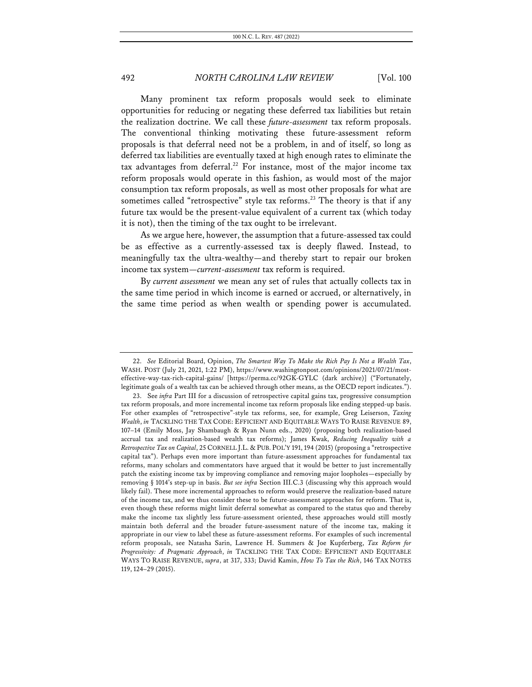Many prominent tax reform proposals would seek to eliminate opportunities for reducing or negating these deferred tax liabilities but retain the realization doctrine. We call these *future-assessment* tax reform proposals. The conventional thinking motivating these future-assessment reform proposals is that deferral need not be a problem, in and of itself, so long as deferred tax liabilities are eventually taxed at high enough rates to eliminate the tax advantages from deferral.<sup>22</sup> For instance, most of the major income tax reform proposals would operate in this fashion, as would most of the major consumption tax reform proposals, as well as most other proposals for what are sometimes called "retrospective" style tax reforms.<sup>23</sup> The theory is that if any future tax would be the present-value equivalent of a current tax (which today it is not), then the timing of the tax ought to be irrelevant.

As we argue here, however, the assumption that a future-assessed tax could be as effective as a currently-assessed tax is deeply flawed. Instead, to meaningfully tax the ultra-wealthy—and thereby start to repair our broken income tax system—*current-assessment* tax reform is required.

By *current assessment* we mean any set of rules that actually collects tax in the same time period in which income is earned or accrued, or alternatively, in the same time period as when wealth or spending power is accumulated.

<sup>22.</sup> *See* Editorial Board, Opinion, *The Smartest Way To Make the Rich Pay Is Not a Wealth Tax*, WASH. POST (July 21, 2021, 1:22 PM), https://www.washingtonpost.com/opinions/2021/07/21/mosteffective-way-tax-rich-capital-gains/ [https://perma.cc/92GK-GYLC (dark archive)] ("Fortunately, legitimate goals of a wealth tax can be achieved through other means, as the OECD report indicates.").

<sup>23.</sup> See *infra* Part III for a discussion of retrospective capital gains tax, progressive consumption tax reform proposals, and more incremental income tax reform proposals like ending stepped-up basis. For other examples of "retrospective"-style tax reforms, see, for example, Greg Leiserson, *Taxing Wealth*, *in* TACKLING THE TAX CODE: EFFICIENT AND EQUITABLE WAYS TO RAISE REVENUE 89, 107–14 (Emily Moss, Jay Shambaugh & Ryan Nunn eds., 2020) (proposing both realization-based accrual tax and realization-based wealth tax reforms); James Kwak, *Reducing Inequality with a Retrospective Tax on Capital*, 25 CORNELL J.L. & PUB. POL'Y 191, 194 (2015) (proposing a "retrospective capital tax"). Perhaps even more important than future-assessment approaches for fundamental tax reforms, many scholars and commentators have argued that it would be better to just incrementally patch the existing income tax by improving compliance and removing major loopholes—especially by removing § 1014's step-up in basis. *But see infra* Section III.C.3 (discussing why this approach would likely fail). These more incremental approaches to reform would preserve the realization-based nature of the income tax, and we thus consider these to be future-assessment approaches for reform. That is, even though these reforms might limit deferral somewhat as compared to the status quo and thereby make the income tax slightly less future-assessment oriented, these approaches would still mostly maintain both deferral and the broader future-assessment nature of the income tax, making it appropriate in our view to label these as future-assessment reforms. For examples of such incremental reform proposals, see Natasha Sarin, Lawrence H. Summers & Joe Kupferberg, *Tax Reform for Progressivity: A Pragmatic Approach*, *in* TACKLING THE TAX CODE: EFFICIENT AND EQUITABLE WAYS TO RAISE REVENUE, *supra*, at 317, 333; David Kamin, *How To Tax the Rich*, 146 TAX NOTES 119, 124–29 (2015).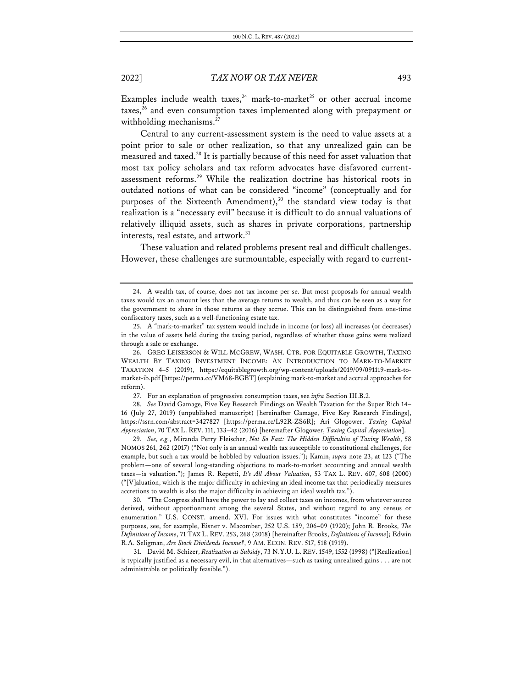Examples include wealth taxes,<sup>24</sup> mark-to-market<sup>25</sup> or other accrual income taxes, $26$  and even consumption taxes implemented along with prepayment or withholding mechanisms.<sup>27</sup>

Central to any current-assessment system is the need to value assets at a point prior to sale or other realization, so that any unrealized gain can be measured and taxed.28 It is partially because of this need for asset valuation that most tax policy scholars and tax reform advocates have disfavored currentassessment reforms.29 While the realization doctrine has historical roots in outdated notions of what can be considered "income" (conceptually and for purposes of the Sixteenth Amendment), <sup>30</sup> the standard view today is that realization is a "necessary evil" because it is difficult to do annual valuations of relatively illiquid assets, such as shares in private corporations, partnership interests, real estate, and artwork.<sup>31</sup>

These valuation and related problems present real and difficult challenges. However, these challenges are surmountable, especially with regard to current-

27. For an explanation of progressive consumption taxes, see *infra* Section III.B.2.

28. *See* David Gamage, Five Key Research Findings on Wealth Taxation for the Super Rich 14– 16 (July 27, 2019) (unpublished manuscript) [hereinafter Gamage, Five Key Research Findings], https://ssrn.com/abstract=3427827 [https://perma.cc/L92R-ZS6R]; Ari Glogower, *Taxing Capital Appreciation*, 70 TAX L. REV. 111, 133–42 (2016) [hereinafter Glogower, *Taxing Capital Appreciation*].

29. *See, e.g.*, Miranda Perry Fleischer, *Not So Fast: The Hidden Difficulties of Taxing Wealth*, 58 NOMOS 261, 262 (2017) ("Not only is an annual wealth tax susceptible to constitutional challenges, for example, but such a tax would be hobbled by valuation issues."); Kamin, *supra* note 23, at 123 ("The problem—one of several long-standing objections to mark-to-market accounting and annual wealth taxes—is valuation."); James R. Repetti, *It's All About Valuation*, 53 TAX L. REV. 607, 608 (2000) ("[V]aluation, which is the major difficulty in achieving an ideal income tax that periodically measures accretions to wealth is also the major difficulty in achieving an ideal wealth tax.").

30. "The Congress shall have the power to lay and collect taxes on incomes, from whatever source derived, without apportionment among the several States, and without regard to any census or enumeration." U.S. CONST. amend. XVI. For issues with what constitutes "income" for these purposes, see, for example, Eisner v. Macomber, 252 U.S. 189, 206–09 (1920); John R. Brooks, *The Definitions of Income*, 71 TAX L. REV. 253, 268 (2018) [hereinafter Brooks, *Definitions of Income*]; Edwin R.A. Seligman, *Are Stock Dividends Income?*, 9 AM. ECON. REV. 517, 518 (1919).

31. David M. Schizer, *Realization as Subsidy*, 73 N.Y.U. L. REV. 1549, 1552 (1998) ("[Realization] is typically justified as a necessary evil, in that alternatives—such as taxing unrealized gains . . . are not administrable or politically feasible.").

<sup>24.</sup> A wealth tax, of course, does not tax income per se. But most proposals for annual wealth taxes would tax an amount less than the average returns to wealth, and thus can be seen as a way for the government to share in those returns as they accrue. This can be distinguished from one-time confiscatory taxes, such as a well-functioning estate tax.

<sup>25.</sup> A "mark-to-market" tax system would include in income (or loss) all increases (or decreases) in the value of assets held during the taxing period, regardless of whether those gains were realized through a sale or exchange.

<sup>26.</sup> GREG LEISERSON & WILL MCGREW, WASH. CTR. FOR EQUITABLE GROWTH, TAXING WEALTH BY TAXING INVESTMENT INCOME: AN INTRODUCTION TO MARK-TO-MARKET TAXATION 4–5 (2019), https://equitablegrowth.org/wp-content/uploads/2019/09/091119-mark-tomarket-ib.pdf [https://perma.cc/VM68-BGBT] (explaining mark-to-market and accrual approaches for reform).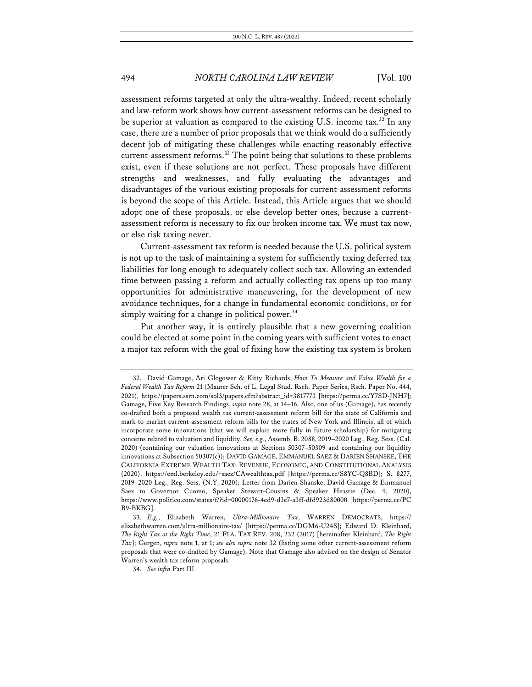assessment reforms targeted at only the ultra-wealthy. Indeed, recent scholarly and law-reform work shows how current-assessment reforms can be designed to be superior at valuation as compared to the existing U.S. income tax.<sup>32</sup> In any case, there are a number of prior proposals that we think would do a sufficiently decent job of mitigating these challenges while enacting reasonably effective current-assessment reforms.<sup>33</sup> The point being that solutions to these problems exist, even if these solutions are not perfect. These proposals have different strengths and weaknesses, and fully evaluating the advantages and disadvantages of the various existing proposals for current-assessment reforms is beyond the scope of this Article. Instead, this Article argues that we should adopt one of these proposals, or else develop better ones, because a currentassessment reform is necessary to fix our broken income tax. We must tax now, or else risk taxing never.

Current-assessment tax reform is needed because the U.S. political system is not up to the task of maintaining a system for sufficiently taxing deferred tax liabilities for long enough to adequately collect such tax. Allowing an extended time between passing a reform and actually collecting tax opens up too many opportunities for administrative maneuvering, for the development of new avoidance techniques, for a change in fundamental economic conditions, or for simply waiting for a change in political power.<sup>34</sup>

Put another way, it is entirely plausible that a new governing coalition could be elected at some point in the coming years with sufficient votes to enact a major tax reform with the goal of fixing how the existing tax system is broken

<sup>32.</sup> David Gamage, Ari Glogower & Kitty Richards, *How To Measure and Value Wealth for a Federal Wealth Tax Reform* 21 (Maurer Sch. of L. Legal Stud. Rsch. Paper Series, Rsch. Paper No. 444, 2021), https://papers.ssrn.com/sol3/papers.cfm?abstract\_id=3817773 [https://perma.cc/Y7SD-JNH7]; Gamage, Five Key Research Findings, *supra* note 28, at 14–16. Also, one of us (Gamage), has recently co-drafted both a proposed wealth tax current-assessment reform bill for the state of California and mark-to-market current-assessment reform bills for the states of New York and Illinois, all of which incorporate some innovations (that we will explain more fully in future scholarship) for mitigating concerns related to valuation and liquidity. *See, e.g.*, Assemb. B. 2088, 2019–2020 Leg., Reg. Sess. (Cal. 2020) (containing our valuation innovations at Sections 50307–50309 and containing our liquidity innovations at Subsection 50307(c)); DAVID GAMAGE, EMMANUEL SAEZ & DARIEN SHANSKE, THE CALIFORNIA EXTREME WEALTH TAX: REVENUE, ECONOMIC, AND CONSTITUTIONAL ANALYSIS (2020), https://eml.berkeley.edu/~saez/CAwealthtax.pdf [https://perma.cc/S8YC-Q8BD]; S. 8277, 2019–2020 Leg., Reg. Sess. (N.Y. 2020); Letter from Darien Shanske, David Gamage & Emmanuel Saez to Governor Cuomo, Speaker Stewart-Cousins & Speaker Heastie (Dec. 9, 2020), https://www.politico.com/states/f/?id=00000176-4ed9-d3e7-a3ff-dfd923d80000 [https://perma.cc/PC B9-BKBG].

<sup>33.</sup> *E.g.*, Elizabeth Warren, *Ultra-Millionaire Tax*, WARREN DEMOCRATS, https:// elizabethwarren.com/ultra-millionaire-tax/ [https://perma.cc/DGM6-U24S]; Edward D. Kleinbard, *The Right Tax at the Right Time*, 21 FLA. TAX REV. 208, 232 (2017) [hereinafter Kleinbard, *The Right Tax*]; Gergen, *supra* note 1, at 1; *see also supra* note 32 (listing some other current-assessment reform proposals that were co-drafted by Gamage). Note that Gamage also advised on the design of Senator Warren's wealth tax reform proposals.

<sup>34.</sup> *See infra* Part III.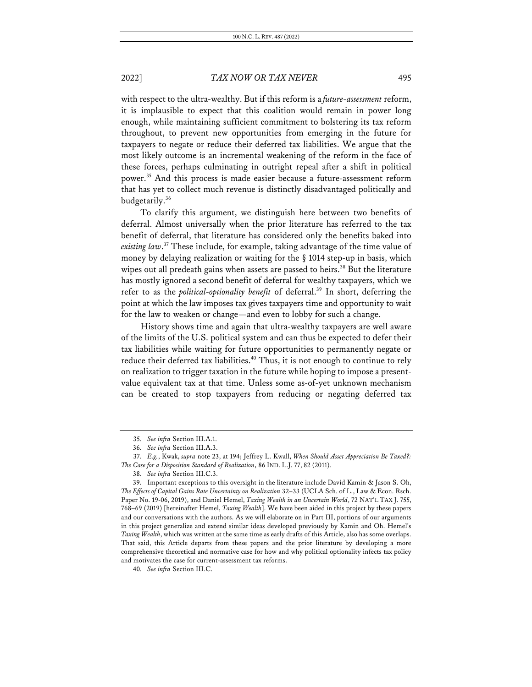with respect to the ultra-wealthy. But if this reform is a *future-assessment* reform, it is implausible to expect that this coalition would remain in power long enough, while maintaining sufficient commitment to bolstering its tax reform throughout, to prevent new opportunities from emerging in the future for taxpayers to negate or reduce their deferred tax liabilities. We argue that the most likely outcome is an incremental weakening of the reform in the face of these forces, perhaps culminating in outright repeal after a shift in political power.35 And this process is made easier because a future-assessment reform that has yet to collect much revenue is distinctly disadvantaged politically and budgetarily.<sup>36</sup>

To clarify this argument, we distinguish here between two benefits of deferral. Almost universally when the prior literature has referred to the tax benefit of deferral, that literature has considered only the benefits baked into *existing law*. <sup>37</sup> These include, for example, taking advantage of the time value of money by delaying realization or waiting for the § 1014 step-up in basis, which wipes out all predeath gains when assets are passed to heirs.<sup>38</sup> But the literature has mostly ignored a second benefit of deferral for wealthy taxpayers, which we refer to as the *political-optionality benefit* of deferral.39 In short, deferring the point at which the law imposes tax gives taxpayers time and opportunity to wait for the law to weaken or change—and even to lobby for such a change.

History shows time and again that ultra-wealthy taxpayers are well aware of the limits of the U.S. political system and can thus be expected to defer their tax liabilities while waiting for future opportunities to permanently negate or reduce their deferred tax liabilities.<sup>40</sup> Thus, it is not enough to continue to rely on realization to trigger taxation in the future while hoping to impose a presentvalue equivalent tax at that time. Unless some as-of-yet unknown mechanism can be created to stop taxpayers from reducing or negating deferred tax

<sup>35.</sup> *See infra* Section III.A.1.

<sup>36.</sup> *See infra* Section III.A.3.

<sup>37.</sup> *E.g.*, Kwak, *supra* note 23, at 194; Jeffrey L. Kwall, *When Should Asset Appreciation Be Taxed?: The Case for a Disposition Standard of Realization*, 86 IND. L.J. 77, 82 (2011).

<sup>38.</sup> *See infra* Section III.C.3.

<sup>39.</sup> Important exceptions to this oversight in the literature include David Kamin & Jason S. Oh, *The Effects of Capital Gains Rate Uncertainty on Realization* 32–33 (UCLA Sch. of L., Law & Econ. Rsch. Paper No. 19-06, 2019), and Daniel Hemel, *Taxing Wealth in an Uncertain World*, 72 NAT'L TAX J. 755, 768–69 (2019) [hereinafter Hemel, *Taxing Wealth*]. We have been aided in this project by these papers and our conversations with the authors. As we will elaborate on in Part III, portions of our arguments in this project generalize and extend similar ideas developed previously by Kamin and Oh. Hemel's *Taxing Wealth*, which was written at the same time as early drafts of this Article, also has some overlaps. That said, this Article departs from these papers and the prior literature by developing a more comprehensive theoretical and normative case for how and why political optionality infects tax policy and motivates the case for current-assessment tax reforms.

<sup>40.</sup> *See infra* Section III.C.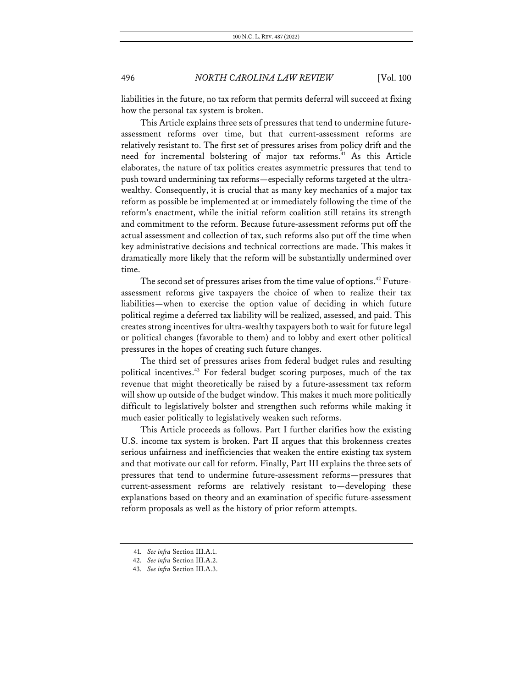liabilities in the future, no tax reform that permits deferral will succeed at fixing how the personal tax system is broken.

This Article explains three sets of pressures that tend to undermine futureassessment reforms over time, but that current-assessment reforms are relatively resistant to. The first set of pressures arises from policy drift and the need for incremental bolstering of major tax reforms.<sup>41</sup> As this Article elaborates, the nature of tax politics creates asymmetric pressures that tend to push toward undermining tax reforms—especially reforms targeted at the ultrawealthy. Consequently, it is crucial that as many key mechanics of a major tax reform as possible be implemented at or immediately following the time of the reform's enactment, while the initial reform coalition still retains its strength and commitment to the reform. Because future-assessment reforms put off the actual assessment and collection of tax, such reforms also put off the time when key administrative decisions and technical corrections are made. This makes it dramatically more likely that the reform will be substantially undermined over time.

The second set of pressures arises from the time value of options. <sup>42</sup> Futureassessment reforms give taxpayers the choice of when to realize their tax liabilities—when to exercise the option value of deciding in which future political regime a deferred tax liability will be realized, assessed, and paid. This creates strong incentives for ultra-wealthy taxpayers both to wait for future legal or political changes (favorable to them) and to lobby and exert other political pressures in the hopes of creating such future changes.

The third set of pressures arises from federal budget rules and resulting political incentives.<sup>43</sup> For federal budget scoring purposes, much of the tax revenue that might theoretically be raised by a future-assessment tax reform will show up outside of the budget window. This makes it much more politically difficult to legislatively bolster and strengthen such reforms while making it much easier politically to legislatively weaken such reforms.

This Article proceeds as follows. Part I further clarifies how the existing U.S. income tax system is broken. Part II argues that this brokenness creates serious unfairness and inefficiencies that weaken the entire existing tax system and that motivate our call for reform. Finally, Part III explains the three sets of pressures that tend to undermine future-assessment reforms—pressures that current-assessment reforms are relatively resistant to—developing these explanations based on theory and an examination of specific future-assessment reform proposals as well as the history of prior reform attempts.

<sup>41.</sup> *See infra* Section III.A.1.

<sup>42.</sup> *See infra* Section III.A.2.

<sup>43.</sup> *See infra* Section III.A.3.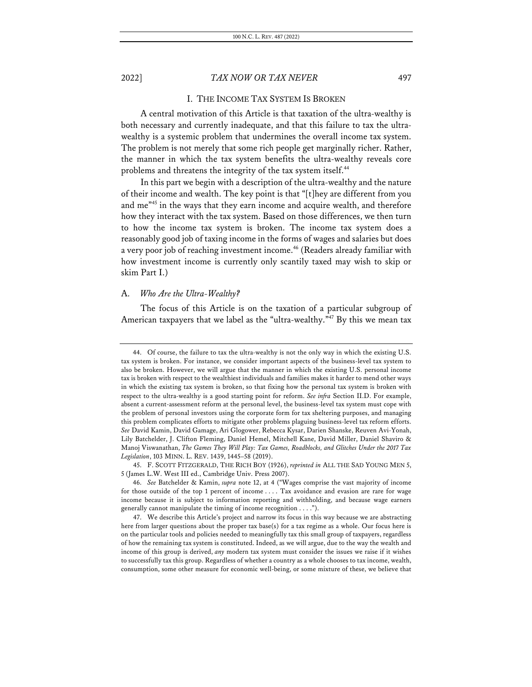### I. THE INCOME TAX SYSTEM IS BROKEN

A central motivation of this Article is that taxation of the ultra-wealthy is both necessary and currently inadequate, and that this failure to tax the ultrawealthy is a systemic problem that undermines the overall income tax system. The problem is not merely that some rich people get marginally richer. Rather, the manner in which the tax system benefits the ultra-wealthy reveals core problems and threatens the integrity of the tax system itself.<sup>44</sup>

In this part we begin with a description of the ultra-wealthy and the nature of their income and wealth. The key point is that "[t]hey are different from you and me"45 in the ways that they earn income and acquire wealth, and therefore how they interact with the tax system. Based on those differences, we then turn to how the income tax system is broken. The income tax system does a reasonably good job of taxing income in the forms of wages and salaries but does a very poor job of reaching investment income.<sup>46</sup> (Readers already familiar with how investment income is currently only scantily taxed may wish to skip or skim Part I.)

### A. *Who Are the Ultra-Wealthy?*

The focus of this Article is on the taxation of a particular subgroup of American taxpayers that we label as the "ultra-wealthy."<sup>47</sup> By this we mean tax

<sup>44.</sup> Of course, the failure to tax the ultra-wealthy is not the only way in which the existing U.S. tax system is broken. For instance, we consider important aspects of the business-level tax system to also be broken. However, we will argue that the manner in which the existing U.S. personal income tax is broken with respect to the wealthiest individuals and families makes it harder to mend other ways in which the existing tax system is broken, so that fixing how the personal tax system is broken with respect to the ultra-wealthy is a good starting point for reform. *See infra* Section II.D. For example, absent a current-assessment reform at the personal level, the business-level tax system must cope with the problem of personal investors using the corporate form for tax sheltering purposes, and managing this problem complicates efforts to mitigate other problems plaguing business-level tax reform efforts. *See* David Kamin, David Gamage, Ari Glogower, Rebecca Kysar, Darien Shanske, Reuven Avi-Yonah, Lily Batchelder, J. Clifton Fleming, Daniel Hemel, Mitchell Kane, David Miller, Daniel Shaviro & Manoj Viswanathan, *The Games They Will Play: Tax Games, Roadblocks, and Glitches Under the 2017 Tax Legislation*, 103 MINN. L. REV. 1439, 1445–58 (2019).

<sup>45.</sup> F. SCOTT FITZGERALD, THE RICH BOY (1926), *reprinted in* ALL THE SAD YOUNG MEN 5, 5 (James L.W. West III ed., Cambridge Univ. Press 2007).

<sup>46.</sup> *See* Batchelder & Kamin, *supra* note 12, at 4 ("Wages comprise the vast majority of income for those outside of the top 1 percent of income . . . . Tax avoidance and evasion are rare for wage income because it is subject to information reporting and withholding, and because wage earners generally cannot manipulate the timing of income recognition . . . .").

<sup>47.</sup> We describe this Article's project and narrow its focus in this way because we are abstracting here from larger questions about the proper tax base(s) for a tax regime as a whole. Our focus here is on the particular tools and policies needed to meaningfully tax this small group of taxpayers, regardless of how the remaining tax system is constituted. Indeed, as we will argue, due to the way the wealth and income of this group is derived, *any* modern tax system must consider the issues we raise if it wishes to successfully tax this group. Regardless of whether a country as a whole chooses to tax income, wealth, consumption, some other measure for economic well-being, or some mixture of these, we believe that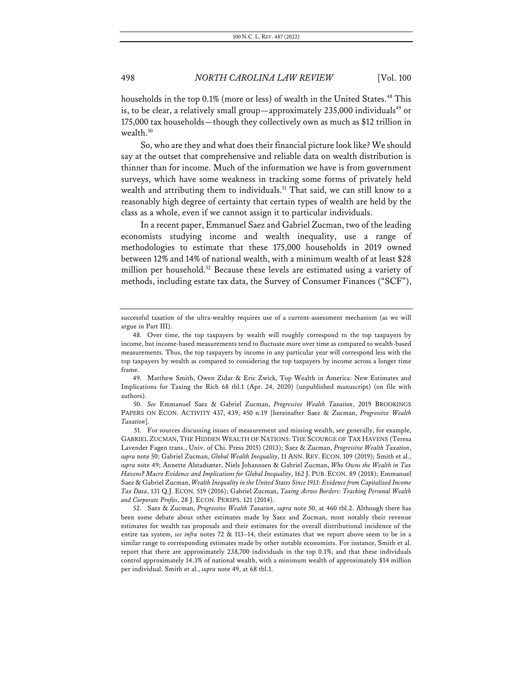households in the top 0.1% (more or less) of wealth in the United States.<sup>48</sup> This is, to be clear, a relatively small group—approximately  $235,000$  individuals<sup>49</sup> or 175,000 tax households—though they collectively own as much as \$12 trillion in wealth.<sup>50</sup>

So, who are they and what does their financial picture look like? We should say at the outset that comprehensive and reliable data on wealth distribution is thinner than for income. Much of the information we have is from government surveys, which have some weakness in tracking some forms of privately held wealth and attributing them to individuals.<sup>51</sup> That said, we can still know to a reasonably high degree of certainty that certain types of wealth are held by the class as a whole, even if we cannot assign it to particular individuals.

In a recent paper, Emmanuel Saez and Gabriel Zucman, two of the leading economists studying income and wealth inequality, use a range of methodologies to estimate that these 175,000 households in 2019 owned between 12% and 14% of national wealth, with a minimum wealth of at least \$28 million per household.<sup>52</sup> Because these levels are estimated using a variety of methods, including estate tax data, the Survey of Consumer Finances ("SCF"),

50. *See* Emmanuel Saez & Gabriel Zucman, *Progressive Wealth Taxation*, 2019 BROOKINGS PAPERS ON ECON. ACTIVITY 437, 439, 450 n.19 [hereinafter Saez & Zucman, *Progressive Wealth Taxation*].

52. Saez & Zucman, *Progressive Wealth Taxation*, *supra* note 50, at 460 tbl.2. Although there has been some debate about other estimates made by Saez and Zucman, most notably their revenue estimates for wealth tax proposals and their estimates for the overall distributional incidence of the entire tax system, *see infra* notes 72 & 113–14, their estimates that we report above seem to be in a similar range to corresponding estimates made by other notable economists. For instance, Smith et al. report that there are approximately 238,700 individuals in the top 0.1%, and that these individuals control approximately 14.3% of national wealth, with a minimum wealth of approximately \$14 million per individual. Smith et al., *supra* note 49, at 68 tbl.1.

successful taxation of the ultra-wealthy requires use of a current-assessment mechanism (as we will argue in Part III).

<sup>48.</sup> Over time, the top taxpayers by wealth will roughly correspond to the top taxpayers by income, but income-based measurements tend to fluctuate more over time as compared to wealth-based measurements. Thus, the top taxpayers by income in any particular year will correspond less with the top taxpayers by wealth as compared to considering the top taxpayers by income across a longer time frame.

<sup>49.</sup> Matthew Smith, Owen Zidar & Eric Zwick, Top Wealth in America: New Estimates and Implications for Taxing the Rich 68 tbl.1 (Apr. 24, 2020) (unpublished manuscript) (on file with authors).

<sup>51.</sup> For sources discussing issues of measurement and missing wealth, see generally, for example, GABRIEL ZUCMAN, THE HIDDEN WEALTH OF NATIONS: THE SCOURGE OF TAX HAVENS (Teresa Lavender Fagen trans., Univ. of Chi. Press 2015) (2013); Saez & Zucman, *Progressive Wealth Taxation*, *supra* note 50; Gabriel Zucman, *Global Wealth Inequality*, 11 ANN. REV. ECON. 109 (2019); Smith et al., *supra* note 49; Annette Alstadsæter, Niels Johannsen & Gabriel Zucman, *Who Owns the Wealth in Tax Havens? Macro Evidence and Implications for Global Inequality*, 162 J. PUB. ECON. 89 (2018); Emmanuel Saez & Gabriel Zucman, *Wealth Inequality in the United States Since 1913: Evidence from Capitalized Income Tax Data*, 131 Q.J. ECON. 519 (2016); Gabriel Zucman, *Taxing Across Borders: Tracking Personal Wealth and Corporate Profits*, 28 J. ECON. PERSPS. 121 (2014).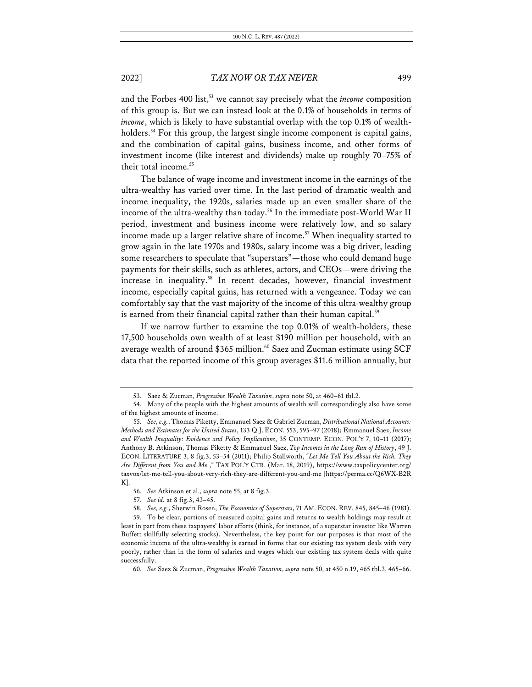and the Forbes 400 list,<sup>53</sup> we cannot say precisely what the *income* composition of this group is. But we can instead look at the 0.1% of households in terms of *income*, which is likely to have substantial overlap with the top 0.1% of wealthholders.<sup>54</sup> For this group, the largest single income component is capital gains, and the combination of capital gains, business income, and other forms of investment income (like interest and dividends) make up roughly 70–75% of their total income.<sup>55</sup>

The balance of wage income and investment income in the earnings of the ultra-wealthy has varied over time. In the last period of dramatic wealth and income inequality, the 1920s, salaries made up an even smaller share of the income of the ultra-wealthy than today.<sup>56</sup> In the immediate post-World War II period, investment and business income were relatively low, and so salary income made up a larger relative share of income.<sup>57</sup> When inequality started to grow again in the late 1970s and 1980s, salary income was a big driver, leading some researchers to speculate that "superstars"—those who could demand huge payments for their skills, such as athletes, actors, and CEOs—were driving the increase in inequality.58 In recent decades, however, financial investment income, especially capital gains, has returned with a vengeance. Today we can comfortably say that the vast majority of the income of this ultra-wealthy group is earned from their financial capital rather than their human capital.<sup>59</sup>

If we narrow further to examine the top 0.01% of wealth-holders, these 17,500 households own wealth of at least \$190 million per household, with an average wealth of around \$365 million.<sup>60</sup> Saez and Zucman estimate using SCF data that the reported income of this group averages \$11.6 million annually, but

<sup>53.</sup> Saez & Zucman, *Progressive Wealth Taxation*, *supra* note 50, at 460–61 tbl.2.

<sup>54.</sup> Many of the people with the highest amounts of wealth will correspondingly also have some of the highest amounts of income.

<sup>55.</sup> *See, e.g.*, Thomas Piketty, Emmanuel Saez & Gabriel Zucman, *Distributional National Accounts: Methods and Estimates for the United States*, 133 Q.J. ECON. 553, 595–97 (2018); Emmanuel Saez, *Income and Wealth Inequality: Evidence and Policy Implications*, 35 CONTEMP. ECON. POL'Y 7, 10–11 (2017); Anthony B. Atkinson, Thomas Piketty & Emmanuel Saez, *Top Incomes in the Long Run of History*, 49 J. ECON. LITERATURE 3, 8 fig.3, 53–54 (2011); Philip Stallworth, *"Let Me Tell You About the Rich. They Are Different from You and Me.*,*"* TAX POL'Y CTR. (Mar. 18, 2019), https://www.taxpolicycenter.org/ taxvox/let-me-tell-you-about-very-rich-they-are-different-you-and-me [https://perma.cc/Q6WX-B2R K].

<sup>56.</sup> *See* Atkinson et al., *supra* note 55, at 8 fig.3.

<sup>57.</sup> *See id.* at 8 fig.3, 43–45.

<sup>58.</sup> *See, e.g.*, Sherwin Rosen, *The Economics of Superstars*, 71 AM. ECON. REV. 845, 845–46 (1981).

<sup>59.</sup> To be clear, portions of measured capital gains and returns to wealth holdings may result at least in part from these taxpayers' labor efforts (think, for instance, of a superstar investor like Warren Buffett skillfully selecting stocks). Nevertheless, the key point for our purposes is that most of the economic income of the ultra-wealthy is earned in forms that our existing tax system deals with very poorly, rather than in the form of salaries and wages which our existing tax system deals with quite successfully.

<sup>60.</sup> *See* Saez & Zucman, *Progressive Wealth Taxation*, *supra* note 50, at 450 n.19, 465 tbl.3, 465–66.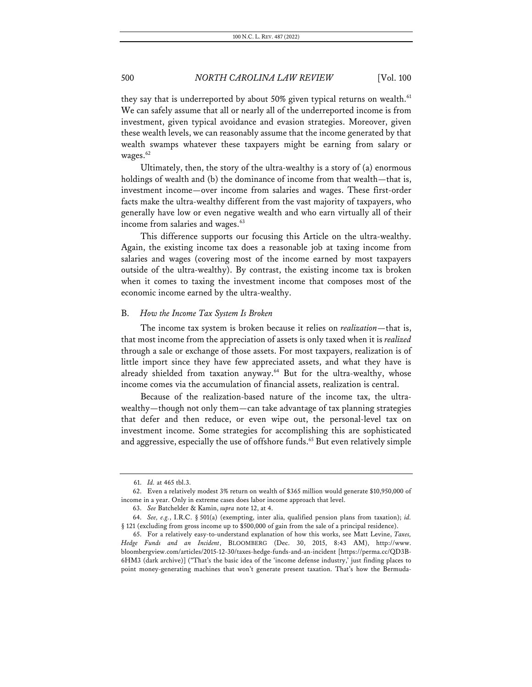they say that is underreported by about 50% given typical returns on wealth. $61$ We can safely assume that all or nearly all of the underreported income is from investment, given typical avoidance and evasion strategies. Moreover, given these wealth levels, we can reasonably assume that the income generated by that wealth swamps whatever these taxpayers might be earning from salary or wages.<sup>62</sup>

Ultimately, then, the story of the ultra-wealthy is a story of (a) enormous holdings of wealth and (b) the dominance of income from that wealth—that is, investment income—over income from salaries and wages. These first-order facts make the ultra-wealthy different from the vast majority of taxpayers, who generally have low or even negative wealth and who earn virtually all of their income from salaries and wages.<sup>63</sup>

This difference supports our focusing this Article on the ultra-wealthy. Again, the existing income tax does a reasonable job at taxing income from salaries and wages (covering most of the income earned by most taxpayers outside of the ultra-wealthy). By contrast, the existing income tax is broken when it comes to taxing the investment income that composes most of the economic income earned by the ultra-wealthy.

### B. *How the Income Tax System Is Broken*

The income tax system is broken because it relies on *realization*—that is, that most income from the appreciation of assets is only taxed when it is *realized*  through a sale or exchange of those assets. For most taxpayers, realization is of little import since they have few appreciated assets, and what they have is already shielded from taxation anyway.<sup>64</sup> But for the ultra-wealthy, whose income comes via the accumulation of financial assets, realization is central.

Because of the realization-based nature of the income tax, the ultrawealthy—though not only them—can take advantage of tax planning strategies that defer and then reduce, or even wipe out, the personal-level tax on investment income. Some strategies for accomplishing this are sophisticated and aggressive, especially the use of offshore funds.<sup>65</sup> But even relatively simple

<sup>61.</sup> *Id.* at 465 tbl.3.

<sup>62.</sup> Even a relatively modest 3% return on wealth of \$365 million would generate \$10,950,000 of income in a year. Only in extreme cases does labor income approach that level.

<sup>63.</sup> *See* Batchelder & Kamin, *supra* note 12, at 4.

<sup>64.</sup> *See, e.g.*, I.R.C. § 501(a) (exempting, inter alia, qualified pension plans from taxation); *id.*  § 121 (excluding from gross income up to \$500,000 of gain from the sale of a principal residence).

<sup>65.</sup> For a relatively easy-to-understand explanation of how this works, see Matt Levine, *Taxes, Hedge Funds and an Incident*, BLOOMBERG (Dec. 30, 2015, 8:43 AM), http://www. bloombergview.com/articles/2015-12-30/taxes-hedge-funds-and-an-incident [https://perma.cc/QD3B-6HM3 (dark archive)] ("That's the basic idea of the 'income defense industry,' just finding places to point money-generating machines that won't generate present taxation. That's how the Bermuda-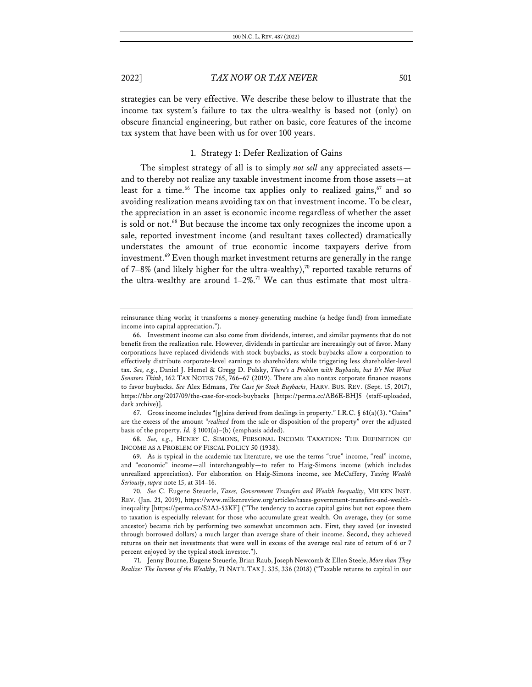strategies can be very effective. We describe these below to illustrate that the income tax system's failure to tax the ultra-wealthy is based not (only) on obscure financial engineering, but rather on basic, core features of the income tax system that have been with us for over 100 years.

### 1. Strategy 1: Defer Realization of Gains

The simplest strategy of all is to simply *not sell* any appreciated assets and to thereby not realize any taxable investment income from those assets—at least for a time.<sup>66</sup> The income tax applies only to realized gains,<sup>67</sup> and so avoiding realization means avoiding tax on that investment income. To be clear, the appreciation in an asset is economic income regardless of whether the asset is sold or not.<sup>68</sup> But because the income tax only recognizes the income upon a sale, reported investment income (and resultant taxes collected) dramatically understates the amount of true economic income taxpayers derive from investment.<sup>69</sup> Even though market investment returns are generally in the range of 7–8% (and likely higher for the ultra-wealthy),<sup>70</sup> reported taxable returns of the ultra-wealthy are around  $1-2\%$ .<sup>71</sup> We can thus estimate that most ultra-

67. Gross income includes "[g]ains derived from dealings in property." I.R.C. § 61(a)(3). "Gains" are the excess of the amount "*realized* from the sale or disposition of the property" over the adjusted basis of the property. *Id.* § 1001(a)–(b) (emphasis added).

68. *See, e.g.*, HENRY C. SIMONS, PERSONAL INCOME TAXATION: THE DEFINITION OF INCOME AS A PROBLEM OF FISCAL POLICY 50 (1938).

71. Jenny Bourne, Eugene Steuerle, Brian Raub, Joseph Newcomb & Ellen Steele, *More than They Realize: The Income of the Wealthy*, 71 NAT'L TAX J. 335, 336 (2018) ("Taxable returns to capital in our

reinsurance thing works; it transforms a money-generating machine (a hedge fund) from immediate income into capital appreciation.").

<sup>66.</sup> Investment income can also come from dividends, interest, and similar payments that do not benefit from the realization rule. However, dividends in particular are increasingly out of favor. Many corporations have replaced dividends with stock buybacks, as stock buybacks allow a corporation to effectively distribute corporate-level earnings to shareholders while triggering less shareholder-level tax. *See, e.g.*, Daniel J. Hemel & Gregg D. Polsky, *There's a Problem with Buybacks, but It's Not What Senators Think*, 162 TAX NOTES 765, 766–67 (2019). There are also nontax corporate finance reasons to favor buybacks. *See* Alex Edmans, *The Case for Stock Buybacks*, HARV. BUS. REV. (Sept. 15, 2017), https://hbr.org/2017/09/the-case-for-stock-buybacks [https://perma.cc/AB6E-BHJ5 (staff-uploaded, dark archive)].

<sup>69.</sup> As is typical in the academic tax literature, we use the terms "true" income, "real" income, and "economic" income—all interchangeably—to refer to Haig-Simons income (which includes unrealized appreciation). For elaboration on Haig-Simons income, see McCaffery, *Taxing Wealth Seriously*, *supra* note 15, at 314–16.

<sup>70.</sup> *See* C. Eugene Steuerle, *Taxes, Government Transfers and Wealth Inequality*, MILKEN INST. REV. (Jan. 21, 2019), https://www.milkenreview.org/articles/taxes-government-transfers-and-wealthinequality [https://perma.cc/S2A3-53KF] ("The tendency to accrue capital gains but not expose them to taxation is especially relevant for those who accumulate great wealth. On average, they (or some ancestor) became rich by performing two somewhat uncommon acts. First, they saved (or invested through borrowed dollars) a much larger than average share of their income. Second, they achieved returns on their net investments that were well in excess of the average real rate of return of 6 or 7 percent enjoyed by the typical stock investor.").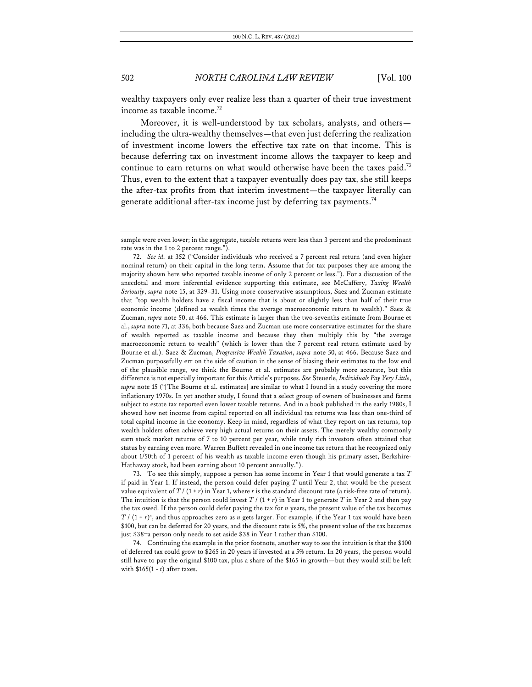wealthy taxpayers only ever realize less than a quarter of their true investment income as taxable income.<sup>72</sup>

Moreover, it is well-understood by tax scholars, analysts, and others including the ultra-wealthy themselves—that even just deferring the realization of investment income lowers the effective tax rate on that income. This is because deferring tax on investment income allows the taxpayer to keep and continue to earn returns on what would otherwise have been the taxes paid.<sup>73</sup> Thus, even to the extent that a taxpayer eventually does pay tax, she still keeps the after-tax profits from that interim investment—the taxpayer literally can generate additional after-tax income just by deferring tax payments.74

73. To see this simply, suppose a person has some income in Year 1 that would generate a tax *T* if paid in Year 1. If instead, the person could defer paying *T* until Year 2, that would be the present value equivalent of *T* / (1 + *r*) in Year 1, where *r* is the standard discount rate (a risk-free rate of return). The intuition is that the person could invest  $T / (1 + r)$  in Year 1 to generate  $T$  in Year 2 and then pay the tax owed. If the person could defer paying the tax for *n* years, the present value of the tax becomes  $T / (1 + r)^n$ , and thus approaches zero as *n* gets larger. For example, if the Year 1 tax would have been \$100, but can be deferred for 20 years, and the discount rate is 5%, the present value of the tax becomes just \$38—a person only needs to set aside \$38 in Year 1 rather than \$100.

74. Continuing the example in the prior footnote, another way to see the intuition is that the \$100 of deferred tax could grow to \$265 in 20 years if invested at a 5% return. In 20 years, the person would still have to pay the original \$100 tax, plus a share of the \$165 in growth—but they would still be left with \$165(1 - *t*) after taxes.

sample were even lower; in the aggregate, taxable returns were less than 3 percent and the predominant rate was in the 1 to 2 percent range.").

<sup>72.</sup> *See id.* at 352 ("Consider individuals who received a 7 percent real return (and even higher nominal return) on their capital in the long term. Assume that for tax purposes they are among the majority shown here who reported taxable income of only 2 percent or less."). For a discussion of the anecdotal and more inferential evidence supporting this estimate, see McCaffery, *Taxing Wealth Seriously*, *supra* note 15, at 329–31. Using more conservative assumptions, Saez and Zucman estimate that "top wealth holders have a fiscal income that is about or slightly less than half of their true economic income (defined as wealth times the average macroeconomic return to wealth)." Saez & Zucman, *supra* note 50, at 466. This estimate is larger than the two-sevenths estimate from Bourne et al., *supra* note 71, at 336, both because Saez and Zucman use more conservative estimates for the share of wealth reported as taxable income and because they then multiply this by "the average macroeconomic return to wealth" (which is lower than the 7 percent real return estimate used by Bourne et al.). Saez & Zucman, *Progressive Wealth Taxation*, *supra* note 50, at 466. Because Saez and Zucman purposefully err on the side of caution in the sense of biasing their estimates to the low end of the plausible range, we think the Bourne et al. estimates are probably more accurate, but this difference is not especially important for this Article's purposes. *See* Steuerle, *Individuals Pay Very Little*, *supra* note 15 ("[The Bourne et al. estimates] are similar to what I found in a study covering the more inflationary 1970s. In yet another study, I found that a select group of owners of businesses and farms subject to estate tax reported even lower taxable returns. And in a book published in the early 1980s, I showed how net income from capital reported on all individual tax returns was less than one-third of total capital income in the economy. Keep in mind, regardless of what they report on tax returns, top wealth holders often achieve very high actual returns on their assets. The merely wealthy commonly earn stock market returns of 7 to 10 percent per year, while truly rich investors often attained that status by earning even more. Warren Buffett revealed in one income tax return that he recognized only about 1/50th of 1 percent of his wealth as taxable income even though his primary asset, Berkshire-Hathaway stock, had been earning about 10 percent annually.").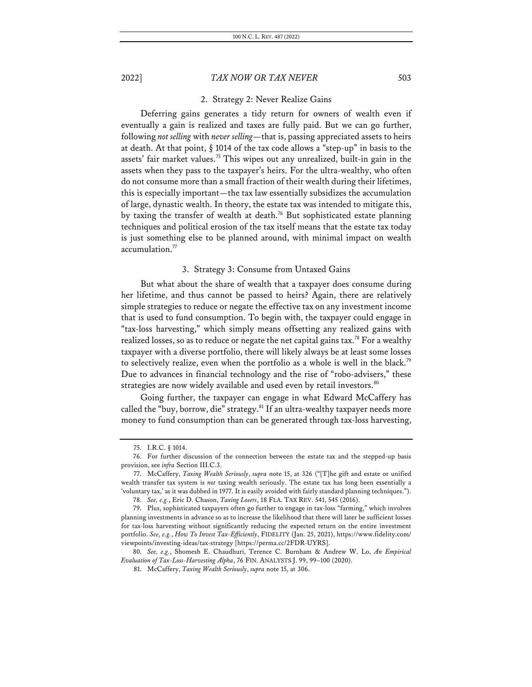### 2. Strategy 2: Never Realize Gains

Deferring gains generates a tidy return for owners of wealth even if eventually a gain is realized and taxes are fully paid. But we can go further, following *not selling* with *never selling*—that is, passing appreciated assets to heirs at death. At that point, § 1014 of the tax code allows a "step-up" in basis to the assets' fair market values.75 This wipes out any unrealized, built-in gain in the assets when they pass to the taxpayer's heirs. For the ultra-wealthy, who often do not consume more than a small fraction of their wealth during their lifetimes, this is especially important—the tax law essentially subsidizes the accumulation of large, dynastic wealth. In theory, the estate tax was intended to mitigate this, by taxing the transfer of wealth at death.<sup>76</sup> But sophisticated estate planning techniques and political erosion of the tax itself means that the estate tax today is just something else to be planned around, with minimal impact on wealth accumulation.77

### 3. Strategy 3: Consume from Untaxed Gains

But what about the share of wealth that a taxpayer does consume during her lifetime, and thus cannot be passed to heirs? Again, there are relatively simple strategies to reduce or negate the effective tax on any investment income that is used to fund consumption. To begin with, the taxpayer could engage in "tax-loss harvesting," which simply means offsetting any realized gains with realized losses, so as to reduce or negate the net capital gains tax.<sup>78</sup> For a wealthy taxpayer with a diverse portfolio, there will likely always be at least some losses to selectively realize, even when the portfolio as a whole is well in the black.79 Due to advances in financial technology and the rise of "robo-advisers," these strategies are now widely available and used even by retail investors.<sup>80</sup>

Going further, the taxpayer can engage in what Edward McCaffery has called the "buy, borrow, die" strategy. $81$  If an ultra-wealthy taxpayer needs more money to fund consumption than can be generated through tax-loss harvesting,

80. *See, e.g.*, Shomesh E. Chaudhuri, Terence C. Burnham & Andrew W. Lo, *An Empirical Evaluation of Tax-Loss-Harvesting Alpha*, 76 FIN. ANALYSTS J. 99, 99–100 (2020).

<sup>75.</sup> I.R.C. § 1014.

<sup>76.</sup> For further discussion of the connection between the estate tax and the stepped-up basis provision, see *infra* Section III.C.3.

<sup>77.</sup> McCaffery, *Taxing Wealth Seriously*, *supra* note 15, at 326 ("[T]he gift and estate or unified wealth transfer tax system is *not* taxing wealth seriously. The estate tax has long been essentially a 'voluntary tax,' as it was dubbed in 1977. It is easily avoided with fairly standard planning techniques.").

<sup>78.</sup> *See, e.g.*, Eric D. Chason, *Taxing Losers*, 18 FLA. TAX REV. 541, 545 (2016).

<sup>79.</sup> Plus, sophisticated taxpayers often go further to engage in tax-loss "farming," which involves planning investments in advance so as to increase the likelihood that there will later be sufficient losses for tax-loss harvesting without significantly reducing the expected return on the entire investment portfolio. *See, e.g.*, *How To Invest Tax-Efficiently*, FIDELITY (Jan. 25, 2021), https://www.fidelity.com/ viewpoints/investing-ideas/tax-strategy [https://perma.cc/2FDR-UYRS].

<sup>81.</sup> McCaffery, *Taxing Wealth Seriously*, *supra* note 15, at 306.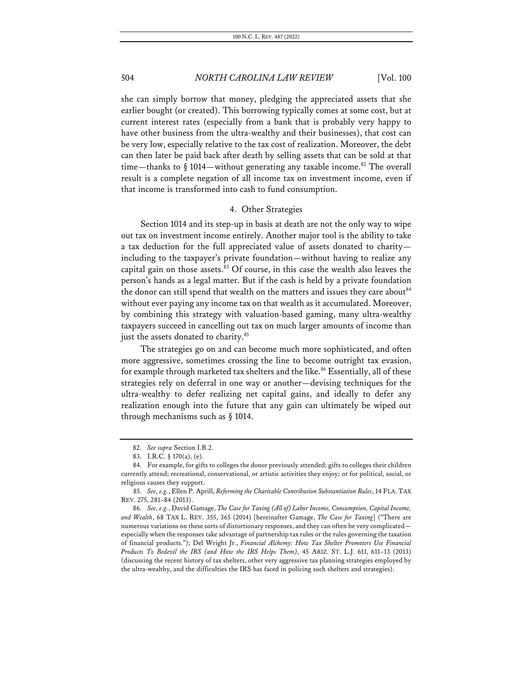she can simply borrow that money, pledging the appreciated assets that she earlier bought (or created). This borrowing typically comes at some cost, but at current interest rates (especially from a bank that is probably very happy to have other business from the ultra-wealthy and their businesses), that cost can be very low, especially relative to the tax cost of realization. Moreover, the debt can then later be paid back after death by selling assets that can be sold at that time—thanks to  $\S 1014$ —without generating any taxable income.<sup>82</sup> The overall result is a complete negation of all income tax on investment income, even if that income is transformed into cash to fund consumption.

### 4. Other Strategies

Section 1014 and its step-up in basis at death are not the only way to wipe out tax on investment income entirely. Another major tool is the ability to take a tax deduction for the full appreciated value of assets donated to charity including to the taxpayer's private foundation—without having to realize any capital gain on those assets. $83$  Of course, in this case the wealth also leaves the person's hands as a legal matter. But if the cash is held by a private foundation the donor can still spend that wealth on the matters and issues they care about<sup>84</sup> without ever paying any income tax on that wealth as it accumulated. Moreover, by combining this strategy with valuation-based gaming, many ultra-wealthy taxpayers succeed in cancelling out tax on much larger amounts of income than just the assets donated to charity.<sup>85</sup>

The strategies go on and can become much more sophisticated, and often more aggressive, sometimes crossing the line to become outright tax evasion, for example through marketed tax shelters and the like.<sup>86</sup> Essentially, all of these strategies rely on deferral in one way or another—devising techniques for the ultra-wealthy to defer realizing net capital gains, and ideally to defer any realization enough into the future that any gain can ultimately be wiped out through mechanisms such as § 1014.

<sup>82.</sup> *See supra* Section I.B.2.

<sup>83.</sup> I.R.C. § 170(a), (e).

<sup>84.</sup> For example, for gifts to colleges the donor previously attended; gifts to colleges their children currently attend; recreational, conservational, or artistic activities they enjoy; or for political, social, or religious causes they support.

<sup>85.</sup> *See, e.g.*, Ellen P. Aprill, *Reforming the Charitable Contribution Substantiation Rules*, 14 FLA. TAX REV. 275, 281–84 (2013).

<sup>86.</sup> *See, e.g.*, David Gamage, *The Case for Taxing (All of) Labor Income, Consumption, Capital Income, and Wealth*, 68 TAX L. REV. 355, 365 (2014) [hereinafter Gamage, *The Case for Taxing*] ("There are numerous variations on these sorts of distortionary responses, and they can often be very complicated especially when the responses take advantage of partnership tax rules or the rules governing the taxation of financial products."); Del Wright Jr., *Financial Alchemy: How Tax Shelter Promoters Use Financial Products To Bedevil the IRS (and How the IRS Helps Them)*, 45 ARIZ. ST. L.J. 611, 611–13 (2013) (discussing the recent history of tax shelters, other very aggressive tax planning strategies employed by the ultra-wealthy, and the difficulties the IRS has faced in policing such shelters and strategies).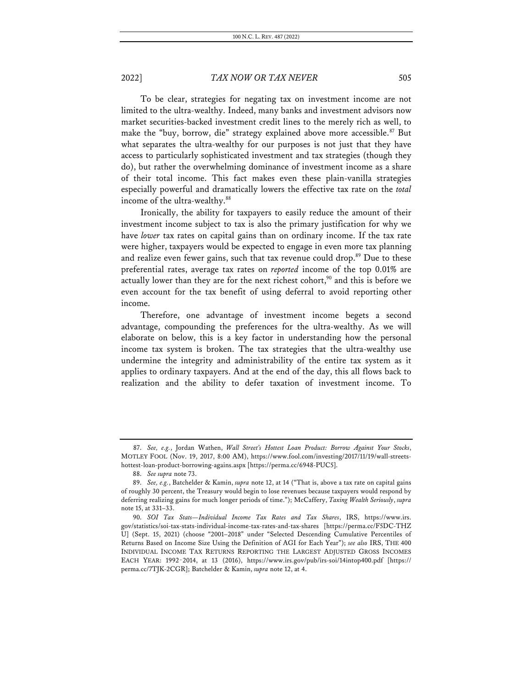To be clear, strategies for negating tax on investment income are not limited to the ultra-wealthy. Indeed, many banks and investment advisors now market securities-backed investment credit lines to the merely rich as well, to make the "buy, borrow, die" strategy explained above more accessible.<sup>87</sup> But what separates the ultra-wealthy for our purposes is not just that they have access to particularly sophisticated investment and tax strategies (though they do), but rather the overwhelming dominance of investment income as a share of their total income. This fact makes even these plain-vanilla strategies especially powerful and dramatically lowers the effective tax rate on the *total* income of the ultra-wealthy.<sup>88</sup>

Ironically, the ability for taxpayers to easily reduce the amount of their investment income subject to tax is also the primary justification for why we have *lower* tax rates on capital gains than on ordinary income. If the tax rate were higher, taxpayers would be expected to engage in even more tax planning and realize even fewer gains, such that tax revenue could drop.<sup>89</sup> Due to these preferential rates, average tax rates on *reported* income of the top 0.01% are actually lower than they are for the next richest cohort,<sup>90</sup> and this is before we even account for the tax benefit of using deferral to avoid reporting other income.

Therefore, one advantage of investment income begets a second advantage, compounding the preferences for the ultra-wealthy. As we will elaborate on below, this is a key factor in understanding how the personal income tax system is broken. The tax strategies that the ultra-wealthy use undermine the integrity and administrability of the entire tax system as it applies to ordinary taxpayers. And at the end of the day, this all flows back to realization and the ability to defer taxation of investment income. To

<sup>87.</sup> *See, e.g.*, Jordan Wathen, *Wall Street's Hottest Loan Product: Borrow Against Your Stocks*, MOTLEY FOOL (Nov. 19, 2017, 8:00 AM), https://www.fool.com/investing/2017/11/19/wall-streetshottest-loan-product-borrowing-agains.aspx [https://perma.cc/6948-PUC5].

<sup>88.</sup> *See supra* note 73.

<sup>89.</sup> *See, e.g.*, Batchelder & Kamin, *supra* note 12, at 14 ("That is, above a tax rate on capital gains of roughly 30 percent, the Treasury would begin to lose revenues because taxpayers would respond by deferring realizing gains for much longer periods of time."); McCaffery, *Taxing Wealth Seriously*, *supra* note 15, at 331–33.

<sup>90.</sup> *SOI Tax Stats—Individual Income Tax Rates and Tax Shares*, IRS, https://www.irs. gov/statistics/soi-tax-stats-individual-income-tax-rates-and-tax-shares [https://perma.cc/F5DC-THZ U] (Sept. 15, 2021) (choose "2001–2018" under "Selected Descending Cumulative Percentiles of Returns Based on Income Size Using the Definition of AGI for Each Year"); *see also* IRS, THE 400 INDIVIDUAL INCOME TAX RETURNS REPORTING THE LARGEST ADJUSTED GROSS INCOMES EACH YEAR: 1992–2014, at 13 (2016), https://www.irs.gov/pub/irs-soi/14intop400.pdf [https:// perma.cc/7TJK-2CGR]; Batchelder & Kamin, *supra* note 12, at 4.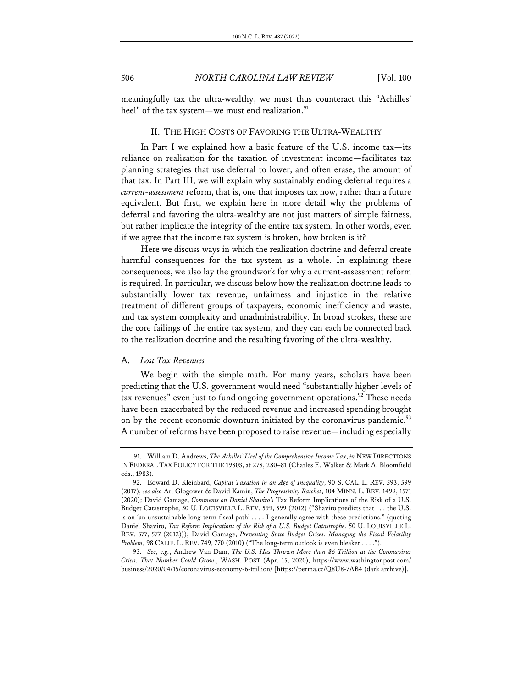meaningfully tax the ultra-wealthy, we must thus counteract this "Achilles' heel" of the tax system—we must end realization.<sup>91</sup>

### II. THE HIGH COSTS OF FAVORING THE ULTRA-WEALTHY

In Part I we explained how a basic feature of the U.S. income tax—its reliance on realization for the taxation of investment income—facilitates tax planning strategies that use deferral to lower, and often erase, the amount of that tax. In Part III, we will explain why sustainably ending deferral requires a *current-assessment* reform, that is, one that imposes tax now, rather than a future equivalent. But first, we explain here in more detail why the problems of deferral and favoring the ultra-wealthy are not just matters of simple fairness, but rather implicate the integrity of the entire tax system. In other words, even if we agree that the income tax system is broken, how broken is it?

Here we discuss ways in which the realization doctrine and deferral create harmful consequences for the tax system as a whole. In explaining these consequences, we also lay the groundwork for why a current-assessment reform is required. In particular, we discuss below how the realization doctrine leads to substantially lower tax revenue, unfairness and injustice in the relative treatment of different groups of taxpayers, economic inefficiency and waste, and tax system complexity and unadministrability. In broad strokes, these are the core failings of the entire tax system, and they can each be connected back to the realization doctrine and the resulting favoring of the ultra-wealthy.

### A. *Lost Tax Revenues*

We begin with the simple math. For many years, scholars have been predicting that the U.S. government would need "substantially higher levels of tax revenues" even just to fund ongoing government operations.<sup>92</sup> These needs have been exacerbated by the reduced revenue and increased spending brought on by the recent economic downturn initiated by the coronavirus pandemic.<sup>93</sup> A number of reforms have been proposed to raise revenue—including especially

<sup>91.</sup> William D. Andrews, *The Achilles' Heel of the Comprehensive Income Tax*, *in* NEW DIRECTIONS IN FEDERAL TAX POLICY FOR THE 1980S, at 278, 280–81 (Charles E. Walker & Mark A. Bloomfield eds., 1983).

<sup>92.</sup> Edward D. Kleinbard, *Capital Taxation in an Age of Inequality*, 90 S. CAL. L. REV. 593, 599 (2017); *see also* Ari Glogower & David Kamin, *The Progressivity Ratchet*, 104 MINN. L. REV. 1499, 1571 (2020); David Gamage, *Comments on Daniel Shaviro's* Tax Reform Implications of the Risk of a U.S. Budget Catastrophe, 50 U. LOUISVILLE L. REV. 599, 599 (2012) ("Shaviro predicts that . . . the U.S. is on 'an unsustainable long-term fiscal path' . . . . I generally agree with these predictions." (quoting Daniel Shaviro, *Tax Reform Implications of the Risk of a U.S. Budget Catastrophe*, 50 U. LOUISVILLE L. REV. 577, 577 (2012))); David Gamage, *Preventing State Budget Crises: Managing the Fiscal Volatility Problem*, 98 CALIF. L. REV. 749, 770 (2010) ("The long-term outlook is even bleaker . . . .").

<sup>93.</sup> *See, e.g.*, Andrew Van Dam, *The U.S. Has Thrown More than \$6 Trillion at the Coronavirus Crisis. That Number Could Grow*., WASH. POST (Apr. 15, 2020), https://www.washingtonpost.com/ business/2020/04/15/coronavirus-economy-6-trillion/ [https://perma.cc/Q8U8-7AB4 (dark archive)].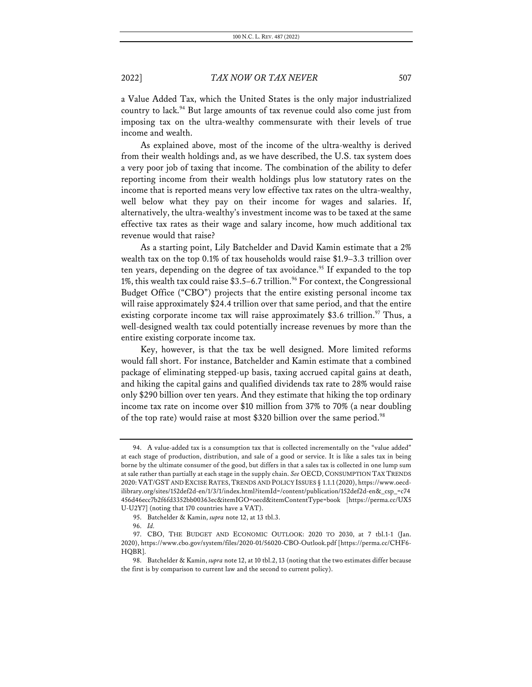a Value Added Tax, which the United States is the only major industrialized country to lack.<sup>94</sup> But large amounts of tax revenue could also come just from imposing tax on the ultra-wealthy commensurate with their levels of true income and wealth.

As explained above, most of the income of the ultra-wealthy is derived from their wealth holdings and, as we have described, the U.S. tax system does a very poor job of taxing that income. The combination of the ability to defer reporting income from their wealth holdings plus low statutory rates on the income that is reported means very low effective tax rates on the ultra-wealthy, well below what they pay on their income for wages and salaries. If, alternatively, the ultra-wealthy's investment income was to be taxed at the same effective tax rates as their wage and salary income, how much additional tax revenue would that raise?

As a starting point, Lily Batchelder and David Kamin estimate that a 2% wealth tax on the top 0.1% of tax households would raise \$1.9–3.3 trillion over ten years, depending on the degree of tax avoidance.<sup>95</sup> If expanded to the top 1%, this wealth tax could raise  $$3.5-6.7$  trillion.<sup>96</sup> For context, the Congressional Budget Office ("CBO") projects that the entire existing personal income tax will raise approximately \$24.4 trillion over that same period, and that the entire existing corporate income tax will raise approximately \$3.6 trillion.<sup>97</sup> Thus, a well-designed wealth tax could potentially increase revenues by more than the entire existing corporate income tax.

Key, however, is that the tax be well designed. More limited reforms would fall short. For instance, Batchelder and Kamin estimate that a combined package of eliminating stepped-up basis, taxing accrued capital gains at death, and hiking the capital gains and qualified dividends tax rate to 28% would raise only \$290 billion over ten years. And they estimate that hiking the top ordinary income tax rate on income over \$10 million from 37% to 70% (a near doubling of the top rate) would raise at most \$320 billion over the same period.<sup>98</sup>

<sup>94.</sup> A value-added tax is a consumption tax that is collected incrementally on the "value added" at each stage of production, distribution, and sale of a good or service. It is like a sales tax in being borne by the ultimate consumer of the good, but differs in that a sales tax is collected in one lump sum at sale rather than partially at each stage in the supply chain. *See* OECD,CONSUMPTION TAX TRENDS 2020:VAT/GST AND EXCISE RATES,TRENDS AND POLICY ISSUES § 1.1.1(2020), https://www.oecdilibrary.org/sites/152def2d-en/1/3/1/index.html?itemId=/content/publication/152def2d-en&\_csp\_=c74 456d46ecc7b2f6fd3352bb00363ec&itemIGO=oecd&itemContentType=book [https://perma.cc/UX5 U-U2Y7] (noting that 170 countries have a VAT).

<sup>95.</sup> Batchelder & Kamin, *supra* note 12, at 13 tbl.3.

<sup>96.</sup> *Id.*

<sup>97.</sup> CBO, THE BUDGET AND ECONOMIC OUTLOOK: 2020 TO 2030, at 7 tbl.1-1 (Jan. 2020), https://www.cbo.gov/system/files/2020-01/56020-CBO-Outlook.pdf [https://perma.cc/CHF6- HQBR].

<sup>98.</sup> Batchelder & Kamin, *supra* note 12, at 10 tbl.2, 13 (noting that the two estimates differ because the first is by comparison to current law and the second to current policy).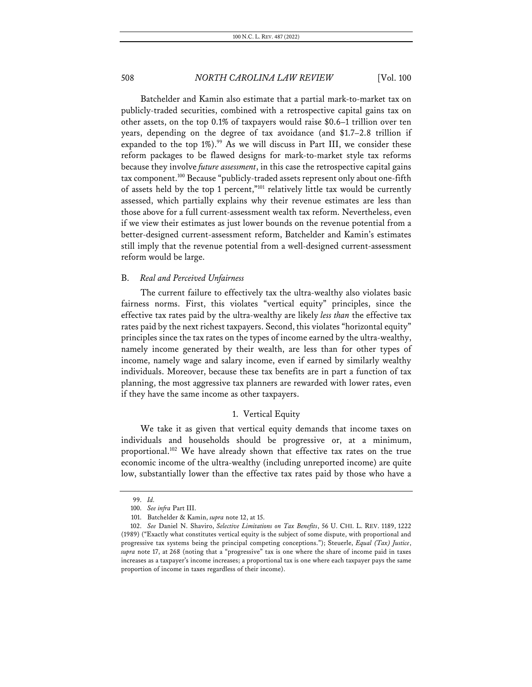Batchelder and Kamin also estimate that a partial mark-to-market tax on publicly-traded securities, combined with a retrospective capital gains tax on other assets, on the top 0.1% of taxpayers would raise \$0.6–1 trillion over ten years, depending on the degree of tax avoidance (and \$1.7–2.8 trillion if expanded to the top  $1\%$ ).<sup>99</sup> As we will discuss in Part III, we consider these reform packages to be flawed designs for mark-to-market style tax reforms because they involve *future assessment*, in this case the retrospective capital gains tax component.100 Because "publicly-traded assets represent only about one-fifth of assets held by the top 1 percent,"<sup>101</sup> relatively little tax would be currently assessed, which partially explains why their revenue estimates are less than those above for a full current-assessment wealth tax reform. Nevertheless, even if we view their estimates as just lower bounds on the revenue potential from a better-designed current-assessment reform, Batchelder and Kamin's estimates still imply that the revenue potential from a well-designed current-assessment reform would be large.

### B. *Real and Perceived Unfairness*

The current failure to effectively tax the ultra-wealthy also violates basic fairness norms. First, this violates "vertical equity" principles, since the effective tax rates paid by the ultra-wealthy are likely *less than* the effective tax rates paid by the next richest taxpayers. Second, this violates "horizontal equity" principles since the tax rates on the types of income earned by the ultra-wealthy, namely income generated by their wealth, are less than for other types of income, namely wage and salary income, even if earned by similarly wealthy individuals. Moreover, because these tax benefits are in part a function of tax planning, the most aggressive tax planners are rewarded with lower rates, even if they have the same income as other taxpayers.

### 1. Vertical Equity

We take it as given that vertical equity demands that income taxes on individuals and households should be progressive or, at a minimum, proportional.102 We have already shown that effective tax rates on the true economic income of the ultra-wealthy (including unreported income) are quite low, substantially lower than the effective tax rates paid by those who have a

<sup>99.</sup> *Id.*

<sup>100.</sup> *See infra* Part III.

<sup>101.</sup> Batchelder & Kamin, *supra* note 12, at 15.

<sup>102.</sup> *See* Daniel N. Shaviro, *Selective Limitations on Tax Benefits*, 56 U. CHI. L. REV. 1189, 1222 (1989) ("Exactly what constitutes vertical equity is the subject of some dispute, with proportional and progressive tax systems being the principal competing conceptions."); Steuerle, *Equal (Tax) Justice*, *supra* note 17, at 268 (noting that a "progressive" tax is one where the share of income paid in taxes increases as a taxpayer's income increases; a proportional tax is one where each taxpayer pays the same proportion of income in taxes regardless of their income).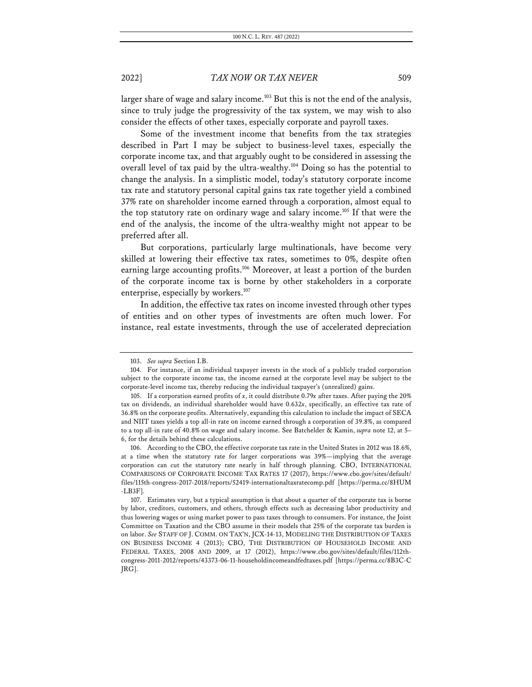larger share of wage and salary income.<sup>103</sup> But this is not the end of the analysis, since to truly judge the progressivity of the tax system, we may wish to also consider the effects of other taxes, especially corporate and payroll taxes.

Some of the investment income that benefits from the tax strategies described in Part I may be subject to business-level taxes, especially the corporate income tax, and that arguably ought to be considered in assessing the overall level of tax paid by the ultra-wealthy.104 Doing so has the potential to change the analysis. In a simplistic model, today's statutory corporate income tax rate and statutory personal capital gains tax rate together yield a combined 37% rate on shareholder income earned through a corporation, almost equal to the top statutory rate on ordinary wage and salary income.<sup>105</sup> If that were the end of the analysis, the income of the ultra-wealthy might not appear to be preferred after all.

But corporations, particularly large multinationals, have become very skilled at lowering their effective tax rates, sometimes to 0%, despite often earning large accounting profits.<sup>106</sup> Moreover, at least a portion of the burden of the corporate income tax is borne by other stakeholders in a corporate enterprise, especially by workers.<sup>107</sup>

In addition, the effective tax rates on income invested through other types of entities and on other types of investments are often much lower. For instance, real estate investments, through the use of accelerated depreciation

<sup>103.</sup> *See supra* Section I.B.

<sup>104.</sup> For instance, if an individual taxpayer invests in the stock of a publicly traded corporation subject to the corporate income tax, the income earned at the corporate level may be subject to the corporate-level income tax, thereby reducing the individual taxpayer's (unrealized) gains.

<sup>105.</sup> If a corporation earned profits of *x*, it could distribute 0.79*x* after taxes. After paying the 20% tax on dividends, an individual shareholder would have 0.632*x*, specifically, an effective tax rate of 36.8% on the corporate profits. Alternatively, expanding this calculation to include the impact of SECA and NIIT taxes yields a top all-in rate on income earned through a corporation of 39.8%, as compared to a top all-in rate of 40.8% on wage and salary income. See Batchelder & Kamin, *supra* note 12, at 5– 6, for the details behind these calculations.

<sup>106.</sup> According to the CBO, the effective corporate tax rate in the United States in 2012 was 18.6%, at a time when the statutory rate for larger corporations was 39%—implying that the average corporation can cut the statutory rate nearly in half through planning. CBO, INTERNATIONAL COMPARISONS OF CORPORATE INCOME TAX RATES 17 (2017), https://www.cbo.gov/sites/default/ files/115th-congress-2017-2018/reports/52419-internationaltaxratecomp.pdf [https://perma.cc/8HUM -LB3F].

<sup>107.</sup> Estimates vary, but a typical assumption is that about a quarter of the corporate tax is borne by labor, creditors, customers, and others, through effects such as decreasing labor productivity and thus lowering wages or using market power to pass taxes through to consumers. For instance, the Joint Committee on Taxation and the CBO assume in their models that 25% of the corporate tax burden is on labor. *See* STAFF OF J. COMM. ON TAX'N, JCX-14-13, MODELING THE DISTRIBUTION OF TAXES ON BUSINESS INCOME 4 (2013); CBO, THE DISTRIBUTION OF HOUSEHOLD INCOME AND FEDERAL TAXES, 2008 AND 2009, at 17 (2012), https://www.cbo.gov/sites/default/files/112thcongress-2011-2012/reports/43373-06-11-householdincomeandfedtaxes.pdf [https://perma.cc/8B3C-C JRG].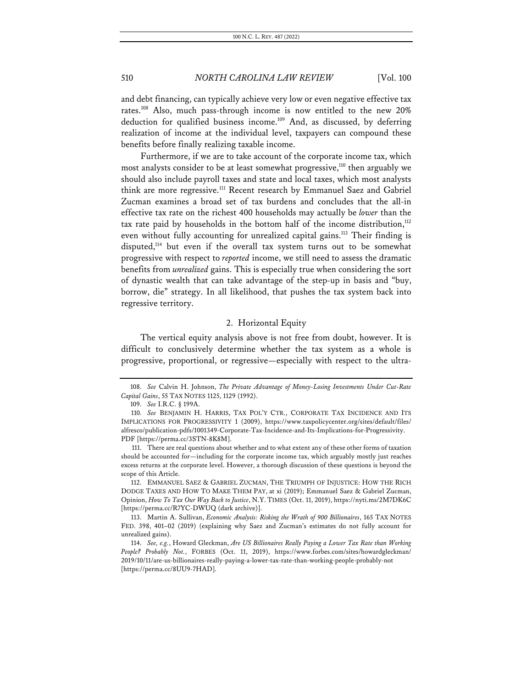and debt financing, can typically achieve very low or even negative effective tax rates.108 Also, much pass-through income is now entitled to the new 20% deduction for qualified business income.<sup>109</sup> And, as discussed, by deferring realization of income at the individual level, taxpayers can compound these benefits before finally realizing taxable income.

Furthermore, if we are to take account of the corporate income tax, which most analysts consider to be at least somewhat progressive,<sup>110</sup> then arguably we should also include payroll taxes and state and local taxes, which most analysts think are more regressive.<sup>111</sup> Recent research by Emmanuel Saez and Gabriel Zucman examines a broad set of tax burdens and concludes that the all-in effective tax rate on the richest 400 households may actually be *lower* than the tax rate paid by households in the bottom half of the income distribution,<sup>112</sup> even without fully accounting for unrealized capital gains.<sup>113</sup> Their finding is disputed,114 but even if the overall tax system turns out to be somewhat progressive with respect to *reported* income, we still need to assess the dramatic benefits from *unrealized* gains. This is especially true when considering the sort of dynastic wealth that can take advantage of the step-up in basis and "buy, borrow, die" strategy. In all likelihood, that pushes the tax system back into regressive territory.

### 2. Horizontal Equity

The vertical equity analysis above is not free from doubt, however. It is difficult to conclusively determine whether the tax system as a whole is progressive, proportional, or regressive—especially with respect to the ultra-

<sup>108.</sup> *See* Calvin H. Johnson, *The Private Advantage of Money-Losing Investments Under Cut-Rate Capital Gains*, 55 TAX NOTES 1125, 1129 (1992).

<sup>109.</sup> *See* I.R.C. § 199A.

<sup>110.</sup> *See* BENJAMIN H. HARRIS, TAX POL'Y CTR., CORPORATE TAX INCIDENCE AND ITS IMPLICATIONS FOR PROGRESSIVITY 1 (2009), https://www.taxpolicycenter.org/sites/default/files/ alfresco/publication-pdfs/1001349-Corporate-Tax-Incidence-and-Its-Implications-for-Progressivity. PDF [https://perma.cc/3STN-8K8M].

<sup>111.</sup> There are real questions about whether and to what extent any of these other forms of taxation should be accounted for—including for the corporate income tax, which arguably mostly just reaches excess returns at the corporate level. However, a thorough discussion of these questions is beyond the scope of this Article.

<sup>112.</sup> EMMANUEL SAEZ & GABRIEL ZUCMAN, THE TRIUMPH OF INJUSTICE: HOW THE RICH DODGE TAXES AND HOW TO MAKE THEM PAY, at xi (2019); Emmanuel Saez & Gabriel Zucman, Opinion, *How To Tax Our Way Back to Justice*, N.Y. TIMES (Oct. 11, 2019), https://nyti.ms/2M7DK6C [https://perma.cc/R7YC-DWUQ (dark archive)].

<sup>113.</sup> Martin A. Sullivan, *Economic Analysis: Risking the Wrath of 900 Billionaires*, 165 TAX NOTES FED. 398, 401–02 (2019) (explaining why Saez and Zucman's estimates do not fully account for unrealized gains).

<sup>114.</sup> *See, e.g.*, Howard Gleckman, *Are US Billionaires Really Paying a Lower Tax Rate than Working People? Probably Not.*, FORBES (Oct. 11, 2019), https://www.forbes.com/sites/howardgleckman/ 2019/10/11/are-us-billionaires-really-paying-a-lower-tax-rate-than-working-people-probably-not [https://perma.cc/8UU9-7HAD].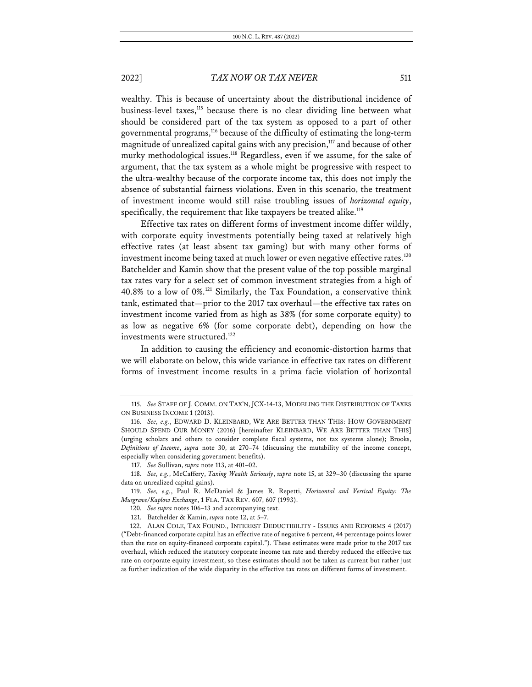wealthy. This is because of uncertainty about the distributional incidence of business-level taxes,<sup>115</sup> because there is no clear dividing line between what should be considered part of the tax system as opposed to a part of other governmental programs,<sup>116</sup> because of the difficulty of estimating the long-term magnitude of unrealized capital gains with any precision,<sup>117</sup> and because of other murky methodological issues.<sup>118</sup> Regardless, even if we assume, for the sake of argument, that the tax system as a whole might be progressive with respect to the ultra-wealthy because of the corporate income tax, this does not imply the absence of substantial fairness violations. Even in this scenario, the treatment of investment income would still raise troubling issues of *horizontal equity*, specifically, the requirement that like taxpayers be treated alike. $119$ 

Effective tax rates on different forms of investment income differ wildly, with corporate equity investments potentially being taxed at relatively high effective rates (at least absent tax gaming) but with many other forms of investment income being taxed at much lower or even negative effective rates.<sup>120</sup> Batchelder and Kamin show that the present value of the top possible marginal tax rates vary for a select set of common investment strategies from a high of 40.8% to a low of 0%.121 Similarly, the Tax Foundation, a conservative think tank, estimated that—prior to the 2017 tax overhaul—the effective tax rates on investment income varied from as high as 38% (for some corporate equity) to as low as negative 6% (for some corporate debt), depending on how the investments were structured.<sup>122</sup>

In addition to causing the efficiency and economic-distortion harms that we will elaborate on below, this wide variance in effective tax rates on different forms of investment income results in a prima facie violation of horizontal

117. *See* Sullivan, *supra* note 113, at 401–02.

<sup>115.</sup> *See* STAFF OF J. COMM. ON TAX'N, JCX-14-13, MODELING THE DISTRIBUTION OF TAXES ON BUSINESS INCOME 1 (2013).

<sup>116.</sup> *See, e.g.*, EDWARD D. KLEINBARD, WE ARE BETTER THAN THIS: HOW GOVERNMENT SHOULD SPEND OUR MONEY (2016) [hereinafter KLEINBARD, WE ARE BETTER THAN THIS] (urging scholars and others to consider complete fiscal systems, not tax systems alone); Brooks, *Definitions of Income*, *supra* note 30, at 270–74 (discussing the mutability of the income concept, especially when considering government benefits).

<sup>118.</sup> *See, e.g.*, McCaffery, *Taxing Wealth Seriously*, *supra* note 15, at 329–30 (discussing the sparse data on unrealized capital gains).

<sup>119.</sup> *See, e.g.*, Paul R. McDaniel & James R. Repetti, *Horizontal and Vertical Equity: The Musgrave/Kaplow Exchange*, 1 FLA. TAX REV. 607, 607 (1993).

<sup>120.</sup> *See supra* notes 106–13 and accompanying text.

<sup>121.</sup> Batchelder & Kamin, *supra* note 12, at 5–7.

<sup>122.</sup> ALAN COLE, TAX FOUND., INTEREST DEDUCTIBILITY - ISSUES AND REFORMS 4 (2017) ("Debt-financed corporate capital has an effective rate of negative 6 percent, 44 percentage points lower than the rate on equity-financed corporate capital."). These estimates were made prior to the 2017 tax overhaul, which reduced the statutory corporate income tax rate and thereby reduced the effective tax rate on corporate equity investment, so these estimates should not be taken as current but rather just as further indication of the wide disparity in the effective tax rates on different forms of investment.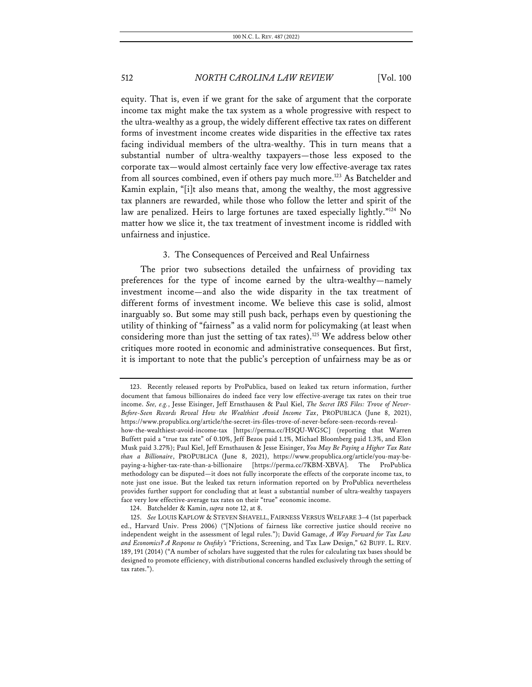equity. That is, even if we grant for the sake of argument that the corporate income tax might make the tax system as a whole progressive with respect to the ultra-wealthy as a group, the widely different effective tax rates on different forms of investment income creates wide disparities in the effective tax rates facing individual members of the ultra-wealthy. This in turn means that a substantial number of ultra-wealthy taxpayers—those less exposed to the corporate tax—would almost certainly face very low effective-average tax rates from all sources combined, even if others pay much more.<sup>123</sup> As Batchelder and Kamin explain, "[i]t also means that, among the wealthy, the most aggressive tax planners are rewarded, while those who follow the letter and spirit of the law are penalized. Heirs to large fortunes are taxed especially lightly."<sup>124</sup> No matter how we slice it, the tax treatment of investment income is riddled with unfairness and injustice.

### 3. The Consequences of Perceived and Real Unfairness

The prior two subsections detailed the unfairness of providing tax preferences for the type of income earned by the ultra-wealthy—namely investment income—and also the wide disparity in the tax treatment of different forms of investment income. We believe this case is solid, almost inarguably so. But some may still push back, perhaps even by questioning the utility of thinking of "fairness" as a valid norm for policymaking (at least when considering more than just the setting of tax rates).<sup>125</sup> We address below other critiques more rooted in economic and administrative consequences. But first, it is important to note that the public's perception of unfairness may be as or

124. Batchelder & Kamin, *supra* note 12, at 8.

<sup>123.</sup> Recently released reports by ProPublica, based on leaked tax return information, further document that famous billionaires do indeed face very low effective-average tax rates on their true income. *See, e.g.*, Jesse Eisinger, Jeff Ernsthausen & Paul Kiel, *The Secret IRS Files: Trove of Never-Before-Seen Records Reveal How the Wealthiest Avoid Income Tax*, PROPUBLICA (June 8, 2021), https://www.propublica.org/article/the-secret-irs-files-trove-of-never-before-seen-records-revealhow-the-wealthiest-avoid-income-tax [https://perma.cc/H5QU-WG5C] (reporting that Warren Buffett paid a "true tax rate" of 0.10%, Jeff Bezos paid 1.1%, Michael Bloomberg paid 1.3%, and Elon Musk paid 3.27%); Paul Kiel, Jeff Ernsthausen & Jesse Eisinger, *You May Be Paying a Higher Tax Rate than a Billionaire*, PROPUBLICA (June 8, 2021), https://www.propublica.org/article/you-may-bepaying-a-higher-tax-rate-than-a-billionaire [https://perma.cc/7KBM-XBVA]. The ProPublica methodology can be disputed—it does not fully incorporate the effects of the corporate income tax, to note just one issue. But the leaked tax return information reported on by ProPublica nevertheless provides further support for concluding that at least a substantial number of ultra-wealthy taxpayers face very low effective-average tax rates on their "true" economic income.

<sup>125.</sup> *See* LOUIS KAPLOW & STEVEN SHAVELL, FAIRNESS VERSUS WELFARE 3–4 (1st paperback ed., Harvard Univ. Press 2006) ("[N]otions of fairness like corrective justice should receive no independent weight in the assessment of legal rules."); David Gamage, *A Way Forward for Tax Law and Economics? A Response to Osofsky's* "Frictions, Screening, and Tax Law Design," 62 BUFF. L. REV. 189, 191 (2014) ("A number of scholars have suggested that the rules for calculating tax bases should be designed to promote efficiency, with distributional concerns handled exclusively through the setting of tax rates.").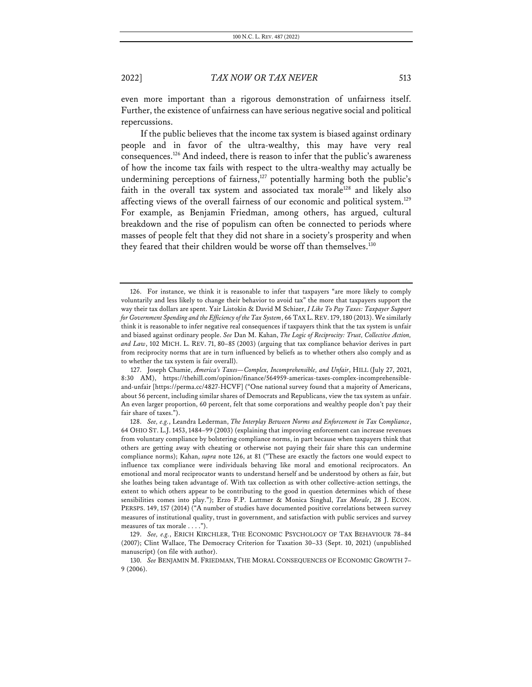even more important than a rigorous demonstration of unfairness itself. Further, the existence of unfairness can have serious negative social and political repercussions.

If the public believes that the income tax system is biased against ordinary people and in favor of the ultra-wealthy, this may have very real consequences.126 And indeed, there is reason to infer that the public's awareness of how the income tax fails with respect to the ultra-wealthy may actually be undermining perceptions of fairness,<sup>127</sup> potentially harming both the public's faith in the overall tax system and associated tax morale<sup>128</sup> and likely also affecting views of the overall fairness of our economic and political system.<sup>129</sup> For example, as Benjamin Friedman, among others, has argued, cultural breakdown and the rise of populism can often be connected to periods where masses of people felt that they did not share in a society's prosperity and when they feared that their children would be worse off than themselves.<sup>130</sup>

<sup>126.</sup> For instance, we think it is reasonable to infer that taxpayers "are more likely to comply voluntarily and less likely to change their behavior to avoid tax" the more that taxpayers support the way their tax dollars are spent. Yair Listokin & David M Schizer, *I Like To Pay Taxes: Taxpayer Support for Government Spending and the Efficiency of the Tax System*, 66 TAX L.REV.179,180 (2013).We similarly think it is reasonable to infer negative real consequences if taxpayers think that the tax system is unfair and biased against ordinary people. *See* Dan M. Kahan, *The Logic of Reciprocity: Trust, Collective Action, and Law*, 102 MICH. L. REV. 71, 80–85 (2003) (arguing that tax compliance behavior derives in part from reciprocity norms that are in turn influenced by beliefs as to whether others also comply and as to whether the tax system is fair overall).

<sup>127.</sup> Joseph Chamie, *America's Taxes—Complex, Incomprehensible, and Unfair*, HILL (July 27, 2021, 8:30 AM), https://thehill.com/opinion/finance/564959-americas-taxes-complex-incomprehensibleand-unfair [https://perma.cc/4827-HCVF] ("One national survey found that a majority of Americans, about 56 percent, including similar shares of Democrats and Republicans, view the tax system as unfair. An even larger proportion, 60 percent, felt that some corporations and wealthy people don't pay their fair share of taxes.").

<sup>128.</sup> *See, e.g.*, Leandra Lederman, *The Interplay Between Norms and Enforcement in Tax Compliance*, 64 OHIO ST. L.J. 1453, 1484–99 (2003) (explaining that improving enforcement can increase revenues from voluntary compliance by bolstering compliance norms, in part because when taxpayers think that others are getting away with cheating or otherwise not paying their fair share this can undermine compliance norms); Kahan, *supra* note 126, at 81 ("These are exactly the factors one would expect to influence tax compliance were individuals behaving like moral and emotional reciprocators. An emotional and moral reciprocator wants to understand herself and be understood by others as fair, but she loathes being taken advantage of. With tax collection as with other collective-action settings, the extent to which others appear to be contributing to the good in question determines which of these sensibilities comes into play."); Erzo F.P. Luttmer & Monica Singhal, *Tax Morale*, 28 J. ECON. PERSPS. 149, 157 (2014) ("A number of studies have documented positive correlations between survey measures of institutional quality, trust in government, and satisfaction with public services and survey measures of tax morale . . . .").

<sup>129.</sup> *See, e.g.*, ERICH KIRCHLER, THE ECONOMIC PSYCHOLOGY OF TAX BEHAVIOUR 78–84 (2007); Clint Wallace, The Democracy Criterion for Taxation 30–33 (Sept. 10, 2021) (unpublished manuscript) (on file with author).

<sup>130.</sup> *See* BENJAMIN M. FRIEDMAN, THE MORAL CONSEQUENCES OF ECONOMIC GROWTH 7– 9 (2006).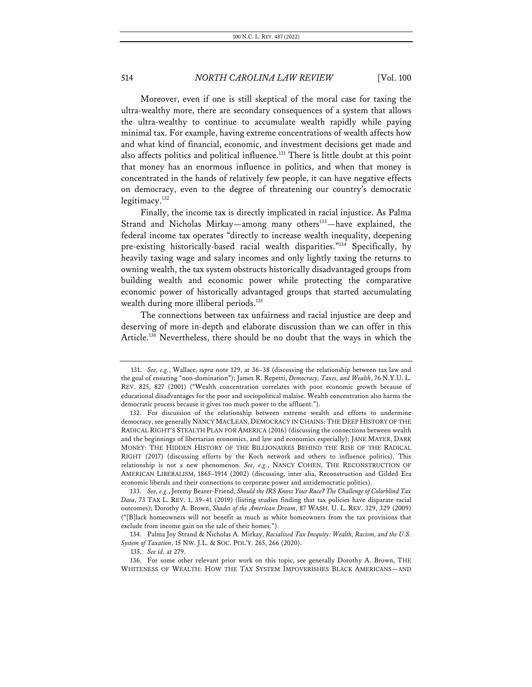Moreover, even if one is still skeptical of the moral case for taxing the ultra-wealthy more, there are secondary consequences of a system that allows the ultra-wealthy to continue to accumulate wealth rapidly while paying minimal tax. For example, having extreme concentrations of wealth affects how and what kind of financial, economic, and investment decisions get made and also affects politics and political influence.<sup>131</sup> There is little doubt at this point that money has an enormous influence in politics, and when that money is concentrated in the hands of relatively few people, it can have negative effects on democracy, even to the degree of threatening our country's democratic legitimacy.<sup>132</sup>

Finally, the income tax is directly implicated in racial injustice. As Palma Strand and Nicholas Mirkay—among many others<sup>133</sup>—have explained, the federal income tax operates "directly to increase wealth inequality, deepening pre-existing historically-based racial wealth disparities."134 Specifically, by heavily taxing wage and salary incomes and only lightly taxing the returns to owning wealth, the tax system obstructs historically disadvantaged groups from building wealth and economic power while protecting the comparative economic power of historically advantaged groups that started accumulating wealth during more illiberal periods.<sup>135</sup>

The connections between tax unfairness and racial injustice are deep and deserving of more in-depth and elaborate discussion than we can offer in this Article.<sup>136</sup> Nevertheless, there should be no doubt that the ways in which the

<sup>131.</sup> *See, e.g.*, Wallace, *supra* note 129, at 36–38 (discussing the relationship between tax law and the goal of ensuring "non-domination"); James R. Repetti, *Democracy, Taxes, and Wealth*, 76 N.Y.U. L. REV. 825, 827 (2001) ("Wealth concentration correlates with poor economic growth because of educational disadvantages for the poor and sociopolitical malaise. Wealth concentration also harms the democratic process because it gives too much power to the affluent.").

<sup>132.</sup> For discussion of the relationship between extreme wealth and efforts to undermine democracy, see generally NANCY MACLEAN, DEMOCRACY IN CHAINS: THE DEEP HISTORY OF THE RADICAL RIGHT'S STEALTH PLAN FOR AMERICA (2016) (discussing the connections between wealth and the beginnings of libertarian economics, and law and economics especially); JANE MAYER, DARK MONEY: THE HIDDEN HISTORY OF THE BILLIONAIRES BEHIND THE RISE OF THE RADICAL RIGHT (2017) (discussing efforts by the Koch network and others to influence politics). This relationship is not a new phenomenon. *See, e.g.*, NANCY COHEN, THE RECONSTRUCTION OF AMERICAN LIBERALISM, 1865–1914 (2002) (discussing, inter alia, Reconstruction and Gilded Era economic liberals and their connections to corporate power and antidemocratic politics).

<sup>133.</sup> *See, e.g.*, Jeremy Bearer-Friend, *Should the IRS Know Your Race? The Challenge of Colorblind Tax Data*, 73 TAX L. REV. 1, 39–41 (2019) (listing studies finding that tax policies have disparate racial outcomes); Dorothy A. Brown, *Shades of the American Dream*, 87 WASH. U. L. REV. 329, 329 (2009) ("[B]lack homeowners will not benefit as much as white homeowners from the tax provisions that exclude from income gain on the sale of their homes.").

<sup>134.</sup> Palma Joy Strand & Nicholas A. Mirkay, *Racialized Tax Inequity: Wealth, Racism, and the U.S. System of Taxation*, 15 NW. J.L. & SOC. POL'Y. 265, 266 (2020).

<sup>135.</sup> *See id.* at 279.

<sup>136.</sup> For some other relevant prior work on this topic, see generally Dorothy A. Brown, THE WHITENESS OF WEALTH: HOW THE TAX SYSTEM IMPOVERISHES BLACK AMERICANS—AND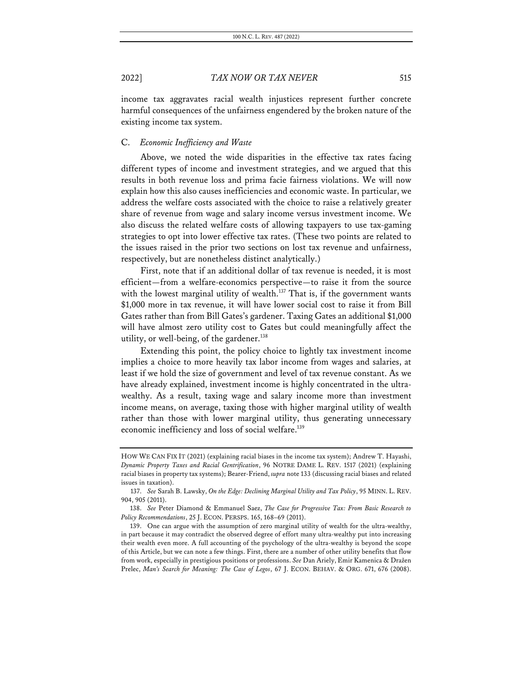income tax aggravates racial wealth injustices represent further concrete harmful consequences of the unfairness engendered by the broken nature of the existing income tax system.

### C. *Economic Inefficiency and Waste*

Above, we noted the wide disparities in the effective tax rates facing different types of income and investment strategies, and we argued that this results in both revenue loss and prima facie fairness violations. We will now explain how this also causes inefficiencies and economic waste. In particular, we address the welfare costs associated with the choice to raise a relatively greater share of revenue from wage and salary income versus investment income. We also discuss the related welfare costs of allowing taxpayers to use tax-gaming strategies to opt into lower effective tax rates. (These two points are related to the issues raised in the prior two sections on lost tax revenue and unfairness, respectively, but are nonetheless distinct analytically.)

First, note that if an additional dollar of tax revenue is needed, it is most efficient—from a welfare-economics perspective—to raise it from the source with the lowest marginal utility of wealth.<sup>137</sup> That is, if the government wants \$1,000 more in tax revenue, it will have lower social cost to raise it from Bill Gates rather than from Bill Gates's gardener. Taxing Gates an additional \$1,000 will have almost zero utility cost to Gates but could meaningfully affect the utility, or well-being, of the gardener.<sup>138</sup>

Extending this point, the policy choice to lightly tax investment income implies a choice to more heavily tax labor income from wages and salaries, at least if we hold the size of government and level of tax revenue constant. As we have already explained, investment income is highly concentrated in the ultrawealthy. As a result, taxing wage and salary income more than investment income means, on average, taxing those with higher marginal utility of wealth rather than those with lower marginal utility, thus generating unnecessary economic inefficiency and loss of social welfare.<sup>139</sup>

HOW WE CAN FIX IT (2021) (explaining racial biases in the income tax system); Andrew T. Hayashi, *Dynamic Property Taxes and Racial Gentrification*, 96 NOTRE DAME L. REV. 1517 (2021) (explaining racial biases in property tax systems); Bearer-Friend, *supra* note 133 (discussing racial biases and related issues in taxation).

<sup>137.</sup> *See* Sarah B. Lawsky, *On the Edge: Declining Marginal Utility and Tax Policy*, 95 MINN. L. REV. 904, 905 (2011).

<sup>138.</sup> *See* Peter Diamond & Emmanuel Saez, *The Case for Progressive Tax: From Basic Research to Policy Recommendations*, 25 J. ECON. PERSPS. 165, 168–69 (2011).

<sup>139.</sup> One can argue with the assumption of zero marginal utility of wealth for the ultra-wealthy, in part because it may contradict the observed degree of effort many ultra-wealthy put into increasing their wealth even more. A full accounting of the psychology of the ultra-wealthy is beyond the scope of this Article, but we can note a few things. First, there are a number of other utility benefits that flow from work, especially in prestigious positions or professions. *See* Dan Ariely, Emir Kamenica & Dražen Prelec, *Man's Search for Meaning: The Case of Legos*, 67 J. ECON. BEHAV. & ORG. 671, 676 (2008).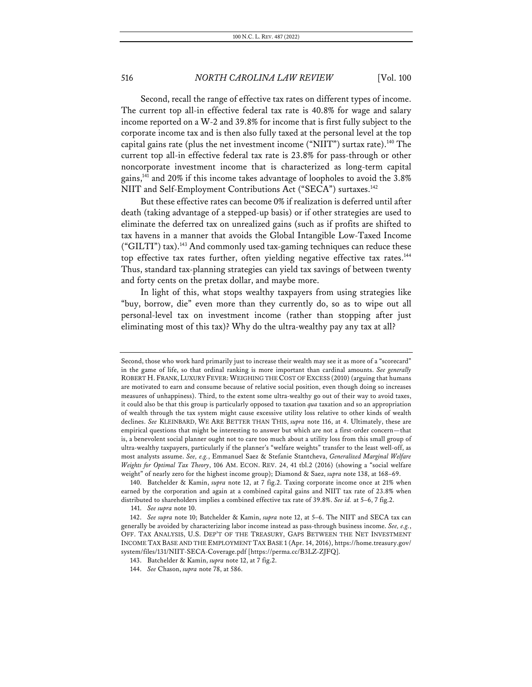Second, recall the range of effective tax rates on different types of income. The current top all-in effective federal tax rate is 40.8% for wage and salary income reported on a W-2 and 39.8% for income that is first fully subject to the corporate income tax and is then also fully taxed at the personal level at the top capital gains rate (plus the net investment income ("NIIT") surtax rate).<sup>140</sup> The current top all-in effective federal tax rate is 23.8% for pass-through or other noncorporate investment income that is characterized as long-term capital gains,141 and 20% if this income takes advantage of loopholes to avoid the 3.8% NIIT and Self-Employment Contributions Act ("SECA") surtaxes.<sup>142</sup>

But these effective rates can become 0% if realization is deferred until after death (taking advantage of a stepped-up basis) or if other strategies are used to eliminate the deferred tax on unrealized gains (such as if profits are shifted to tax havens in a manner that avoids the Global Intangible Low-Taxed Income ("GILTI") tax).<sup>143</sup> And commonly used tax-gaming techniques can reduce these top effective tax rates further, often yielding negative effective tax rates.<sup>144</sup> Thus, standard tax-planning strategies can yield tax savings of between twenty and forty cents on the pretax dollar, and maybe more.

In light of this, what stops wealthy taxpayers from using strategies like "buy, borrow, die" even more than they currently do, so as to wipe out all personal-level tax on investment income (rather than stopping after just eliminating most of this tax)? Why do the ultra-wealthy pay any tax at all?

Second, those who work hard primarily just to increase their wealth may see it as more of a "scorecard" in the game of life, so that ordinal ranking is more important than cardinal amounts. *See generally*  ROBERT H. FRANK, LUXURY FEVER: WEIGHING THE COST OF EXCESS (2010) (arguing that humans are motivated to earn and consume because of relative social position, even though doing so increases measures of unhappiness). Third, to the extent some ultra-wealthy go out of their way to avoid taxes, it could also be that this group is particularly opposed to taxation *qua* taxation and so an appropriation of wealth through the tax system might cause excessive utility loss relative to other kinds of wealth declines. *See* KLEINBARD, WE ARE BETTER THAN THIS, *supra* note 116, at 4. Ultimately, these are empirical questions that might be interesting to answer but which are not a first-order concern—that is, a benevolent social planner ought not to care too much about a utility loss from this small group of ultra-wealthy taxpayers, particularly if the planner's "welfare weights" transfer to the least well-off, as most analysts assume. *See, e.g.*, Emmanuel Saez & Stefanie Stantcheva, *Generalized Marginal Welfare Weights for Optimal Tax Theory*, 106 AM. ECON. REV. 24, 41 tbl.2 (2016) (showing a "social welfare weight" of nearly zero for the highest income group); Diamond & Saez, *supra* note 138, at 168–69.

<sup>140.</sup> Batchelder & Kamin, *supra* note 12, at 7 fig.2. Taxing corporate income once at 21% when earned by the corporation and again at a combined capital gains and NIIT tax rate of 23.8% when distributed to shareholders implies a combined effective tax rate of 39.8%. *See id.* at 5–6, 7 fig.2.

<sup>141.</sup> *See supra* note 10.

<sup>142.</sup> *See supra* note 10; Batchelder & Kamin, *supra* note 12, at 5–6. The NIIT and SECA tax can generally be avoided by characterizing labor income instead as pass-through business income. *See, e.g.*, OFF. TAX ANALYSIS, U.S. DEP'T OF THE TREASURY, GAPS BETWEEN THE NET INVESTMENT INCOME TAX BASE AND THE EMPLOYMENT TAX BASE 1 (Apr. 14, 2016), https://home.treasury.gov/ system/files/131/NIIT-SECA-Coverage.pdf [https://perma.cc/B3LZ-ZJFQ].

<sup>143.</sup> Batchelder & Kamin, *supra* note 12, at 7 fig.2.

<sup>144.</sup> *See* Chason, *supra* note 78, at 586.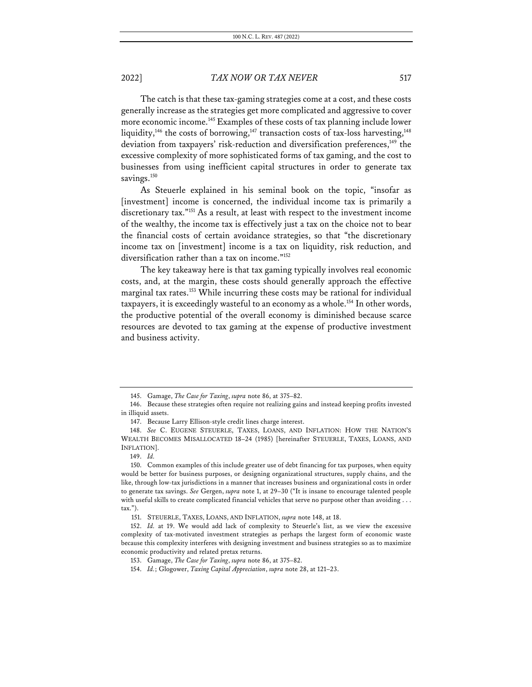The catch is that these tax-gaming strategies come at a cost, and these costs generally increase as the strategies get more complicated and aggressive to cover more economic income.<sup>145</sup> Examples of these costs of tax planning include lower liquidity,<sup>146</sup> the costs of borrowing,<sup>147</sup> transaction costs of tax-loss harvesting,<sup>148</sup> deviation from taxpayers' risk-reduction and diversification preferences,<sup>149</sup> the excessive complexity of more sophisticated forms of tax gaming, and the cost to businesses from using inefficient capital structures in order to generate tax savings.<sup>150</sup>

As Steuerle explained in his seminal book on the topic, "insofar as [investment] income is concerned, the individual income tax is primarily a discretionary tax."151 As a result, at least with respect to the investment income of the wealthy, the income tax is effectively just a tax on the choice not to bear the financial costs of certain avoidance strategies, so that "the discretionary income tax on [investment] income is a tax on liquidity, risk reduction, and diversification rather than a tax on income."152

The key takeaway here is that tax gaming typically involves real economic costs, and, at the margin, these costs should generally approach the effective marginal tax rates.<sup>153</sup> While incurring these costs may be rational for individual taxpayers, it is exceedingly wasteful to an economy as a whole.<sup>154</sup> In other words, the productive potential of the overall economy is diminished because scarce resources are devoted to tax gaming at the expense of productive investment and business activity.

<sup>145.</sup> Gamage, *The Case for Taxing*, *supra* note 86, at 375–82.

<sup>146.</sup> Because these strategies often require not realizing gains and instead keeping profits invested in illiquid assets.

<sup>147.</sup> Because Larry Ellison-style credit lines charge interest.

<sup>148.</sup> *See* C. EUGENE STEUERLE, TAXES, LOANS, AND INFLATION: HOW THE NATION'S WEALTH BECOMES MISALLOCATED 18–24 (1985) [hereinafter STEUERLE, TAXES, LOANS, AND INFLATION].

<sup>149.</sup> *Id.*

<sup>150.</sup> Common examples of this include greater use of debt financing for tax purposes, when equity would be better for business purposes, or designing organizational structures, supply chains, and the like, through low-tax jurisdictions in a manner that increases business and organizational costs in order to generate tax savings. *See* Gergen, *supra* note 1, at 29–30 ("It is insane to encourage talented people with useful skills to create complicated financial vehicles that serve no purpose other than avoiding . . . tax.").

<sup>151.</sup> STEUERLE, TAXES, LOANS, AND INFLATION, *supra* note 148, at 18.

<sup>152.</sup> *Id.* at 19. We would add lack of complexity to Steuerle's list, as we view the excessive complexity of tax-motivated investment strategies as perhaps the largest form of economic waste because this complexity interferes with designing investment and business strategies so as to maximize economic productivity and related pretax returns.

<sup>153.</sup> Gamage, *The Case for Taxing*, *supra* note 86, at 375–82.

<sup>154.</sup> *Id.*; Glogower, *Taxing Capital Appreciation*, *supra* note 28, at 121–23.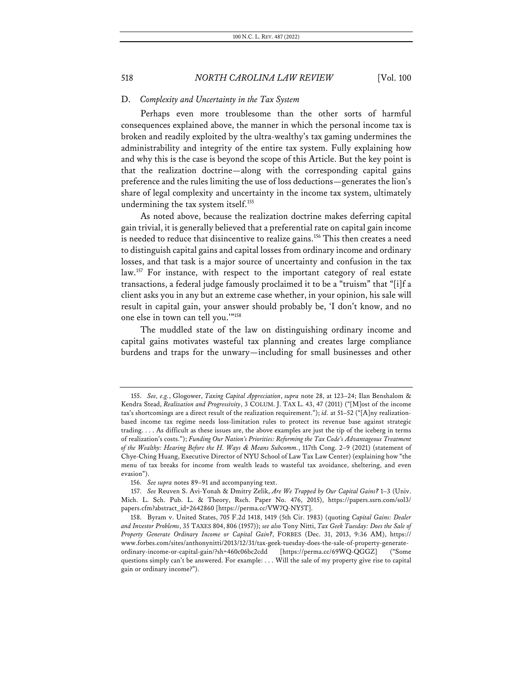### D. *Complexity and Uncertainty in the Tax System*

Perhaps even more troublesome than the other sorts of harmful consequences explained above, the manner in which the personal income tax is broken and readily exploited by the ultra-wealthy's tax gaming undermines the administrability and integrity of the entire tax system. Fully explaining how and why this is the case is beyond the scope of this Article. But the key point is that the realization doctrine—along with the corresponding capital gains preference and the rules limiting the use of loss deductions—generates the lion's share of legal complexity and uncertainty in the income tax system, ultimately undermining the tax system itself.<sup>155</sup>

As noted above, because the realization doctrine makes deferring capital gain trivial, it is generally believed that a preferential rate on capital gain income is needed to reduce that disincentive to realize gains.<sup>156</sup> This then creates a need to distinguish capital gains and capital losses from ordinary income and ordinary losses, and that task is a major source of uncertainty and confusion in the tax law.<sup>157</sup> For instance, with respect to the important category of real estate transactions, a federal judge famously proclaimed it to be a "truism" that "[i]f a client asks you in any but an extreme case whether, in your opinion, his sale will result in capital gain, your answer should probably be, 'I don't know, and no one else in town can tell you.'"158

The muddled state of the law on distinguishing ordinary income and capital gains motivates wasteful tax planning and creates large compliance burdens and traps for the unwary—including for small businesses and other

<sup>155.</sup> *See, e.g.*, Glogower, *Taxing Capital Appreciation*, *supra* note 28, at 123–24; Ilan Benshalom & Kendra Stead, *Realization and Progressivity*, 3 COLUM. J. TAX L. 43, 47 (2011) ("[M]ost of the income tax's shortcomings are a direct result of the realization requirement."); *id.* at 51–52 ("[A]ny realizationbased income tax regime needs loss-limitation rules to protect its revenue base against strategic trading. . . . As difficult as these issues are, the above examples are just the tip of the iceberg in terms of realization's costs."); *Funding Our Nation's Priorities: Reforming the Tax Code's Advantageous Treatment of the Wealthy: Hearing Before the H. Ways & Means Subcomm.*, 117th Cong. 2–9 (2021) (statement of Chye-Ching Huang, Executive Director of NYU School of Law Tax Law Center) (explaining how "the menu of tax breaks for income from wealth leads to wasteful tax avoidance, sheltering, and even evasion").

<sup>156.</sup> *See supra* notes 89–91 and accompanying text.

<sup>157.</sup> *See* Reuven S. Avi-Yonah & Dmitry Zelik, *Are We Trapped by Our Capital Gains?* 1–3 (Univ. Mich. L. Sch. Pub. L. & Theory, Rsch. Paper No. 476, 2015), https://papers.ssrn.com/sol3/ papers.cfm?abstract\_id=2642860 [https://perma.cc/VW7Q-NY5T].

<sup>158.</sup> Byram v. United States, 705 F.2d 1418, 1419 (5th Cir. 1983) (quoting *Capital Gains: Dealer and Investor Problems*, 35 TAXES 804, 806 (1957)); *see also* Tony Nitti, *Tax Geek Tuesday: Does the Sale of Property Generate Ordinary Income or Capital Gain?*, FORBES (Dec. 31, 2013, 9:36 AM), https:// www.forbes.com/sites/anthonynitti/2013/12/31/tax-geek-tuesday-does-the-sale-of-property-generateordinary-income-or-capital-gain/?sh=460c06bc2cdd [https://perma.cc/69WQ-QGGZ] ("Some questions simply can't be answered. For example: . . . Will the sale of my property give rise to capital gain or ordinary income?").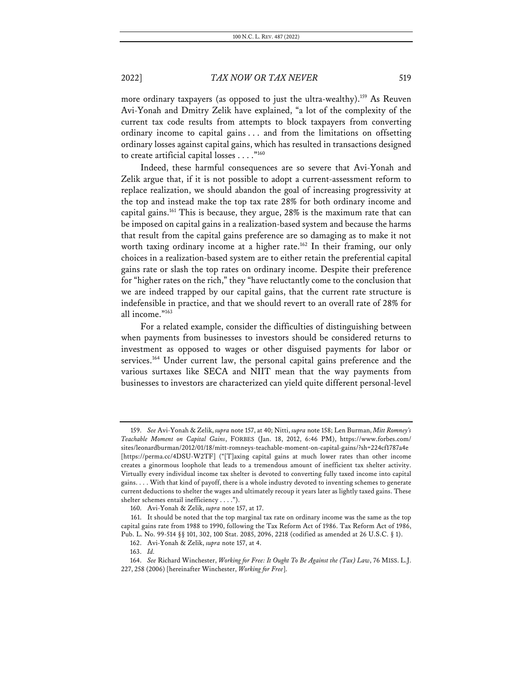more ordinary taxpayers (as opposed to just the ultra-wealthy).<sup>159</sup> As Reuven Avi-Yonah and Dmitry Zelik have explained, "a lot of the complexity of the current tax code results from attempts to block taxpayers from converting ordinary income to capital gains . . . and from the limitations on offsetting ordinary losses against capital gains, which has resulted in transactions designed to create artificial capital losses . . . ."160

Indeed, these harmful consequences are so severe that Avi-Yonah and Zelik argue that, if it is not possible to adopt a current-assessment reform to replace realization, we should abandon the goal of increasing progressivity at the top and instead make the top tax rate 28% for both ordinary income and capital gains.161 This is because, they argue, 28% is the maximum rate that can be imposed on capital gains in a realization-based system and because the harms that result from the capital gains preference are so damaging as to make it not worth taxing ordinary income at a higher rate.<sup>162</sup> In their framing, our only choices in a realization-based system are to either retain the preferential capital gains rate or slash the top rates on ordinary income. Despite their preference for "higher rates on the rich," they "have reluctantly come to the conclusion that we are indeed trapped by our capital gains, that the current rate structure is indefensible in practice, and that we should revert to an overall rate of 28% for all income."163

For a related example, consider the difficulties of distinguishing between when payments from businesses to investors should be considered returns to investment as opposed to wages or other disguised payments for labor or services.<sup>164</sup> Under current law, the personal capital gains preference and the various surtaxes like SECA and NIIT mean that the way payments from businesses to investors are characterized can yield quite different personal-level

<sup>159.</sup> *See* Avi-Yonah & Zelik, *supra* note 157, at 40; Nitti, *supra* note 158; Len Burman, *Mitt Romney's Teachable Moment on Capital Gains*, FORBES (Jan. 18, 2012, 6:46 PM), https://www.forbes.com/ sites/leonardburman/2012/01/18/mitt-romneys-teachable-moment-on-capital-gains/?sh=224cf1787a4e [https://perma.cc/4DSU-W2TF] ("[T]axing capital gains at much lower rates than other income creates a ginormous loophole that leads to a tremendous amount of inefficient tax shelter activity. Virtually every individual income tax shelter is devoted to converting fully taxed income into capital gains. . . . With that kind of payoff, there is a whole industry devoted to inventing schemes to generate current deductions to shelter the wages and ultimately recoup it years later as lightly taxed gains. These shelter schemes entail inefficiency . . . .").

<sup>160.</sup> Avi-Yonah & Zelik, *supra* note 157, at 17.

<sup>161.</sup> It should be noted that the top marginal tax rate on ordinary income was the same as the top capital gains rate from 1988 to 1990, following the Tax Reform Act of 1986. Tax Reform Act of 1986, Pub. L. No. 99-514 §§ 101, 302, 100 Stat. 2085, 2096, 2218 (codified as amended at 26 U.S.C. § 1).

<sup>162.</sup> Avi-Yonah & Zelik, *supra* note 157, at 4.

<sup>163.</sup> *Id.*

<sup>164.</sup> *See* Richard Winchester, *Working for Free: It Ought To Be Against the (Tax) Law*, 76 MISS. L.J. 227, 258 (2006) [hereinafter Winchester, *Working for Free*].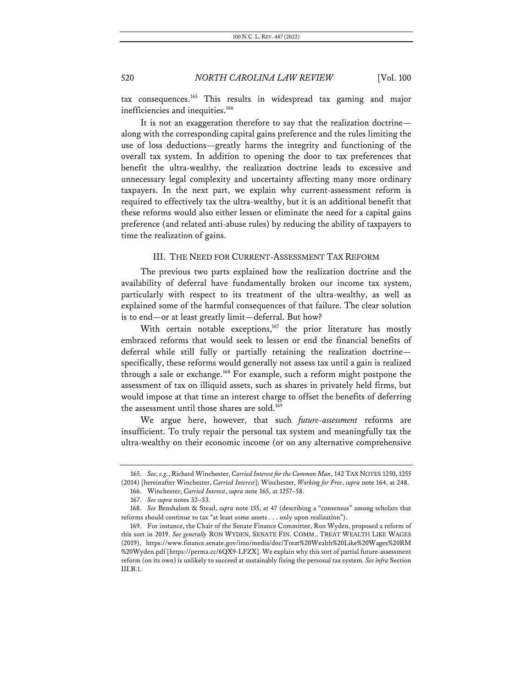tax consequences.165 This results in widespread tax gaming and major inefficiencies and inequities.<sup>166</sup>

It is not an exaggeration therefore to say that the realization doctrine along with the corresponding capital gains preference and the rules limiting the use of loss deductions—greatly harms the integrity and functioning of the overall tax system. In addition to opening the door to tax preferences that benefit the ultra-wealthy, the realization doctrine leads to excessive and unnecessary legal complexity and uncertainty affecting many more ordinary taxpayers. In the next part, we explain why current-assessment reform is required to effectively tax the ultra-wealthy, but it is an additional benefit that these reforms would also either lessen or eliminate the need for a capital gains preference (and related anti-abuse rules) by reducing the ability of taxpayers to time the realization of gains.

### III. THE NEED FOR CURRENT-ASSESSMENT TAX REFORM

The previous two parts explained how the realization doctrine and the availability of deferral have fundamentally broken our income tax system, particularly with respect to its treatment of the ultra-wealthy, as well as explained some of the harmful consequences of that failure. The clear solution is to end—or at least greatly limit—deferral. But how?

With certain notable exceptions, $167$  the prior literature has mostly embraced reforms that would seek to lessen or end the financial benefits of deferral while still fully or partially retaining the realization doctrine specifically, these reforms would generally not assess tax until a gain is realized through a sale or exchange.168 For example, such a reform might postpone the assessment of tax on illiquid assets, such as shares in privately held firms, but would impose at that time an interest charge to offset the benefits of deferring the assessment until those shares are sold. 169

We argue here, however, that such *future-assessment* reforms are insufficient. To truly repair the personal tax system and meaningfully tax the ultra-wealthy on their economic income (or on any alternative comprehensive

<sup>165.</sup> *See, e.g.*, Richard Winchester, *Carried Interest for the Common Man*, 142 TAX NOTES 1250, 1255 (2014) [hereinafter Winchester, *Carried Interest*]; Winchester, *Working for Free*, *supra* note 164, at 248.

<sup>166.</sup> Winchester, *Carried Interest*, *supra* note 165, at 1257–58.

<sup>167.</sup> *See supra* notes 32–33.

<sup>168.</sup> *See* Benshalom & Stead, *supra* note 155, at 47 (describing a "consensus" among scholars that reforms should continue to tax "at least some assets . . . only upon realization").

<sup>169.</sup> For instance, the Chair of the Senate Finance Committee, Ron Wyden, proposed a reform of this sort in 2019. *See generally* RON WYDEN, SENATE FIN. COMM., TREAT WEALTH LIKE WAGES (2019), https://www.finance.senate.gov/imo/media/doc/Treat%20Wealth%20Like%20Wages%20RM %20Wyden.pdf [https://perma.cc/6QX9-LFZX]. We explain why this sort of partial future-assessment reform (on its own) is unlikely to succeed at sustainably fixing the personal tax system. *See infra* Section III.B.1.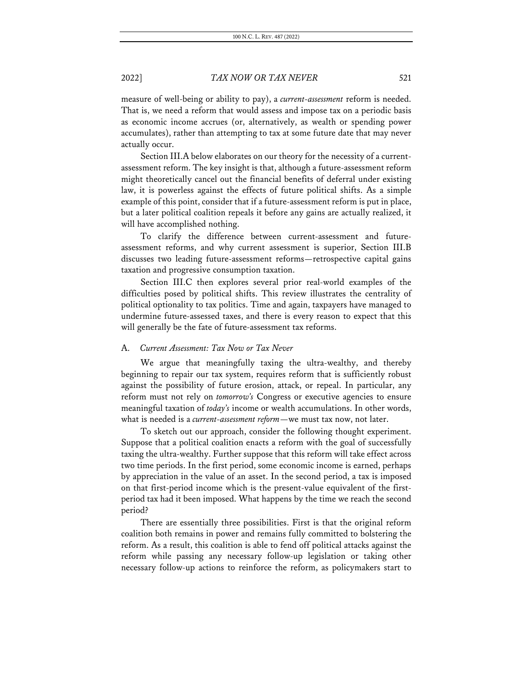measure of well-being or ability to pay), a *current-assessment* reform is needed. That is, we need a reform that would assess and impose tax on a periodic basis as economic income accrues (or, alternatively, as wealth or spending power accumulates), rather than attempting to tax at some future date that may never actually occur.

Section III.A below elaborates on our theory for the necessity of a currentassessment reform. The key insight is that, although a future-assessment reform might theoretically cancel out the financial benefits of deferral under existing law, it is powerless against the effects of future political shifts. As a simple example of this point, consider that if a future-assessment reform is put in place, but a later political coalition repeals it before any gains are actually realized, it will have accomplished nothing.

To clarify the difference between current-assessment and futureassessment reforms, and why current assessment is superior, Section III.B discusses two leading future-assessment reforms—retrospective capital gains taxation and progressive consumption taxation.

Section III.C then explores several prior real-world examples of the difficulties posed by political shifts. This review illustrates the centrality of political optionality to tax politics. Time and again, taxpayers have managed to undermine future-assessed taxes, and there is every reason to expect that this will generally be the fate of future-assessment tax reforms.

### A. *Current Assessment: Tax Now or Tax Never*

We argue that meaningfully taxing the ultra-wealthy, and thereby beginning to repair our tax system, requires reform that is sufficiently robust against the possibility of future erosion, attack, or repeal. In particular, any reform must not rely on *tomorrow's* Congress or executive agencies to ensure meaningful taxation of *today's* income or wealth accumulations. In other words, what is needed is a *current-assessment reform*—we must tax now, not later.

To sketch out our approach, consider the following thought experiment. Suppose that a political coalition enacts a reform with the goal of successfully taxing the ultra-wealthy. Further suppose that this reform will take effect across two time periods. In the first period, some economic income is earned, perhaps by appreciation in the value of an asset. In the second period, a tax is imposed on that first-period income which is the present-value equivalent of the firstperiod tax had it been imposed. What happens by the time we reach the second period?

There are essentially three possibilities. First is that the original reform coalition both remains in power and remains fully committed to bolstering the reform. As a result, this coalition is able to fend off political attacks against the reform while passing any necessary follow-up legislation or taking other necessary follow-up actions to reinforce the reform, as policymakers start to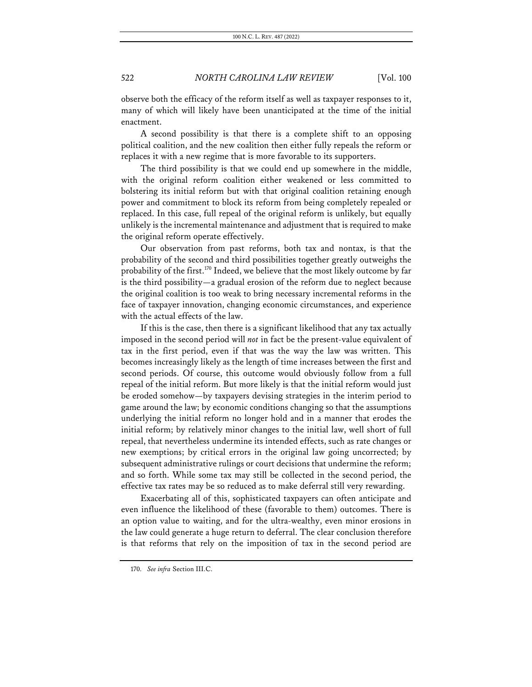observe both the efficacy of the reform itself as well as taxpayer responses to it, many of which will likely have been unanticipated at the time of the initial enactment.

A second possibility is that there is a complete shift to an opposing political coalition, and the new coalition then either fully repeals the reform or replaces it with a new regime that is more favorable to its supporters.

The third possibility is that we could end up somewhere in the middle, with the original reform coalition either weakened or less committed to bolstering its initial reform but with that original coalition retaining enough power and commitment to block its reform from being completely repealed or replaced. In this case, full repeal of the original reform is unlikely, but equally unlikely is the incremental maintenance and adjustment that is required to make the original reform operate effectively.

Our observation from past reforms, both tax and nontax, is that the probability of the second and third possibilities together greatly outweighs the probability of the first.<sup>170</sup> Indeed, we believe that the most likely outcome by far is the third possibility—a gradual erosion of the reform due to neglect because the original coalition is too weak to bring necessary incremental reforms in the face of taxpayer innovation, changing economic circumstances, and experience with the actual effects of the law.

If this is the case, then there is a significant likelihood that any tax actually imposed in the second period will *not* in fact be the present-value equivalent of tax in the first period, even if that was the way the law was written. This becomes increasingly likely as the length of time increases between the first and second periods. Of course, this outcome would obviously follow from a full repeal of the initial reform. But more likely is that the initial reform would just be eroded somehow—by taxpayers devising strategies in the interim period to game around the law; by economic conditions changing so that the assumptions underlying the initial reform no longer hold and in a manner that erodes the initial reform; by relatively minor changes to the initial law, well short of full repeal, that nevertheless undermine its intended effects, such as rate changes or new exemptions; by critical errors in the original law going uncorrected; by subsequent administrative rulings or court decisions that undermine the reform; and so forth. While some tax may still be collected in the second period, the effective tax rates may be so reduced as to make deferral still very rewarding.

Exacerbating all of this, sophisticated taxpayers can often anticipate and even influence the likelihood of these (favorable to them) outcomes. There is an option value to waiting, and for the ultra-wealthy, even minor erosions in the law could generate a huge return to deferral. The clear conclusion therefore is that reforms that rely on the imposition of tax in the second period are

<sup>170.</sup> *See infra* Section III.C.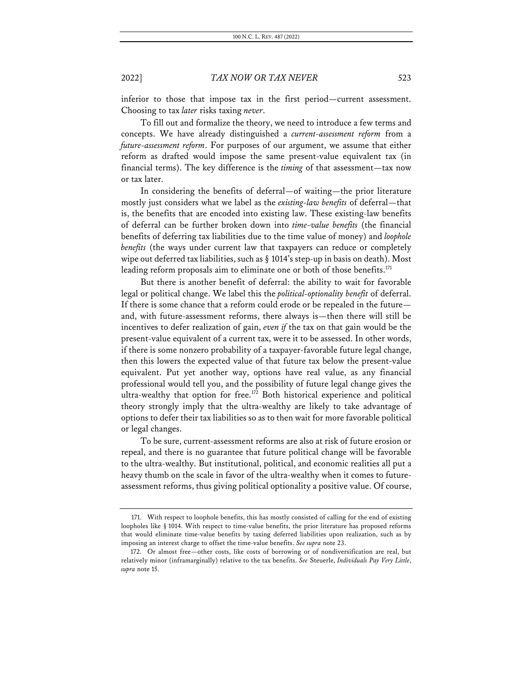inferior to those that impose tax in the first period—current assessment. Choosing to tax *later* risks taxing *never*.

To fill out and formalize the theory, we need to introduce a few terms and concepts. We have already distinguished a *current-assessment reform* from a *future-assessment reform*. For purposes of our argument, we assume that either reform as drafted would impose the same present-value equivalent tax (in financial terms). The key difference is the *timing* of that assessment—tax now or tax later.

In considering the benefits of deferral—of waiting—the prior literature mostly just considers what we label as the *existing-law benefits* of deferral—that is, the benefits that are encoded into existing law. These existing-law benefits of deferral can be further broken down into *time-value benefits* (the financial benefits of deferring tax liabilities due to the time value of money) and *loophole benefits* (the ways under current law that taxpayers can reduce or completely wipe out deferred tax liabilities, such as § 1014's step-up in basis on death). Most leading reform proposals aim to eliminate one or both of those benefits.<sup>171</sup>

But there is another benefit of deferral: the ability to wait for favorable legal or political change. We label this the *political-optionality benefit* of deferral. If there is some chance that a reform could erode or be repealed in the future and, with future-assessment reforms, there always is—then there will still be incentives to defer realization of gain, *even if* the tax on that gain would be the present-value equivalent of a current tax, were it to be assessed. In other words, if there is some nonzero probability of a taxpayer-favorable future legal change, then this lowers the expected value of that future tax below the present-value equivalent. Put yet another way, options have real value, as any financial professional would tell you, and the possibility of future legal change gives the ultra-wealthy that option for free.<sup>172</sup> Both historical experience and political theory strongly imply that the ultra-wealthy are likely to take advantage of options to defer their tax liabilities so as to then wait for more favorable political or legal changes.

To be sure, current-assessment reforms are also at risk of future erosion or repeal, and there is no guarantee that future political change will be favorable to the ultra-wealthy. But institutional, political, and economic realities all put a heavy thumb on the scale in favor of the ultra-wealthy when it comes to futureassessment reforms, thus giving political optionality a positive value. Of course,

<sup>171.</sup> With respect to loophole benefits, this has mostly consisted of calling for the end of existing loopholes like § 1014. With respect to time-value benefits, the prior literature has proposed reforms that would eliminate time-value benefits by taxing deferred liabilities upon realization, such as by imposing an interest charge to offset the time-value benefits. *See supra* note 23.

<sup>172.</sup> Or almost free—other costs, like costs of borrowing or of nondiversification are real, but relatively minor (inframarginally) relative to the tax benefits. *See* Steuerle, *Individuals Pay Very Little*, *supra* note 15.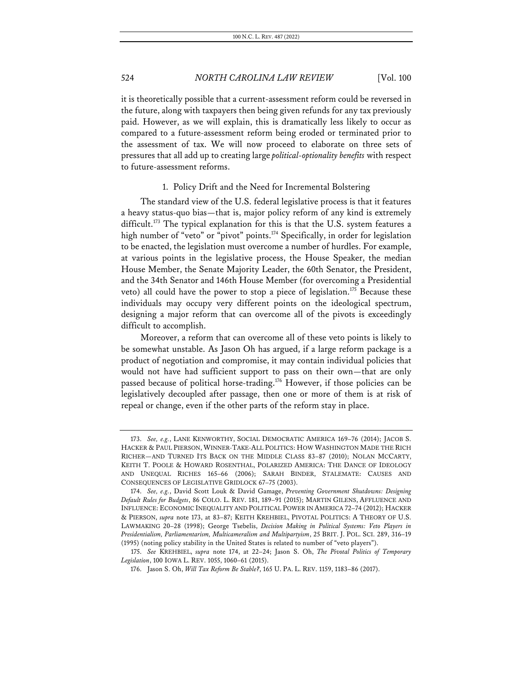it is theoretically possible that a current-assessment reform could be reversed in the future, along with taxpayers then being given refunds for any tax previously paid. However, as we will explain, this is dramatically less likely to occur as compared to a future-assessment reform being eroded or terminated prior to the assessment of tax. We will now proceed to elaborate on three sets of pressures that all add up to creating large *political-optionality benefits* with respect to future-assessment reforms.

### 1. Policy Drift and the Need for Incremental Bolstering

The standard view of the U.S. federal legislative process is that it features a heavy status-quo bias—that is, major policy reform of any kind is extremely difficult.<sup>173</sup> The typical explanation for this is that the U.S. system features a high number of "veto" or "pivot" points.<sup>174</sup> Specifically, in order for legislation to be enacted, the legislation must overcome a number of hurdles. For example, at various points in the legislative process, the House Speaker, the median House Member, the Senate Majority Leader, the 60th Senator, the President, and the 34th Senator and 146th House Member (for overcoming a Presidential veto) all could have the power to stop a piece of legislation.<sup>175</sup> Because these individuals may occupy very different points on the ideological spectrum, designing a major reform that can overcome all of the pivots is exceedingly difficult to accomplish.

Moreover, a reform that can overcome all of these veto points is likely to be somewhat unstable. As Jason Oh has argued, if a large reform package is a product of negotiation and compromise, it may contain individual policies that would not have had sufficient support to pass on their own—that are only passed because of political horse-trading.<sup>176</sup> However, if those policies can be legislatively decoupled after passage, then one or more of them is at risk of repeal or change, even if the other parts of the reform stay in place.

<sup>173.</sup> *See, e.g.*, LANE KENWORTHY, SOCIAL DEMOCRATIC AMERICA 169–76 (2014); JACOB S. HACKER & PAUL PIERSON, WINNER-TAKE-ALL POLITICS: HOW WASHINGTON MADE THE RICH RICHER—AND TURNED ITS BACK ON THE MIDDLE CLASS 83–87 (2010); NOLAN MCCARTY, KEITH T. POOLE & HOWARD ROSENTHAL, POLARIZED AMERICA: THE DANCE OF IDEOLOGY AND UNEQUAL RICHES 165–66 (2006); SARAH BINDER, STALEMATE: CAUSES AND CONSEQUENCES OF LEGISLATIVE GRIDLOCK 67–75 (2003).

<sup>174.</sup> *See, e.g.*, David Scott Louk & David Gamage, *Preventing Government Shutdowns: Designing Default Rules for Budgets*, 86 COLO. L. REV. 181, 189–91 (2015); MARTIN GILENS, AFFLUENCE AND INFLUENCE: ECONOMIC INEQUALITY AND POLITICAL POWER IN AMERICA 72–74 (2012); HACKER & PIERSON, *supra* note 173, at 83–87; KEITH KREHBIEL, PIVOTAL POLITICS: A THEORY OF U.S. LAWMAKING 20–28 (1998); George Tsebelis, *Decision Making in Political Systems: Veto Players in Presidentialism, Parliamentarism, Multicameralism and Multipartyism*, 25 BRIT. J. POL. SCI. 289, 316–19 (1995) (noting policy stability in the United States is related to number of "veto players").

<sup>175.</sup> *See* KREHBIEL, *supra* note 174, at 22–24; Jason S. Oh, *The Pivotal Politics of Temporary Legislation*, 100 IOWA L. REV. 1055, 1060–61 (2015).

<sup>176.</sup> Jason S. Oh, *Will Tax Reform Be Stable?*, 165 U. PA. L. REV. 1159, 1183–86 (2017).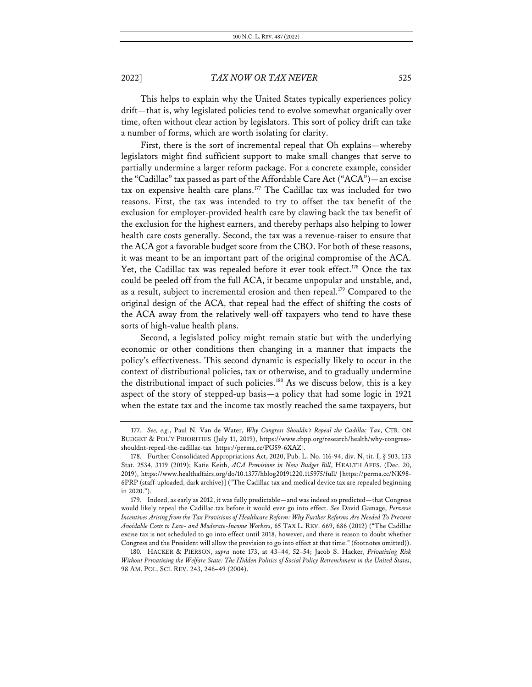This helps to explain why the United States typically experiences policy drift—that is, why legislated policies tend to evolve somewhat organically over time, often without clear action by legislators. This sort of policy drift can take a number of forms, which are worth isolating for clarity.

First, there is the sort of incremental repeal that Oh explains—whereby legislators might find sufficient support to make small changes that serve to partially undermine a larger reform package. For a concrete example, consider the "Cadillac" tax passed as part of the Affordable Care Act ("ACA")—an excise tax on expensive health care plans.<sup>177</sup> The Cadillac tax was included for two reasons. First, the tax was intended to try to offset the tax benefit of the exclusion for employer-provided health care by clawing back the tax benefit of the exclusion for the highest earners, and thereby perhaps also helping to lower health care costs generally. Second, the tax was a revenue-raiser to ensure that the ACA got a favorable budget score from the CBO. For both of these reasons, it was meant to be an important part of the original compromise of the ACA. Yet, the Cadillac tax was repealed before it ever took effect.<sup>178</sup> Once the tax could be peeled off from the full ACA, it became unpopular and unstable, and, as a result, subject to incremental erosion and then repeal.<sup>179</sup> Compared to the original design of the ACA, that repeal had the effect of shifting the costs of the ACA away from the relatively well-off taxpayers who tend to have these sorts of high-value health plans.

Second, a legislated policy might remain static but with the underlying economic or other conditions then changing in a manner that impacts the policy's effectiveness. This second dynamic is especially likely to occur in the context of distributional policies, tax or otherwise, and to gradually undermine the distributional impact of such policies.<sup>180</sup> As we discuss below, this is a key aspect of the story of stepped-up basis—a policy that had some logic in 1921 when the estate tax and the income tax mostly reached the same taxpayers, but

<sup>177.</sup> *See, e.g.*, Paul N. Van de Water, *Why Congress Shouldn't Repeal the Cadillac Tax*, CTR. ON BUDGET & POL'Y PRIORITIES (July 11, 2019), https://www.cbpp.org/research/health/why-congressshouldnt-repeal-the-cadillac-tax [https://perma.cc/PG59-6XAZ].

<sup>178.</sup> Further Consolidated Appropriations Act, 2020, Pub. L. No. 116-94, div. N, tit. I, § 503, 133 Stat. 2534, 3119 (2019); Katie Keith, *ACA Provisions in New Budget Bill*, HEALTH AFFS. (Dec. 20, 2019), https://www.healthaffairs.org/do/10.1377/hblog20191220.115975/full/ [https://perma.cc/NK98- 6PRP (staff-uploaded, dark archive)] ("The Cadillac tax and medical device tax are repealed beginning in 2020.").

<sup>179.</sup> Indeed, as early as 2012, it was fully predictable—and was indeed so predicted—that Congress would likely repeal the Cadillac tax before it would ever go into effect. *See* David Gamage, *Perverse Incentives Arising from the Tax Provisions of Healthcare Reform: Why Further Reforms Are Needed To Prevent Avoidable Costs to Low- and Moderate-Income Workers*, 65 TAX L. REV. 669, 686 (2012) ("The Cadillac excise tax is not scheduled to go into effect until 2018, however, and there is reason to doubt whether Congress and the President will allow the provision to go into effect at that time." (footnotes omitted)).

<sup>180.</sup> HACKER & PIERSON, *supra* note 173, at 43–44, 52–54; Jacob S. Hacker, *Privatizing Risk Without Privatizing the Welfare State: The Hidden Politics of Social Policy Retrenchment in the United States*, 98 AM. POL. SCI. REV. 243, 246–49 (2004).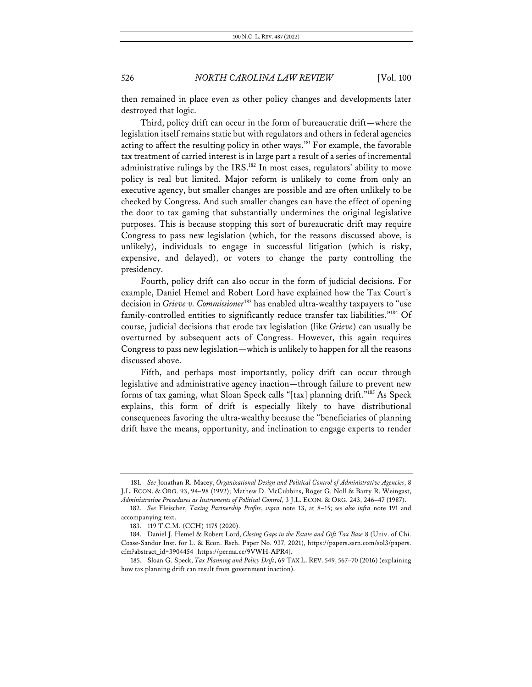then remained in place even as other policy changes and developments later destroyed that logic.

Third, policy drift can occur in the form of bureaucratic drift—where the legislation itself remains static but with regulators and others in federal agencies acting to affect the resulting policy in other ways.<sup>181</sup> For example, the favorable tax treatment of carried interest is in large part a result of a series of incremental administrative rulings by the IRS.<sup>182</sup> In most cases, regulators' ability to move policy is real but limited. Major reform is unlikely to come from only an executive agency, but smaller changes are possible and are often unlikely to be checked by Congress. And such smaller changes can have the effect of opening the door to tax gaming that substantially undermines the original legislative purposes. This is because stopping this sort of bureaucratic drift may require Congress to pass new legislation (which, for the reasons discussed above, is unlikely), individuals to engage in successful litigation (which is risky, expensive, and delayed), or voters to change the party controlling the presidency.

Fourth, policy drift can also occur in the form of judicial decisions. For example, Daniel Hemel and Robert Lord have explained how the Tax Court's decision in *Grieve v. Commissioner*<sup>183</sup> has enabled ultra-wealthy taxpayers to "use family-controlled entities to significantly reduce transfer tax liabilities."184 Of course, judicial decisions that erode tax legislation (like *Grieve*) can usually be overturned by subsequent acts of Congress. However, this again requires Congress to pass new legislation—which is unlikely to happen for all the reasons discussed above.

Fifth, and perhaps most importantly, policy drift can occur through legislative and administrative agency inaction—through failure to prevent new forms of tax gaming, what Sloan Speck calls "[tax] planning drift."185 As Speck explains, this form of drift is especially likely to have distributional consequences favoring the ultra-wealthy because the "beneficiaries of planning drift have the means, opportunity, and inclination to engage experts to render

<sup>181.</sup> *See* Jonathan R. Macey, *Organizational Design and Political Control of Administrative Agencies*, 8 J.L. ECON. & ORG. 93, 94–98 (1992); Mathew D. McCubbins, Roger G. Noll & Barry R. Weingast, *Administrative Procedures as Instruments of Political Control*, 3 J.L. ECON. & ORG. 243, 246–47 (1987).

<sup>182.</sup> *See* Fleischer, *Taxing Partnership Profits*, *supra* note 13, at 8–15; *see also infra* note 191 and accompanying text.

<sup>183.</sup> 119 T.C.M. (CCH) 1175 (2020).

<sup>184.</sup> Daniel J. Hemel & Robert Lord, *Closing Gaps in the Estate and Gift Tax Base* 8 (Univ. of Chi. Coase-Sandor Inst. for L. & Econ. Rsch. Paper No. 937, 2021), https://papers.ssrn.com/sol3/papers. cfm?abstract\_id=3904454 [https://perma.cc/9VWH-APR4].

<sup>185.</sup> Sloan G. Speck, *Tax Planning and Policy Drift*, 69 TAX L. REV. 549, 567–70 (2016) (explaining how tax planning drift can result from government inaction).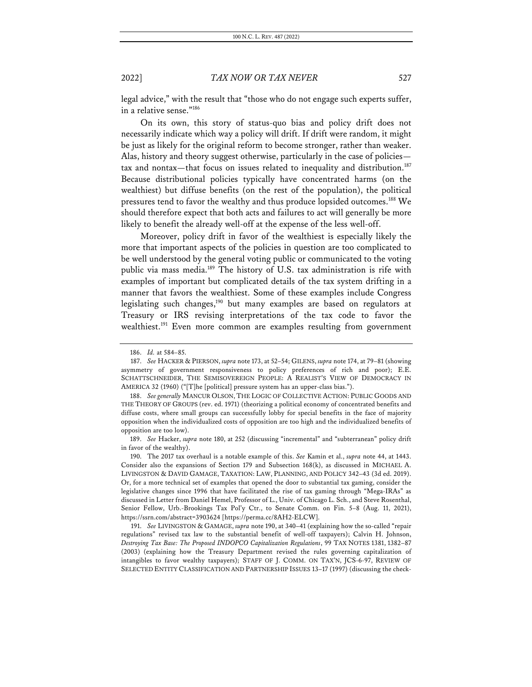legal advice," with the result that "those who do not engage such experts suffer, in a relative sense."186

On its own, this story of status-quo bias and policy drift does not necessarily indicate which way a policy will drift. If drift were random, it might be just as likely for the original reform to become stronger, rather than weaker. Alas, history and theory suggest otherwise, particularly in the case of policies tax and nontax—that focus on issues related to inequality and distribution.<sup>187</sup> Because distributional policies typically have concentrated harms (on the wealthiest) but diffuse benefits (on the rest of the population), the political pressures tend to favor the wealthy and thus produce lopsided outcomes.188 We should therefore expect that both acts and failures to act will generally be more likely to benefit the already well-off at the expense of the less well-off.

Moreover, policy drift in favor of the wealthiest is especially likely the more that important aspects of the policies in question are too complicated to be well understood by the general voting public or communicated to the voting public via mass media.<sup>189</sup> The history of U.S. tax administration is rife with examples of important but complicated details of the tax system drifting in a manner that favors the wealthiest. Some of these examples include Congress legislating such changes,<sup>190</sup> but many examples are based on regulators at Treasury or IRS revising interpretations of the tax code to favor the wealthiest.<sup>191</sup> Even more common are examples resulting from government

<sup>186.</sup> *Id.* at 584–85.

<sup>187.</sup> *See* HACKER & PIERSON, *supra* note 173, at 52–54; GILENS, *supra* note 174, at 79–81 (showing asymmetry of government responsiveness to policy preferences of rich and poor); E.E. SCHATTSCHNEIDER, THE SEMISOVEREIGN PEOPLE: A REALIST'S VIEW OF DEMOCRACY IN AMERICA 32 (1960) ("[T]he [political] pressure system has an upper-class bias.").

<sup>188.</sup> *See generally* MANCUR OLSON, THE LOGIC OF COLLECTIVE ACTION: PUBLIC GOODS AND THE THEORY OF GROUPS (rev. ed. 1971) (theorizing a political economy of concentrated benefits and diffuse costs, where small groups can successfully lobby for special benefits in the face of majority opposition when the individualized costs of opposition are too high and the individualized benefits of opposition are too low).

<sup>189.</sup> *See* Hacker, *supra* note 180, at 252 (discussing "incremental" and "subterranean" policy drift in favor of the wealthy).

<sup>190.</sup> The 2017 tax overhaul is a notable example of this. *See* Kamin et al., *supra* note 44, at 1443. Consider also the expansions of Section 179 and Subsection 168(k), as discussed in MICHAEL A. LIVINGSTON & DAVID GAMAGE, TAXATION: LAW, PLANNING, AND POLICY 342–43 (3d ed. 2019). Or, for a more technical set of examples that opened the door to substantial tax gaming, consider the legislative changes since 1996 that have facilitated the rise of tax gaming through "Mega-IRAs" as discussed in Letter from Daniel Hemel, Professor of L., Univ. of Chicago L. Sch., and Steve Rosenthal, Senior Fellow, Urb.-Brookings Tax Pol'y Ctr., to Senate Comm. on Fin. 5–8 (Aug. 11, 2021), https://ssrn.com/abstract=3903624 [https://perma.cc/8AH2-ELCW].

<sup>191.</sup> *See* LIVINGSTON & GAMAGE, *supra* note 190, at 340–41 (explaining how the so-called "repair regulations" revised tax law to the substantial benefit of well-off taxpayers); Calvin H. Johnson, *Destroying Tax Base: The Proposed INDOPCO Capitalization Regulations*, 99 TAX NOTES 1381, 1382–87 (2003) (explaining how the Treasury Department revised the rules governing capitalization of intangibles to favor wealthy taxpayers); STAFF OF J. COMM. ON TAX'N, JCS-6-97, REVIEW OF SELECTED ENTITY CLASSIFICATION AND PARTNERSHIP ISSUES 13–17 (1997) (discussing the check-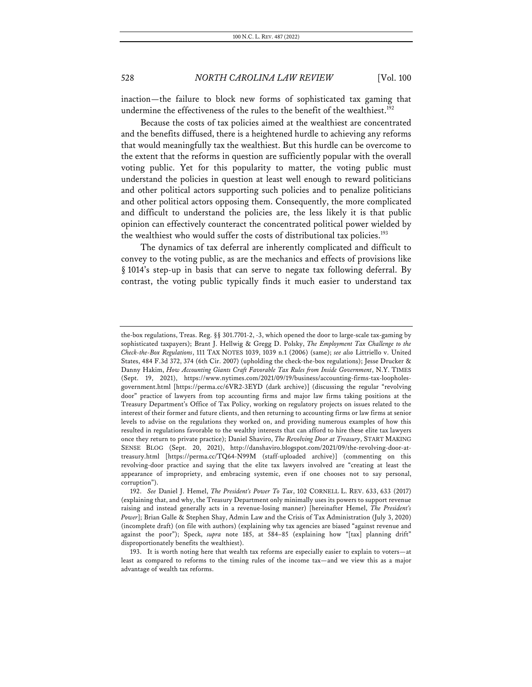inaction—the failure to block new forms of sophisticated tax gaming that undermine the effectiveness of the rules to the benefit of the wealthiest.<sup>192</sup>

Because the costs of tax policies aimed at the wealthiest are concentrated and the benefits diffused, there is a heightened hurdle to achieving any reforms that would meaningfully tax the wealthiest. But this hurdle can be overcome to the extent that the reforms in question are sufficiently popular with the overall voting public. Yet for this popularity to matter, the voting public must understand the policies in question at least well enough to reward politicians and other political actors supporting such policies and to penalize politicians and other political actors opposing them. Consequently, the more complicated and difficult to understand the policies are, the less likely it is that public opinion can effectively counteract the concentrated political power wielded by the wealthiest who would suffer the costs of distributional tax policies.<sup>193</sup>

The dynamics of tax deferral are inherently complicated and difficult to convey to the voting public, as are the mechanics and effects of provisions like § 1014's step-up in basis that can serve to negate tax following deferral. By contrast, the voting public typically finds it much easier to understand tax

the-box regulations, Treas. Reg. §§ 301.7701-2, -3, which opened the door to large-scale tax-gaming by sophisticated taxpayers); Brant J. Hellwig & Gregg D. Polsky, *The Employment Tax Challenge to the Check-the-Box Regulations*, 111 TAX NOTES 1039, 1039 n.1 (2006) (same); *see also* Littriello v. United States, 484 F.3d 372, 374 (6th Cir. 2007) (upholding the check-the-box regulations); Jesse Drucker & Danny Hakim, *How Accounting Giants Craft Favorable Tax Rules from Inside Government*, N.Y. TIMES (Sept. 19, 2021), https://www.nytimes.com/2021/09/19/business/accounting-firms-tax-loopholesgovernment.html [https://perma.cc/6VR2-3EYD (dark archive)] (discussing the regular "revolving door" practice of lawyers from top accounting firms and major law firms taking positions at the Treasury Department's Office of Tax Policy, working on regulatory projects on issues related to the interest of their former and future clients, and then returning to accounting firms or law firms at senior levels to advise on the regulations they worked on, and providing numerous examples of how this resulted in regulations favorable to the wealthy interests that can afford to hire these elite tax lawyers once they return to private practice); Daniel Shaviro, *The Revolving Door at Treasury*, START MAKING SENSE BLOG (Sept. 20, 2021), http://danshaviro.blogspot.com/2021/09/the-revolving-door-attreasury.html [https://perma.cc/TQ64-N99M (staff-uploaded archive)] (commenting on this revolving-door practice and saying that the elite tax lawyers involved are "creating at least the appearance of impropriety, and embracing systemic, even if one chooses not to say personal, corruption").

<sup>192.</sup> *See* Daniel J. Hemel, *The President's Power To Tax*, 102 CORNELL L. REV. 633, 633 (2017) (explaining that, and why, the Treasury Department only minimally uses its powers to support revenue raising and instead generally acts in a revenue-losing manner) [hereinafter Hemel, *The President's Power*]; Brian Galle & Stephen Shay, Admin Law and the Crisis of Tax Administration (July 3, 2020) (incomplete draft) (on file with authors) (explaining why tax agencies are biased "against revenue and against the poor"); Speck, *supra* note 185, at 584–85 (explaining how "[tax] planning drift" disproportionately benefits the wealthiest).

<sup>193.</sup> It is worth noting here that wealth tax reforms are especially easier to explain to voters—at least as compared to reforms to the timing rules of the income tax—and we view this as a major advantage of wealth tax reforms.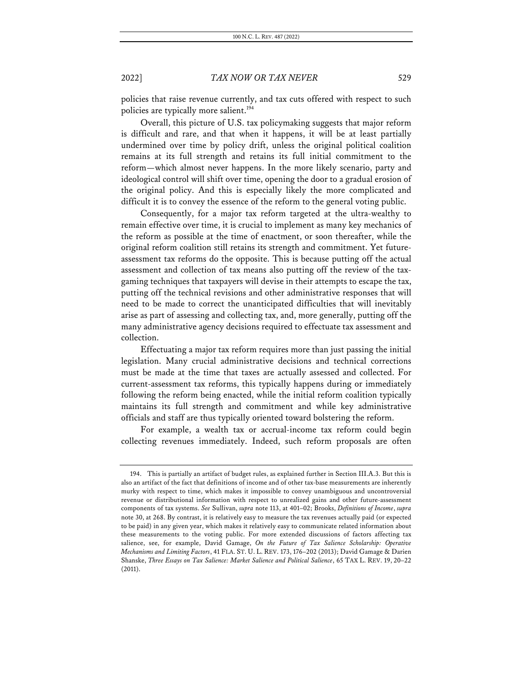policies that raise revenue currently, and tax cuts offered with respect to such policies are typically more salient.<sup>194</sup>

Overall, this picture of U.S. tax policymaking suggests that major reform is difficult and rare, and that when it happens, it will be at least partially undermined over time by policy drift, unless the original political coalition remains at its full strength and retains its full initial commitment to the reform—which almost never happens. In the more likely scenario, party and ideological control will shift over time, opening the door to a gradual erosion of the original policy. And this is especially likely the more complicated and difficult it is to convey the essence of the reform to the general voting public.

Consequently, for a major tax reform targeted at the ultra-wealthy to remain effective over time, it is crucial to implement as many key mechanics of the reform as possible at the time of enactment, or soon thereafter, while the original reform coalition still retains its strength and commitment. Yet futureassessment tax reforms do the opposite. This is because putting off the actual assessment and collection of tax means also putting off the review of the taxgaming techniques that taxpayers will devise in their attempts to escape the tax, putting off the technical revisions and other administrative responses that will need to be made to correct the unanticipated difficulties that will inevitably arise as part of assessing and collecting tax, and, more generally, putting off the many administrative agency decisions required to effectuate tax assessment and collection.

Effectuating a major tax reform requires more than just passing the initial legislation. Many crucial administrative decisions and technical corrections must be made at the time that taxes are actually assessed and collected. For current-assessment tax reforms, this typically happens during or immediately following the reform being enacted, while the initial reform coalition typically maintains its full strength and commitment and while key administrative officials and staff are thus typically oriented toward bolstering the reform.

For example, a wealth tax or accrual-income tax reform could begin collecting revenues immediately. Indeed, such reform proposals are often

<sup>194.</sup> This is partially an artifact of budget rules, as explained further in Section III.A.3. But this is also an artifact of the fact that definitions of income and of other tax-base measurements are inherently murky with respect to time, which makes it impossible to convey unambiguous and uncontroversial revenue or distributional information with respect to unrealized gains and other future-assessment components of tax systems. *See* Sullivan, *supra* note 113, at 401–02; Brooks, *Definitions of Income*, *supra* note 30, at 268. By contrast, it is relatively easy to measure the tax revenues actually paid (or expected to be paid) in any given year, which makes it relatively easy to communicate related information about these measurements to the voting public. For more extended discussions of factors affecting tax salience, see, for example, David Gamage, *On the Future of Tax Salience Scholarship: Operative Mechanisms and Limiting Factors*, 41 FLA. ST. U. L. REV. 173, 176–202 (2013); David Gamage & Darien Shanske, *Three Essays on Tax Salience: Market Salience and Political Salience*, 65 TAX L. REV. 19, 20–22 (2011).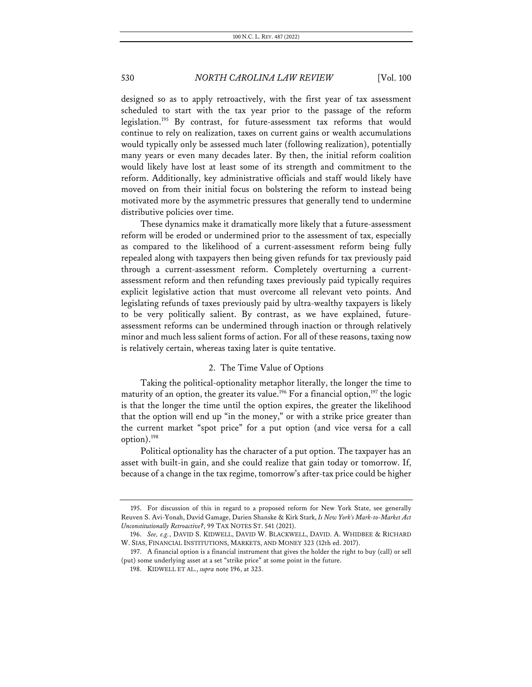designed so as to apply retroactively, with the first year of tax assessment scheduled to start with the tax year prior to the passage of the reform legislation.<sup>195</sup> By contrast, for future-assessment tax reforms that would continue to rely on realization, taxes on current gains or wealth accumulations would typically only be assessed much later (following realization), potentially many years or even many decades later. By then, the initial reform coalition would likely have lost at least some of its strength and commitment to the reform. Additionally, key administrative officials and staff would likely have moved on from their initial focus on bolstering the reform to instead being motivated more by the asymmetric pressures that generally tend to undermine distributive policies over time.

These dynamics make it dramatically more likely that a future-assessment reform will be eroded or undermined prior to the assessment of tax, especially as compared to the likelihood of a current-assessment reform being fully repealed along with taxpayers then being given refunds for tax previously paid through a current-assessment reform. Completely overturning a currentassessment reform and then refunding taxes previously paid typically requires explicit legislative action that must overcome all relevant veto points. And legislating refunds of taxes previously paid by ultra-wealthy taxpayers is likely to be very politically salient. By contrast, as we have explained, futureassessment reforms can be undermined through inaction or through relatively minor and much less salient forms of action. For all of these reasons, taxing now is relatively certain, whereas taxing later is quite tentative.

### 2. The Time Value of Options

Taking the political-optionality metaphor literally, the longer the time to maturity of an option, the greater its value.<sup>196</sup> For a financial option,<sup>197</sup> the logic is that the longer the time until the option expires, the greater the likelihood that the option will end up "in the money," or with a strike price greater than the current market "spot price" for a put option (and vice versa for a call option). 198

Political optionality has the character of a put option. The taxpayer has an asset with built-in gain, and she could realize that gain today or tomorrow. If, because of a change in the tax regime, tomorrow's after-tax price could be higher

<sup>195.</sup> For discussion of this in regard to a proposed reform for New York State, see generally Reuven S. Avi-Yonah, David Gamage, Darien Shanske & Kirk Stark, *Is New York's Mark-to-Market Act Unconstitutionally Retroactive?*, 99 TAX NOTES ST. 541 (2021).

<sup>196.</sup> *See, e.g.*, DAVID S. KIDWELL, DAVID W. BLACKWELL, DAVID. A. WHIDBEE & RICHARD W. SIAS, FINANCIAL INSTITUTIONS, MARKETS, AND MONEY 323 (12th ed. 2017).

<sup>197.</sup> A financial option is a financial instrument that gives the holder the right to buy (call) or sell (put) some underlying asset at a set "strike price" at some point in the future.

<sup>198.</sup> KIDWELL ET AL., *supra* note 196, at 323.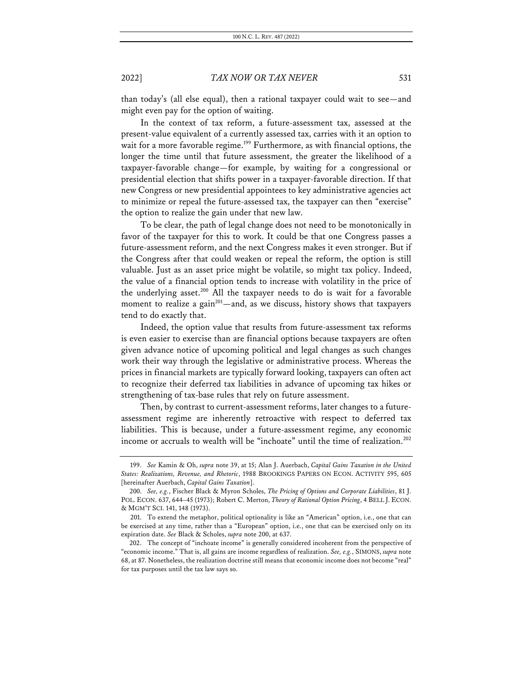than today's (all else equal), then a rational taxpayer could wait to see—and might even pay for the option of waiting.

In the context of tax reform, a future-assessment tax, assessed at the present-value equivalent of a currently assessed tax, carries with it an option to wait for a more favorable regime.<sup>199</sup> Furthermore, as with financial options, the longer the time until that future assessment, the greater the likelihood of a taxpayer-favorable change—for example, by waiting for a congressional or presidential election that shifts power in a taxpayer-favorable direction. If that new Congress or new presidential appointees to key administrative agencies act to minimize or repeal the future-assessed tax, the taxpayer can then "exercise" the option to realize the gain under that new law.

To be clear, the path of legal change does not need to be monotonically in favor of the taxpayer for this to work. It could be that one Congress passes a future-assessment reform, and the next Congress makes it even stronger. But if the Congress after that could weaken or repeal the reform, the option is still valuable. Just as an asset price might be volatile, so might tax policy. Indeed, the value of a financial option tends to increase with volatility in the price of the underlying asset. <sup>200</sup> All the taxpayer needs to do is wait for a favorable moment to realize a gain<sup>201</sup>—and, as we discuss, history shows that taxpayers tend to do exactly that.

Indeed, the option value that results from future-assessment tax reforms is even easier to exercise than are financial options because taxpayers are often given advance notice of upcoming political and legal changes as such changes work their way through the legislative or administrative process. Whereas the prices in financial markets are typically forward looking, taxpayers can often act to recognize their deferred tax liabilities in advance of upcoming tax hikes or strengthening of tax-base rules that rely on future assessment.

Then, by contrast to current-assessment reforms, later changes to a futureassessment regime are inherently retroactive with respect to deferred tax liabilities. This is because, under a future-assessment regime, any economic income or accruals to wealth will be "inchoate" until the time of realization.<sup>202</sup>

<sup>199.</sup> *See* Kamin & Oh, *supra* note 39, at 15; Alan J. Auerbach, *Capital Gains Taxation in the United States: Realizations, Revenue, and Rhetoric*, 1988 BROOKINGS PAPERS ON ECON. ACTIVITY 595, 605 [hereinafter Auerbach, *Capital Gains Taxation*].

<sup>200.</sup> *See, e.g.*, Fischer Black & Myron Scholes, *The Pricing of Options and Corporate Liabilities*, 81 J. POL. ECON. 637, 644–45 (1973); Robert C. Merton, *Theory of Rational Option Pricing*, 4 BELL J. ECON. & MGM'T SCI. 141, 148 (1973).

<sup>201.</sup> To extend the metaphor, political optionality is like an "American" option, i.e., one that can be exercised at any time, rather than a "European" option, i.e., one that can be exercised only on its expiration date. *See* Black & Scholes, *supra* note 200, at 637.

<sup>202.</sup> The concept of "inchoate income" is generally considered incoherent from the perspective of "economic income." That is, all gains are income regardless of realization. *See, e.g.*, SIMONS, *supra* note 68, at 87. Nonetheless, the realization doctrine still means that economic income does not become "real" for tax purposes until the tax law says so.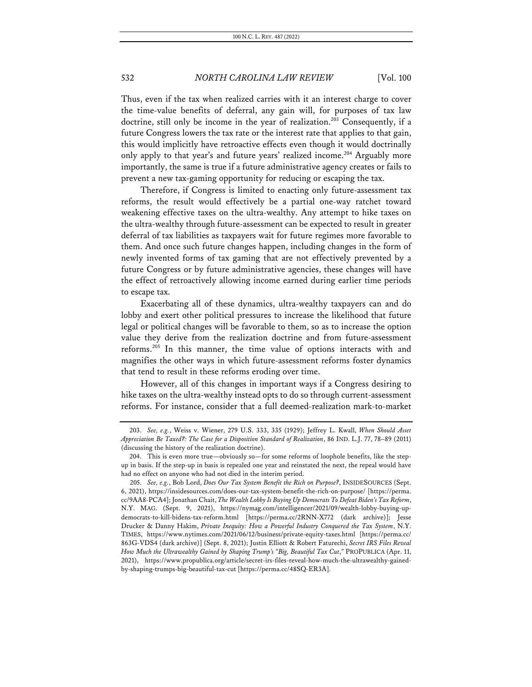Thus, even if the tax when realized carries with it an interest charge to cover the time-value benefits of deferral, any gain will, for purposes of tax law doctrine, still only be income in the year of realization.<sup>203</sup> Consequently, if a future Congress lowers the tax rate or the interest rate that applies to that gain, this would implicitly have retroactive effects even though it would doctrinally only apply to that year's and future years' realized income.<sup>204</sup> Arguably more importantly, the same is true if a future administrative agency creates or fails to prevent a new tax-gaming opportunity for reducing or escaping the tax.

Therefore, if Congress is limited to enacting only future-assessment tax reforms, the result would effectively be a partial one-way ratchet toward weakening effective taxes on the ultra-wealthy. Any attempt to hike taxes on the ultra-wealthy through future-assessment can be expected to result in greater deferral of tax liabilities as taxpayers wait for future regimes more favorable to them. And once such future changes happen, including changes in the form of newly invented forms of tax gaming that are not effectively prevented by a future Congress or by future administrative agencies, these changes will have the effect of retroactively allowing income earned during earlier time periods to escape tax.

Exacerbating all of these dynamics, ultra-wealthy taxpayers can and do lobby and exert other political pressures to increase the likelihood that future legal or political changes will be favorable to them, so as to increase the option value they derive from the realization doctrine and from future-assessment reforms.205 In this manner, the time value of options interacts with and magnifies the other ways in which future-assessment reforms foster dynamics that tend to result in these reforms eroding over time.

However, all of this changes in important ways if a Congress desiring to hike taxes on the ultra-wealthy instead opts to do so through current-assessment reforms. For instance, consider that a full deemed-realization mark-to-market

<sup>203.</sup> *See, e.g.*, Weiss v. Wiener, 279 U.S. 333, 335 (1929); Jeffrey L. Kwall, *When Should Asset Appreciation Be Taxed?: The Case for a Disposition Standard of Realization*, 86 IND. L.J. 77, 78–89 (2011) (discussing the history of the realization doctrine).

<sup>204.</sup> This is even more true—obviously so—for some reforms of loophole benefits, like the stepup in basis. If the step-up in basis is repealed one year and reinstated the next, the repeal would have had no effect on anyone who had not died in the interim period.

<sup>205.</sup> *See, e.g.*, Bob Lord, *Does Our Tax System Benefit the Rich on Purpose?*, INSIDESOURCES (Sept. 6, 2021), https://insidesources.com/does-our-tax-system-benefit-the-rich-on-purpose/ [https://perma. cc/9AA8-PCA4]; Jonathan Chait, *The Wealth Lobby Is Buying Up Democrats To Defeat Biden's Tax Reform*, N.Y. MAG. (Sept. 9, 2021), https://nymag.com/intelligencer/2021/09/wealth-lobby-buying-updemocrats-to-kill-bidens-tax-reform.html [https://perma.cc/2RNN-X772 (dark archive)]; Jesse Drucker & Danny Hakim, *Private Inequity: How a Powerful Industry Conquered the Tax System*, N.Y. TIMES, https://www.nytimes.com/2021/06/12/business/private-equity-taxes.html [https://perma.cc/ 863G-VDS4 (dark archive)] (Sept. 8, 2021); Justin Elliott & Robert Faturechi, *Secret IRS Files Reveal How Much the Ultrawealthy Gained by Shaping Trump's "Big, Beautiful Tax Cut*,*"* PROPUBLICA (Apr. 11, 2021), https://www.propublica.org/article/secret-irs-files-reveal-how-much-the-ultrawealthy-gainedby-shaping-trumps-big-beautiful-tax-cut [https://perma.cc/48SQ-ER3A].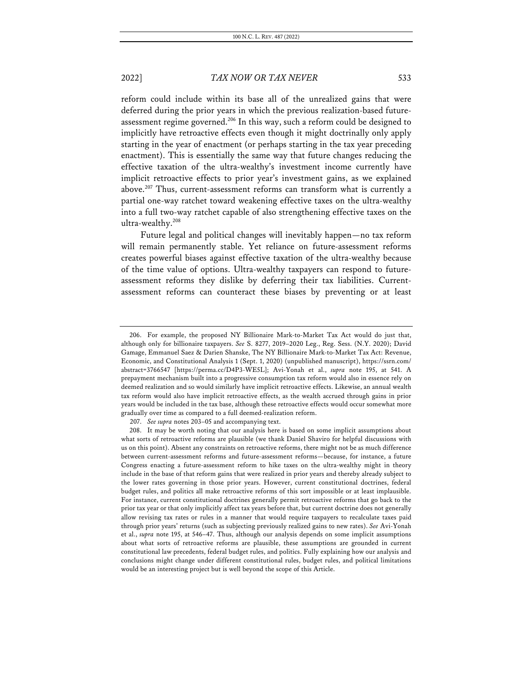reform could include within its base all of the unrealized gains that were deferred during the prior years in which the previous realization-based futureassessment regime governed.<sup>206</sup> In this way, such a reform could be designed to implicitly have retroactive effects even though it might doctrinally only apply starting in the year of enactment (or perhaps starting in the tax year preceding enactment). This is essentially the same way that future changes reducing the effective taxation of the ultra-wealthy's investment income currently have implicit retroactive effects to prior year's investment gains, as we explained above.207 Thus, current-assessment reforms can transform what is currently a partial one-way ratchet toward weakening effective taxes on the ultra-wealthy into a full two-way ratchet capable of also strengthening effective taxes on the ultra-wealthy.208

Future legal and political changes will inevitably happen—no tax reform will remain permanently stable. Yet reliance on future-assessment reforms creates powerful biases against effective taxation of the ultra-wealthy because of the time value of options. Ultra-wealthy taxpayers can respond to futureassessment reforms they dislike by deferring their tax liabilities. Currentassessment reforms can counteract these biases by preventing or at least

<sup>206.</sup> For example, the proposed NY Billionaire Mark-to-Market Tax Act would do just that, although only for billionaire taxpayers. *See* S. 8277, 2019–2020 Leg., Reg. Sess. (N.Y. 2020); David Gamage, Emmanuel Saez & Darien Shanske, The NY Billionaire Mark-to-Market Tax Act: Revenue, Economic, and Constitutional Analysis 1 (Sept. 1, 2020) (unpublished manuscript), https://ssrn.com/ abstract=3766547 [https://perma.cc/D4P3-WE5L]; Avi-Yonah et al., *supra* note 195, at 541. A prepayment mechanism built into a progressive consumption tax reform would also in essence rely on deemed realization and so would similarly have implicit retroactive effects. Likewise, an annual wealth tax reform would also have implicit retroactive effects, as the wealth accrued through gains in prior years would be included in the tax base, although these retroactive effects would occur somewhat more gradually over time as compared to a full deemed-realization reform.

<sup>207.</sup> *See supra* notes 203–05 and accompanying text.

<sup>208.</sup> It may be worth noting that our analysis here is based on some implicit assumptions about what sorts of retroactive reforms are plausible (we thank Daniel Shaviro for helpful discussions with us on this point). Absent any constraints on retroactive reforms, there might not be as much difference between current-assessment reforms and future-assessment reforms—because, for instance, a future Congress enacting a future-assessment reform to hike taxes on the ultra-wealthy might in theory include in the base of that reform gains that were realized in prior years and thereby already subject to the lower rates governing in those prior years. However, current constitutional doctrines, federal budget rules, and politics all make retroactive reforms of this sort impossible or at least implausible. For instance, current constitutional doctrines generally permit retroactive reforms that go back to the prior tax year or that only implicitly affect tax years before that, but current doctrine does not generally allow revising tax rates or rules in a manner that would require taxpayers to recalculate taxes paid through prior years' returns (such as subjecting previously realized gains to new rates). *See* Avi-Yonah et al., *supra* note 195, at 546–47. Thus, although our analysis depends on some implicit assumptions about what sorts of retroactive reforms are plausible, these assumptions are grounded in current constitutional law precedents, federal budget rules, and politics. Fully explaining how our analysis and conclusions might change under different constitutional rules, budget rules, and political limitations would be an interesting project but is well beyond the scope of this Article.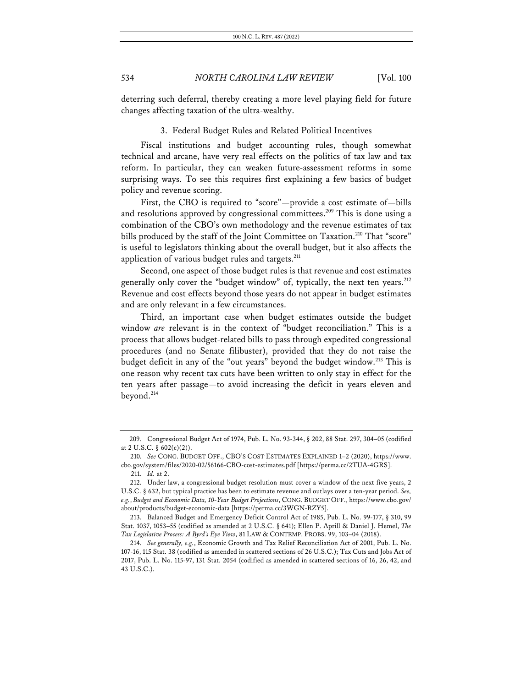deterring such deferral, thereby creating a more level playing field for future changes affecting taxation of the ultra-wealthy.

### 3. Federal Budget Rules and Related Political Incentives

Fiscal institutions and budget accounting rules, though somewhat technical and arcane, have very real effects on the politics of tax law and tax reform. In particular, they can weaken future-assessment reforms in some surprising ways. To see this requires first explaining a few basics of budget policy and revenue scoring.

First, the CBO is required to "score"—provide a cost estimate of—bills and resolutions approved by congressional committees.<sup>209</sup> This is done using a combination of the CBO's own methodology and the revenue estimates of tax bills produced by the staff of the Joint Committee on Taxation.<sup>210</sup> That "score" is useful to legislators thinking about the overall budget, but it also affects the application of various budget rules and targets.<sup>211</sup>

Second, one aspect of those budget rules is that revenue and cost estimates generally only cover the "budget window" of, typically, the next ten years. $^{212}$ Revenue and cost effects beyond those years do not appear in budget estimates and are only relevant in a few circumstances.

Third, an important case when budget estimates outside the budget window *are* relevant is in the context of "budget reconciliation." This is a process that allows budget-related bills to pass through expedited congressional procedures (and no Senate filibuster), provided that they do not raise the budget deficit in any of the "out years" beyond the budget window.213 This is one reason why recent tax cuts have been written to only stay in effect for the ten years after passage—to avoid increasing the deficit in years eleven and beyond.214

<sup>209.</sup> Congressional Budget Act of 1974, Pub. L. No. 93-344, § 202, 88 Stat. 297, 304–05 (codified at 2 U.S.C. § 602(c)(2)).

<sup>210.</sup> *See* CONG. BUDGET OFF., CBO'S COST ESTIMATES EXPLAINED 1–2 (2020), https://www. cbo.gov/system/files/2020-02/56166-CBO-cost-estimates.pdf [https://perma.cc/2TUA-4GRS].

<sup>211.</sup> *Id.* at 2.

<sup>212.</sup> Under law, a congressional budget resolution must cover a window of the next five years, 2 U.S.C. § 632, but typical practice has been to estimate revenue and outlays over a ten-year period. *See, e.g.*, *Budget and Economic Data, 10-Year Budget Projections*, CONG. BUDGET OFF., https://www.cbo.gov/ about/products/budget-economic-data [https://perma.cc/3WGN-RZY5].

<sup>213.</sup> Balanced Budget and Emergency Deficit Control Act of 1985, Pub. L. No. 99-177, § 310, 99 Stat. 1037, 1053–55 (codified as amended at 2 U.S.C. § 641); Ellen P. Aprill & Daniel J. Hemel, *The Tax Legislative Process: A Byrd's Eye View*, 81 LAW & CONTEMP. PROBS. 99, 103–04 (2018).

<sup>214.</sup> *See generally, e.g.*, Economic Growth and Tax Relief Reconciliation Act of 2001, Pub. L. No. 107-16, 115 Stat. 38 (codified as amended in scattered sections of 26 U.S.C.); Tax Cuts and Jobs Act of 2017, Pub. L. No. 115-97, 131 Stat. 2054 (codified as amended in scattered sections of 16, 26, 42, and 43 U.S.C.).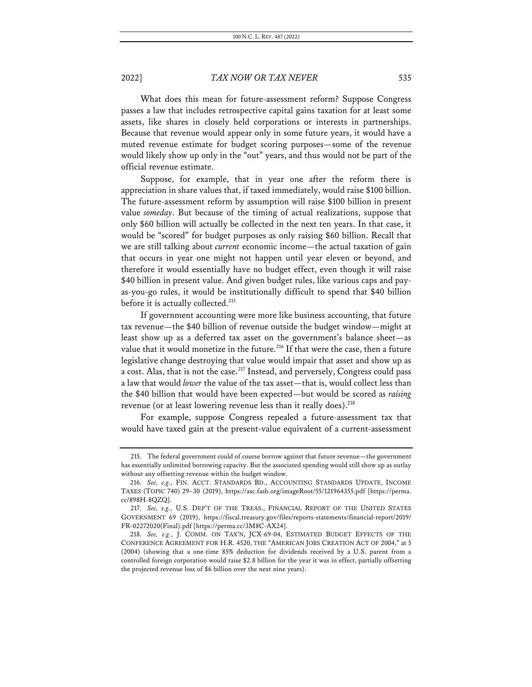What does this mean for future-assessment reform? Suppose Congress passes a law that includes retrospective capital gains taxation for at least some assets, like shares in closely held corporations or interests in partnerships. Because that revenue would appear only in some future years, it would have a muted revenue estimate for budget scoring purposes—some of the revenue would likely show up only in the "out" years, and thus would not be part of the official revenue estimate.

Suppose, for example, that in year one after the reform there is appreciation in share values that, if taxed immediately, would raise \$100 billion. The future-assessment reform by assumption will raise \$100 billion in present value *someday*. But because of the timing of actual realizations, suppose that only \$60 billion will actually be collected in the next ten years. In that case, it would be "scored" for budget purposes as only raising \$60 billion. Recall that we are still talking about *current* economic income—the actual taxation of gain that occurs in year one might not happen until year eleven or beyond, and therefore it would essentially have no budget effect, even though it will raise \$40 billion in present value. And given budget rules, like various caps and payas-you-go rules, it would be institutionally difficult to spend that \$40 billion before it is actually collected.<sup>215</sup>

If government accounting were more like business accounting, that future tax revenue—the \$40 billion of revenue outside the budget window—might at least show up as a deferred tax asset on the government's balance sheet—as value that it would monetize in the future.<sup>216</sup> If that were the case, then a future legislative change destroying that value would impair that asset and show up as a cost. Alas, that is not the case.<sup>217</sup> Instead, and perversely, Congress could pass a law that would *lower* the value of the tax asset—that is, would collect less than the \$40 billion that would have been expected—but would be scored as *raising* revenue (or at least lowering revenue less than it really does).<sup>218</sup>

For example, suppose Congress repealed a future-assessment tax that would have taxed gain at the present-value equivalent of a current-assessment

<sup>215.</sup> The federal government could of course borrow against that future revenue—the government has essentially unlimited borrowing capacity. But the associated spending would still show up as outlay without any offsetting revenue within the budget window.

<sup>216.</sup> *See, e.g.*, FIN. ACCT. STANDARDS BD., ACCOUNTING STANDARDS UPDATE, INCOME TAXES (TOPIC 740) 29–30 (2019), https://asc.fasb.org/imageRoot/55/121964355.pdf [https://perma. cc/898H-8QZQ].

<sup>217.</sup> *See, e.g.*, U.S. DEP'T OF THE TREAS., FINANCIAL REPORT OF THE UNITED STATES GOVERNMENT 69 (2019), https://fiscal.treasury.gov/files/reports-statements/financial-report/2019/ FR-02272020(Final).pdf [https://perma.cc/3M8C-AX24].

<sup>218.</sup> *See, e.g.*, J. COMM. ON TAX'N, JCX-69-04, ESTIMATED BUDGET EFFECTS OF THE CONFERENCE AGREEMENT FOR H.R. 4520, THE "AMERICAN JOBS CREATION ACT OF 2004," at 5 (2004) (showing that a one-time 85% deduction for dividends received by a U.S. parent from a controlled foreign corporation would raise \$2.8 billion for the year it was in effect, partially offsetting the projected revenue loss of \$6 billion over the next nine years).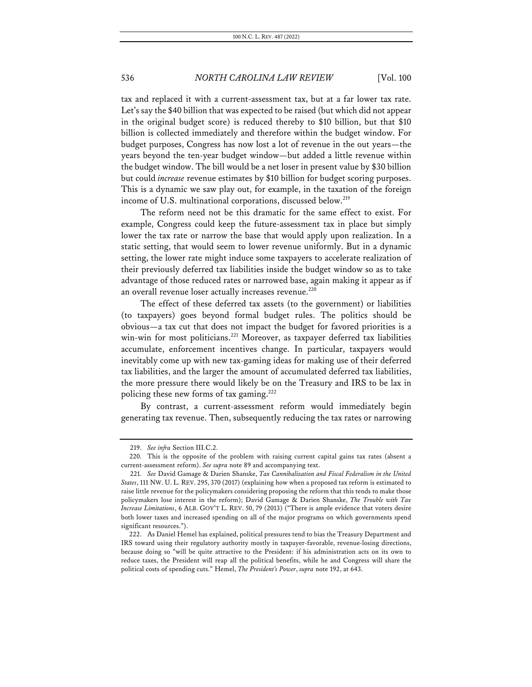tax and replaced it with a current-assessment tax, but at a far lower tax rate. Let's say the \$40 billion that was expected to be raised (but which did not appear in the original budget score) is reduced thereby to \$10 billion, but that \$10 billion is collected immediately and therefore within the budget window. For budget purposes, Congress has now lost a lot of revenue in the out years—the years beyond the ten-year budget window—but added a little revenue within the budget window. The bill would be a net loser in present value by \$30 billion but could *increase* revenue estimates by \$10 billion for budget scoring purposes. This is a dynamic we saw play out, for example, in the taxation of the foreign income of U.S. multinational corporations, discussed below.<sup>219</sup>

The reform need not be this dramatic for the same effect to exist. For example, Congress could keep the future-assessment tax in place but simply lower the tax rate or narrow the base that would apply upon realization. In a static setting, that would seem to lower revenue uniformly. But in a dynamic setting, the lower rate might induce some taxpayers to accelerate realization of their previously deferred tax liabilities inside the budget window so as to take advantage of those reduced rates or narrowed base, again making it appear as if an overall revenue loser actually increases revenue.<sup>220</sup>

The effect of these deferred tax assets (to the government) or liabilities (to taxpayers) goes beyond formal budget rules. The politics should be obvious—a tax cut that does not impact the budget for favored priorities is a win-win for most politicians.<sup>221</sup> Moreover, as taxpayer deferred tax liabilities accumulate, enforcement incentives change. In particular, taxpayers would inevitably come up with new tax-gaming ideas for making use of their deferred tax liabilities, and the larger the amount of accumulated deferred tax liabilities, the more pressure there would likely be on the Treasury and IRS to be lax in policing these new forms of tax gaming.<sup>222</sup>

By contrast, a current-assessment reform would immediately begin generating tax revenue. Then, subsequently reducing the tax rates or narrowing

<sup>219.</sup> *See infra* Section III.C.2.

<sup>220.</sup> This is the opposite of the problem with raising current capital gains tax rates (absent a current-assessment reform). *See supra* note 89 and accompanying text.

<sup>221.</sup> *See* David Gamage & Darien Shanske, *Tax Cannibalization and Fiscal Federalism in the United States*, 111 NW. U. L. REV. 295, 370 (2017) (explaining how when a proposed tax reform is estimated to raise little revenue for the policymakers considering proposing the reform that this tends to make those policymakers lose interest in the reform); David Gamage & Darien Shanske, *The Trouble with Tax Increase Limitations*, 6 ALB. GOV'T L. REV. 50, 79 (2013) ("There is ample evidence that voters desire both lower taxes and increased spending on all of the major programs on which governments spend significant resources.").

<sup>222.</sup> As Daniel Hemel has explained, political pressures tend to bias the Treasury Department and IRS toward using their regulatory authority mostly in taxpayer-favorable, revenue-losing directions, because doing so "will be quite attractive to the President: if his administration acts on its own to reduce taxes, the President will reap all the political benefits, while he and Congress will share the political costs of spending cuts." Hemel, *The President's Power*, *supra* note 192, at 643.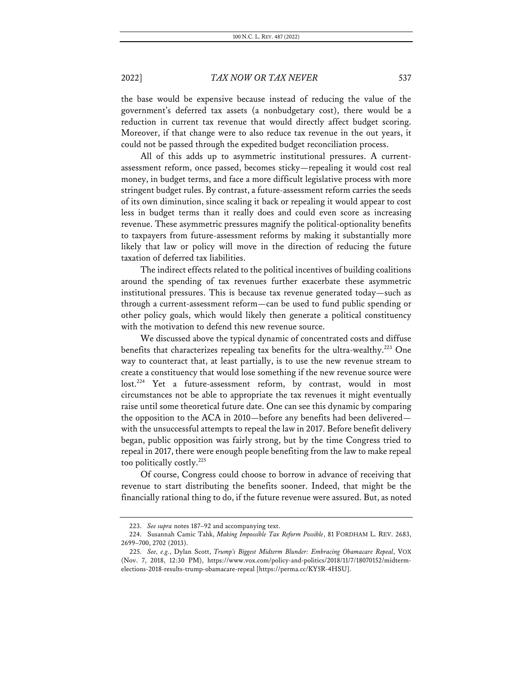the base would be expensive because instead of reducing the value of the government's deferred tax assets (a nonbudgetary cost), there would be a reduction in current tax revenue that would directly affect budget scoring. Moreover, if that change were to also reduce tax revenue in the out years, it could not be passed through the expedited budget reconciliation process.

All of this adds up to asymmetric institutional pressures. A currentassessment reform, once passed, becomes sticky—repealing it would cost real money, in budget terms, and face a more difficult legislative process with more stringent budget rules. By contrast, a future-assessment reform carries the seeds of its own diminution, since scaling it back or repealing it would appear to cost less in budget terms than it really does and could even score as increasing revenue. These asymmetric pressures magnify the political-optionality benefits to taxpayers from future-assessment reforms by making it substantially more likely that law or policy will move in the direction of reducing the future taxation of deferred tax liabilities.

The indirect effects related to the political incentives of building coalitions around the spending of tax revenues further exacerbate these asymmetric institutional pressures. This is because tax revenue generated today—such as through a current-assessment reform—can be used to fund public spending or other policy goals, which would likely then generate a political constituency with the motivation to defend this new revenue source.

We discussed above the typical dynamic of concentrated costs and diffuse benefits that characterizes repealing tax benefits for the ultra-wealthy.<sup>223</sup> One way to counteract that, at least partially, is to use the new revenue stream to create a constituency that would lose something if the new revenue source were lost.<sup>224</sup> Yet a future-assessment reform, by contrast, would in most circumstances not be able to appropriate the tax revenues it might eventually raise until some theoretical future date. One can see this dynamic by comparing the opposition to the ACA in 2010—before any benefits had been delivered with the unsuccessful attempts to repeal the law in 2017. Before benefit delivery began, public opposition was fairly strong, but by the time Congress tried to repeal in 2017, there were enough people benefiting from the law to make repeal too politically costly.225

Of course, Congress could choose to borrow in advance of receiving that revenue to start distributing the benefits sooner. Indeed, that might be the financially rational thing to do, if the future revenue were assured. But, as noted

<sup>223.</sup> *See supra* notes 187–92 and accompanying text.

<sup>224.</sup> Susannah Camic Tahk, *Making Impossible Tax Reform Possible*, 81 FORDHAM L. REV. 2683, 2699–700, 2702 (2013).

<sup>225.</sup> *See, e.g.*, Dylan Scott, *Trump's Biggest Midterm Blunder: Embracing Obamacare Repeal*, VOX (Nov. 7, 2018, 12:30 PM), https://www.vox.com/policy-and-politics/2018/11/7/18070152/midtermelections-2018-results-trump-obamacare-repeal [https://perma.cc/KY5R-4HSU].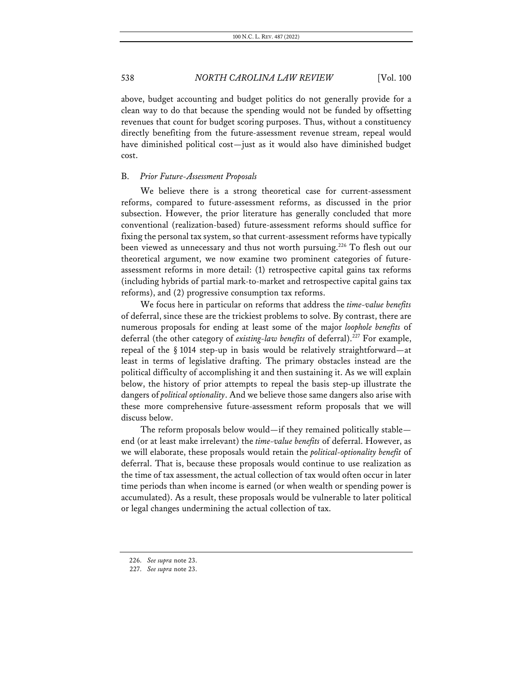above, budget accounting and budget politics do not generally provide for a clean way to do that because the spending would not be funded by offsetting revenues that count for budget scoring purposes. Thus, without a constituency directly benefiting from the future-assessment revenue stream, repeal would have diminished political cost—just as it would also have diminished budget cost.

### B. *Prior Future-Assessment Proposals*

We believe there is a strong theoretical case for current-assessment reforms, compared to future-assessment reforms, as discussed in the prior subsection. However, the prior literature has generally concluded that more conventional (realization-based) future-assessment reforms should suffice for fixing the personal tax system, so that current-assessment reforms have typically been viewed as unnecessary and thus not worth pursuing.<sup>226</sup> To flesh out our theoretical argument, we now examine two prominent categories of futureassessment reforms in more detail: (1) retrospective capital gains tax reforms (including hybrids of partial mark-to-market and retrospective capital gains tax reforms), and (2) progressive consumption tax reforms.

We focus here in particular on reforms that address the *time-value benefits* of deferral, since these are the trickiest problems to solve. By contrast, there are numerous proposals for ending at least some of the major *loophole benefits* of deferral (the other category of *existing-law benefits* of deferral).<sup>227</sup> For example, repeal of the § 1014 step-up in basis would be relatively straightforward—at least in terms of legislative drafting. The primary obstacles instead are the political difficulty of accomplishing it and then sustaining it. As we will explain below, the history of prior attempts to repeal the basis step-up illustrate the dangers of *political optionality*. And we believe those same dangers also arise with these more comprehensive future-assessment reform proposals that we will discuss below.

The reform proposals below would—if they remained politically stable end (or at least make irrelevant) the *time-value benefits* of deferral. However, as we will elaborate, these proposals would retain the *political-optionality benefit* of deferral. That is, because these proposals would continue to use realization as the time of tax assessment, the actual collection of tax would often occur in later time periods than when income is earned (or when wealth or spending power is accumulated). As a result, these proposals would be vulnerable to later political or legal changes undermining the actual collection of tax.

<sup>226.</sup> *See supra* note 23.

<sup>227.</sup> *See supra* note 23.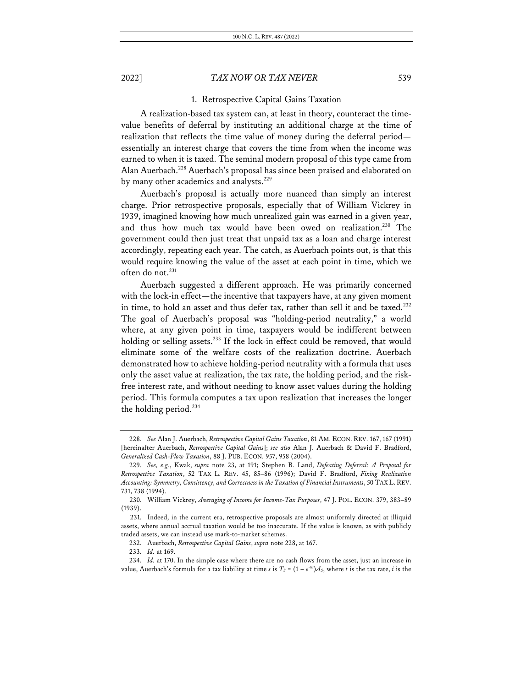### 1. Retrospective Capital Gains Taxation

A realization-based tax system can, at least in theory, counteract the timevalue benefits of deferral by instituting an additional charge at the time of realization that reflects the time value of money during the deferral period essentially an interest charge that covers the time from when the income was earned to when it is taxed. The seminal modern proposal of this type came from Alan Auerbach.228 Auerbach's proposal has since been praised and elaborated on by many other academics and analysts.<sup>229</sup>

Auerbach's proposal is actually more nuanced than simply an interest charge. Prior retrospective proposals, especially that of William Vickrey in 1939, imagined knowing how much unrealized gain was earned in a given year, and thus how much tax would have been owed on realization.<sup>230</sup> The government could then just treat that unpaid tax as a loan and charge interest accordingly, repeating each year. The catch, as Auerbach points out, is that this would require knowing the value of the asset at each point in time, which we often do not.<sup>231</sup>

Auerbach suggested a different approach. He was primarily concerned with the lock-in effect—the incentive that taxpayers have, at any given moment in time, to hold an asset and thus defer tax, rather than sell it and be taxed.<sup>232</sup> The goal of Auerbach's proposal was "holding-period neutrality," a world where, at any given point in time, taxpayers would be indifferent between holding or selling assets.<sup>233</sup> If the lock-in effect could be removed, that would eliminate some of the welfare costs of the realization doctrine. Auerbach demonstrated how to achieve holding-period neutrality with a formula that uses only the asset value at realization, the tax rate, the holding period, and the riskfree interest rate, and without needing to know asset values during the holding period. This formula computes a tax upon realization that increases the longer the holding period. $234$ 

<sup>228.</sup> *See* Alan J. Auerbach, *Retrospective Capital Gains Taxation*, 81 AM. ECON. REV. 167, 167 (1991) [hereinafter Auerbach, *Retrospective Capital Gains*]; *see also* Alan J. Auerbach & David F. Bradford, *Generalized Cash-Flow Taxation*, 88 J. PUB. ECON. 957, 958 (2004).

<sup>229.</sup> *See, e.g.*, Kwak, *supra* note 23, at 191; Stephen B. Land, *Defeating Deferral: A Proposal for Retrospective Taxation*, 52 TAX L. REV. 45, 85–86 (1996); David F. Bradford, *Fixing Realization Accounting: Symmetry, Consistency, and Correctness in the Taxation of Financial Instruments*, 50 TAX L. REV. 731, 738 (1994).

<sup>230.</sup> William Vickrey, *Averaging of Income for Income-Tax Purposes*, 47 J. POL. ECON. 379, 383–89 (1939).

<sup>231.</sup> Indeed, in the current era, retrospective proposals are almost uniformly directed at illiquid assets, where annual accrual taxation would be too inaccurate. If the value is known, as with publicly traded assets, we can instead use mark-to-market schemes.

<sup>232.</sup> Auerbach, *Retrospective Capital Gains*, *supra* note 228, at 167.

<sup>233.</sup> *Id.* at 169.

<sup>234.</sup> *Id.* at 170. In the simple case where there are no cash flows from the asset, just an increase in value, Auerbach's formula for a tax liability at time *s* is  $T_s = (1 - e^{-t s})A_s$ , where *t* is the tax rate, *i* is the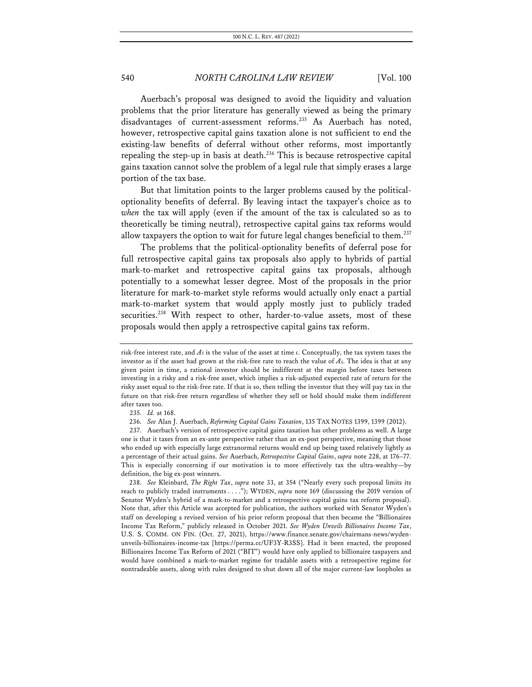Auerbach's proposal was designed to avoid the liquidity and valuation problems that the prior literature has generally viewed as being the primary disadvantages of current-assessment reforms.<sup>235</sup> As Auerbach has noted, however, retrospective capital gains taxation alone is not sufficient to end the existing-law benefits of deferral without other reforms, most importantly repealing the step-up in basis at death.<sup>236</sup> This is because retrospective capital gains taxation cannot solve the problem of a legal rule that simply erases a large portion of the tax base.

But that limitation points to the larger problems caused by the politicaloptionality benefits of deferral. By leaving intact the taxpayer's choice as to *when* the tax will apply (even if the amount of the tax is calculated so as to theoretically be timing neutral), retrospective capital gains tax reforms would allow taxpayers the option to wait for future legal changes beneficial to them.<sup>237</sup>

The problems that the political-optionality benefits of deferral pose for full retrospective capital gains tax proposals also apply to hybrids of partial mark-to-market and retrospective capital gains tax proposals, although potentially to a somewhat lesser degree. Most of the proposals in the prior literature for mark-to-market style reforms would actually only enact a partial mark-to-market system that would apply mostly just to publicly traded securities.<sup>238</sup> With respect to other, harder-to-value assets, most of these proposals would then apply a retrospective capital gains tax reform.

risk-free interest rate, and *AS* is the value of the asset at time *s*. Conceptually, the tax system taxes the investor as if the asset had grown at the risk-free rate to reach the value of *AS*. The idea is that at any given point in time, a rational investor should be indifferent at the margin before taxes between investing in a risky and a risk-free asset, which implies a risk-adjusted expected rate of return for the risky asset equal to the risk-free rate. If that is so, then telling the investor that they will pay tax in the future on that risk-free return regardless of whether they sell or hold should make them indifferent after taxes too.

<sup>235.</sup> *Id.* at 168.

<sup>236.</sup> *See* Alan J. Auerbach, *Reforming Capital Gains Taxation*, 135 TAX NOTES 1399, 1399 (2012).

<sup>237.</sup> Auerbach's version of retrospective capital gains taxation has other problems as well. A large one is that it taxes from an ex-ante perspective rather than an ex-post perspective, meaning that those who ended up with especially large extranormal returns would end up being taxed relatively lightly as a percentage of their actual gains. *See* Auerbach, *Retrospective Capital Gains*, *supra* note 228, at 176–77. This is especially concerning if our motivation is to more effectively tax the ultra-wealthy—by definition, the big ex-post winners.

<sup>238.</sup> *See* Kleinbard, *The Right Tax*, *supra* note 33, at 354 ("Nearly every such proposal limits its reach to publicly traded instruments . . . ."); WYDEN, *supra* note 169 (discussing the 2019 version of Senator Wyden's hybrid of a mark-to-market and a retrospective capital gains tax reform proposal). Note that, after this Article was accepted for publication, the authors worked with Senator Wyden's staff on developing a revised version of his prior reform proposal that then became the "Billionaires Income Tax Reform," publicly released in October 2021. *See Wyden Unveils Billionaires Income Tax*, U.S. S. COMM. ON FIN. (Oct. 27, 2021), https://www.finance.senate.gov/chairmans-news/wydenunveils-billionaires-income-tax [https://perma.cc/UF3Y-R3SS]. Had it been enacted, the proposed Billionaires Income Tax Reform of 2021 ("BIT") would have only applied to billionaire taxpayers and would have combined a mark-to-market regime for tradable assets with a retrospective regime for nontradeable assets, along with rules designed to shut down all of the major current-law loopholes as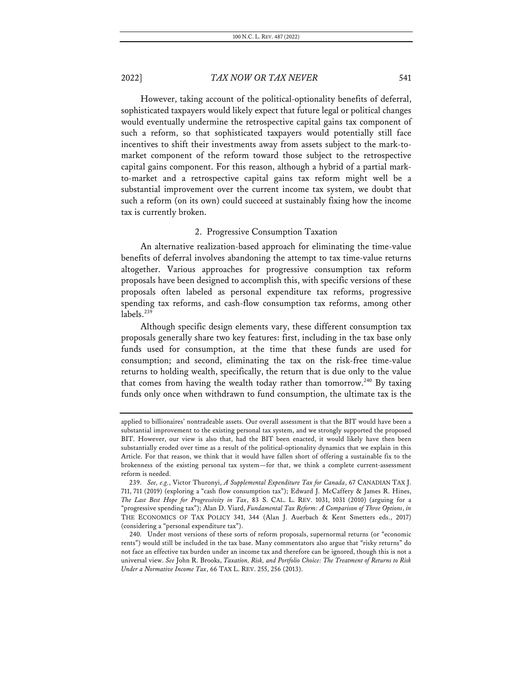However, taking account of the political-optionality benefits of deferral, sophisticated taxpayers would likely expect that future legal or political changes would eventually undermine the retrospective capital gains tax component of such a reform, so that sophisticated taxpayers would potentially still face incentives to shift their investments away from assets subject to the mark-tomarket component of the reform toward those subject to the retrospective capital gains component. For this reason, although a hybrid of a partial markto-market and a retrospective capital gains tax reform might well be a substantial improvement over the current income tax system, we doubt that such a reform (on its own) could succeed at sustainably fixing how the income tax is currently broken.

### 2. Progressive Consumption Taxation

An alternative realization-based approach for eliminating the time-value benefits of deferral involves abandoning the attempt to tax time-value returns altogether. Various approaches for progressive consumption tax reform proposals have been designed to accomplish this, with specific versions of these proposals often labeled as personal expenditure tax reforms, progressive spending tax reforms, and cash-flow consumption tax reforms, among other labels.<sup>239</sup>

Although specific design elements vary, these different consumption tax proposals generally share two key features: first, including in the tax base only funds used for consumption, at the time that these funds are used for consumption; and second, eliminating the tax on the risk-free time-value returns to holding wealth, specifically, the return that is due only to the value that comes from having the wealth today rather than tomorrow.<sup>240</sup> By taxing funds only once when withdrawn to fund consumption, the ultimate tax is the

applied to billionaires' nontradeable assets. Our overall assessment is that the BIT would have been a substantial improvement to the existing personal tax system, and we strongly supported the proposed BIT. However, our view is also that, had the BIT been enacted, it would likely have then been substantially eroded over time as a result of the political-optionality dynamics that we explain in this Article. For that reason, we think that it would have fallen short of offering a sustainable fix to the brokenness of the existing personal tax system—for that, we think a complete current-assessment reform is needed.

<sup>239.</sup> *See, e.g.*, Victor Thuronyi, *A Supplemental Expenditure Tax for Canada*, 67 CANADIAN TAX J. 711, 711 (2019) (exploring a "cash flow consumption tax"); Edward J. McCaffery & James R. Hines, *The Last Best Hope for Progressivity in Tax*, 83 S. CAL. L. REV. 1031, 1031 (2010) (arguing for a "progressive spending tax"); Alan D. Viard, *Fundamental Tax Reform: A Comparison of Three Options*, *in*  THE ECONOMICS OF TAX POLICY 341, 344 (Alan J. Auerbach & Kent Smetters eds., 2017) (considering a "personal expenditure tax").

<sup>240.</sup> Under most versions of these sorts of reform proposals, supernormal returns (or "economic rents") would still be included in the tax base. Many commentators also argue that "risky returns" do not face an effective tax burden under an income tax and therefore can be ignored, though this is not a universal view. *See* John R. Brooks, *Taxation, Risk, and Portfolio Choice: The Treatment of Returns to Risk Under a Normative Income Tax*, 66 TAX L. REV. 255, 256 (2013).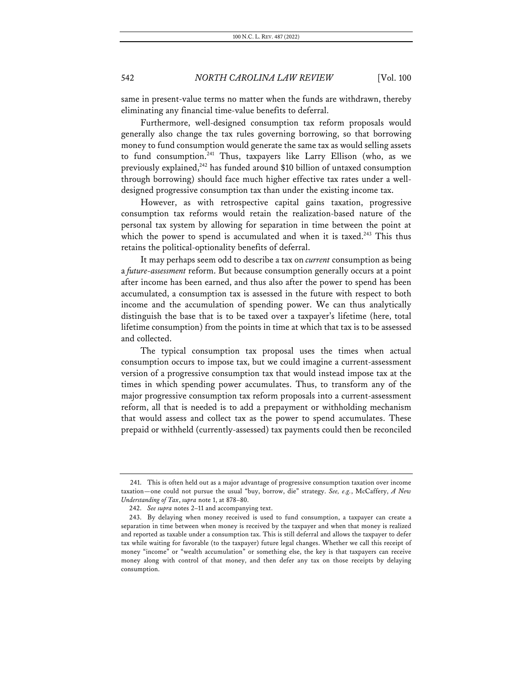same in present-value terms no matter when the funds are withdrawn, thereby eliminating any financial time-value benefits to deferral.

Furthermore, well-designed consumption tax reform proposals would generally also change the tax rules governing borrowing, so that borrowing money to fund consumption would generate the same tax as would selling assets to fund consumption.<sup>241</sup> Thus, taxpayers like Larry Ellison (who, as we previously explained, $242$  has funded around \$10 billion of untaxed consumption through borrowing) should face much higher effective tax rates under a welldesigned progressive consumption tax than under the existing income tax.

However, as with retrospective capital gains taxation, progressive consumption tax reforms would retain the realization-based nature of the personal tax system by allowing for separation in time between the point at which the power to spend is accumulated and when it is taxed.<sup>243</sup> This thus retains the political-optionality benefits of deferral.

It may perhaps seem odd to describe a tax on *current* consumption as being a *future-assessment* reform. But because consumption generally occurs at a point after income has been earned, and thus also after the power to spend has been accumulated, a consumption tax is assessed in the future with respect to both income and the accumulation of spending power. We can thus analytically distinguish the base that is to be taxed over a taxpayer's lifetime (here, total lifetime consumption) from the points in time at which that tax is to be assessed and collected.

The typical consumption tax proposal uses the times when actual consumption occurs to impose tax, but we could imagine a current-assessment version of a progressive consumption tax that would instead impose tax at the times in which spending power accumulates. Thus, to transform any of the major progressive consumption tax reform proposals into a current-assessment reform, all that is needed is to add a prepayment or withholding mechanism that would assess and collect tax as the power to spend accumulates. These prepaid or withheld (currently-assessed) tax payments could then be reconciled

<sup>241.</sup> This is often held out as a major advantage of progressive consumption taxation over income taxation—one could not pursue the usual "buy, borrow, die" strategy. *See, e.g.*, McCaffery, *A New Understanding of Tax*, *supra* note 1, at 878–80.

<sup>242.</sup> *See supra* notes 2–11 and accompanying text.

<sup>243.</sup> By delaying when money received is used to fund consumption, a taxpayer can create a separation in time between when money is received by the taxpayer and when that money is realized and reported as taxable under a consumption tax. This is still deferral and allows the taxpayer to defer tax while waiting for favorable (to the taxpayer) future legal changes. Whether we call this receipt of money "income" or "wealth accumulation" or something else, the key is that taxpayers can receive money along with control of that money, and then defer any tax on those receipts by delaying consumption.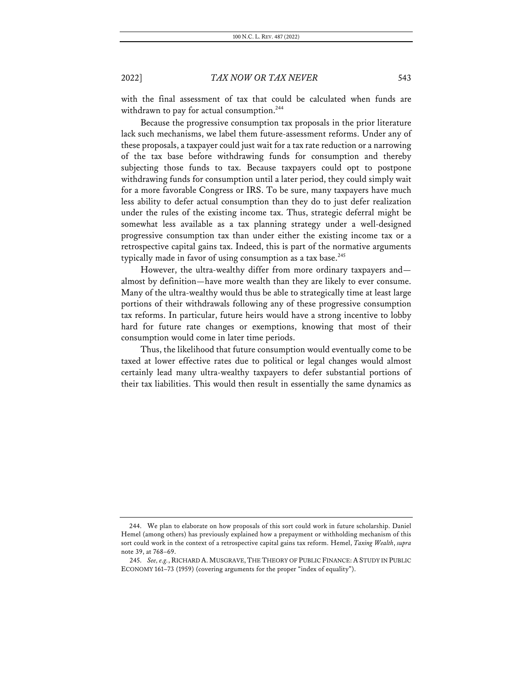with the final assessment of tax that could be calculated when funds are withdrawn to pay for actual consumption.<sup>244</sup>

Because the progressive consumption tax proposals in the prior literature lack such mechanisms, we label them future-assessment reforms. Under any of these proposals, a taxpayer could just wait for a tax rate reduction or a narrowing of the tax base before withdrawing funds for consumption and thereby subjecting those funds to tax. Because taxpayers could opt to postpone withdrawing funds for consumption until a later period, they could simply wait for a more favorable Congress or IRS. To be sure, many taxpayers have much less ability to defer actual consumption than they do to just defer realization under the rules of the existing income tax. Thus, strategic deferral might be somewhat less available as a tax planning strategy under a well-designed progressive consumption tax than under either the existing income tax or a retrospective capital gains tax. Indeed, this is part of the normative arguments typically made in favor of using consumption as a tax base. $245$ 

However, the ultra-wealthy differ from more ordinary taxpayers and almost by definition—have more wealth than they are likely to ever consume. Many of the ultra-wealthy would thus be able to strategically time at least large portions of their withdrawals following any of these progressive consumption tax reforms. In particular, future heirs would have a strong incentive to lobby hard for future rate changes or exemptions, knowing that most of their consumption would come in later time periods.

Thus, the likelihood that future consumption would eventually come to be taxed at lower effective rates due to political or legal changes would almost certainly lead many ultra-wealthy taxpayers to defer substantial portions of their tax liabilities. This would then result in essentially the same dynamics as

<sup>244.</sup> We plan to elaborate on how proposals of this sort could work in future scholarship. Daniel Hemel (among others) has previously explained how a prepayment or withholding mechanism of this sort could work in the context of a retrospective capital gains tax reform. Hemel, *Taxing Wealth*, *supra* note 39, at 768–69.

<sup>245.</sup> *See, e.g.*, RICHARD A. MUSGRAVE, THE THEORY OF PUBLIC FINANCE: A STUDY IN PUBLIC ECONOMY 161–73 (1959) (covering arguments for the proper "index of equality").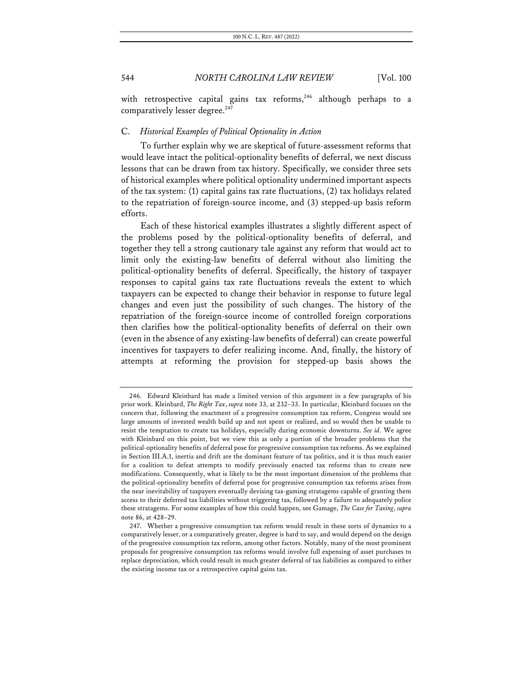with retrospective capital gains tax reforms,<sup>246</sup> although perhaps to a comparatively lesser degree.<sup>247</sup>

### C. *Historical Examples of Political Optionality in Action*

To further explain why we are skeptical of future-assessment reforms that would leave intact the political-optionality benefits of deferral, we next discuss lessons that can be drawn from tax history. Specifically, we consider three sets of historical examples where political optionality undermined important aspects of the tax system: (1) capital gains tax rate fluctuations, (2) tax holidays related to the repatriation of foreign-source income, and (3) stepped-up basis reform efforts.

Each of these historical examples illustrates a slightly different aspect of the problems posed by the political-optionality benefits of deferral, and together they tell a strong cautionary tale against any reform that would act to limit only the existing-law benefits of deferral without also limiting the political-optionality benefits of deferral. Specifically, the history of taxpayer responses to capital gains tax rate fluctuations reveals the extent to which taxpayers can be expected to change their behavior in response to future legal changes and even just the possibility of such changes. The history of the repatriation of the foreign-source income of controlled foreign corporations then clarifies how the political-optionality benefits of deferral on their own (even in the absence of any existing-law benefits of deferral) can create powerful incentives for taxpayers to defer realizing income. And, finally, the history of attempts at reforming the provision for stepped-up basis shows the

<sup>246.</sup> Edward Kleinbard has made a limited version of this argument in a few paragraphs of his prior work. Kleinbard, *The Right Tax*, *supra* note 33, at 232–33. In particular, Kleinbard focuses on the concern that, following the enactment of a progressive consumption tax reform, Congress would see large amounts of invested wealth build up and not spent or realized, and so would then be unable to resist the temptation to create tax holidays, especially during economic downturns. *See id.* We agree with Kleinbard on this point, but we view this as only a portion of the broader problems that the political-optionality benefits of deferral pose for progressive consumption tax reforms. As we explained in Section III.A.1, inertia and drift are the dominant feature of tax politics, and it is thus much easier for a coalition to defeat attempts to modify previously enacted tax reforms than to create new modifications. Consequently, what is likely to be the most important dimension of the problems that the political-optionality benefits of deferral pose for progressive consumption tax reforms arises from the near inevitability of taxpayers eventually devising tax-gaming stratagems capable of granting them access to their deferred tax liabilities without triggering tax, followed by a failure to adequately police these stratagems. For some examples of how this could happen, see Gamage, *The Case for Taxing*, *supra* note 86, at 428–29.

<sup>247.</sup> Whether a progressive consumption tax reform would result in these sorts of dynamics to a comparatively lesser, or a comparatively greater, degree is hard to say, and would depend on the design of the progressive consumption tax reform, among other factors. Notably, many of the most prominent proposals for progressive consumption tax reforms would involve full expensing of asset purchases to replace depreciation, which could result in much greater deferral of tax liabilities as compared to either the existing income tax or a retrospective capital gains tax.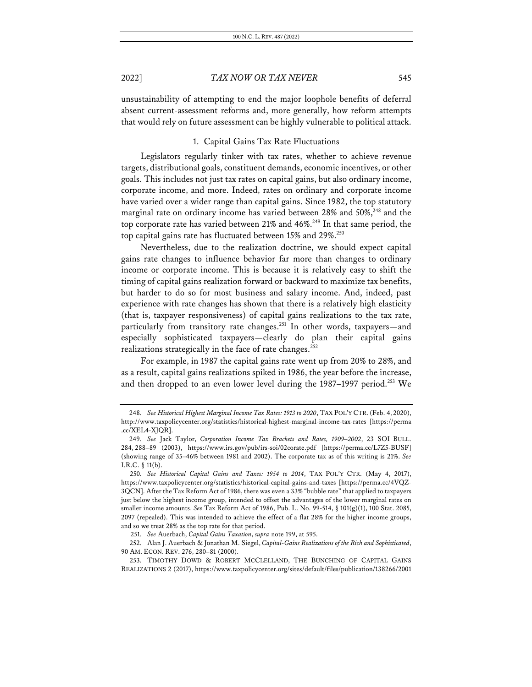unsustainability of attempting to end the major loophole benefits of deferral absent current-assessment reforms and, more generally, how reform attempts that would rely on future assessment can be highly vulnerable to political attack.

### 1. Capital Gains Tax Rate Fluctuations

Legislators regularly tinker with tax rates, whether to achieve revenue targets, distributional goals, constituent demands, economic incentives, or other goals. This includes not just tax rates on capital gains, but also ordinary income, corporate income, and more. Indeed, rates on ordinary and corporate income have varied over a wider range than capital gains. Since 1982, the top statutory marginal rate on ordinary income has varied between 28% and 50%, $^{248}$  and the top corporate rate has varied between 21% and 46%.<sup>249</sup> In that same period, the top capital gains rate has fluctuated between 15% and 29%.<sup>250</sup>

Nevertheless, due to the realization doctrine, we should expect capital gains rate changes to influence behavior far more than changes to ordinary income or corporate income. This is because it is relatively easy to shift the timing of capital gains realization forward or backward to maximize tax benefits, but harder to do so for most business and salary income. And, indeed, past experience with rate changes has shown that there is a relatively high elasticity (that is, taxpayer responsiveness) of capital gains realizations to the tax rate, particularly from transitory rate changes.<sup>251</sup> In other words, taxpayers—and especially sophisticated taxpayers—clearly do plan their capital gains realizations strategically in the face of rate changes.<sup>252</sup>

For example, in 1987 the capital gains rate went up from 20% to 28%, and as a result, capital gains realizations spiked in 1986, the year before the increase, and then dropped to an even lower level during the 1987–1997 period.<sup>253</sup> We

<sup>248.</sup> *See Historical Highest Marginal Income Tax Rates: 1913 to 2020*, TAX POL'Y CTR. (Feb. 4, 2020), http://www.taxpolicycenter.org/statistics/historical-highest-marginal-income-tax-rates [https://perma .cc/XEL4-XJQR].

<sup>249.</sup> *See* Jack Taylor, *Corporation Income Tax Brackets and Rates, 1909–2002*, 23 SOI BULL. 284, 288–89 (2003), https://www.irs.gov/pub/irs-soi/02corate.pdf [https://perma.cc/L7Z5-BUSF] (showing range of 35–46% between 1981 and 2002). The corporate tax as of this writing is 21%. *See* I.R.C. § 11(b).

<sup>250.</sup> *See Historical Capital Gains and Taxes: 1954 to 2014*, TAX POL'Y CTR. (May 4, 2017), https://www.taxpolicycenter.org/statistics/historical-capital-gains-and-taxes [https://perma.cc/4VQZ-3QCN]. After the Tax Reform Act of 1986, there was even a 33% "bubble rate" that applied to taxpayers just below the highest income group, intended to offset the advantages of the lower marginal rates on smaller income amounts. *See* Tax Reform Act of 1986, Pub. L. No. 99-514, § 101(g)(1), 100 Stat. 2085, 2097 (repealed). This was intended to achieve the effect of a flat 28% for the higher income groups, and so we treat 28% as the top rate for that period.

<sup>251.</sup> *See* Auerbach, *Capital Gains Taxation*, *supra* note 199, at 595.

<sup>252.</sup> Alan J. Auerbach & Jonathan M. Siegel, *Capital-Gains Realizations of the Rich and Sophisticated*, 90 AM. ECON. REV. 276, 280–81 (2000).

<sup>253.</sup> TIMOTHY DOWD & ROBERT MCCLELLAND, THE BUNCHING OF CAPITAL GAINS REALIZATIONS 2 (2017), https://www.taxpolicycenter.org/sites/default/files/publication/138266/2001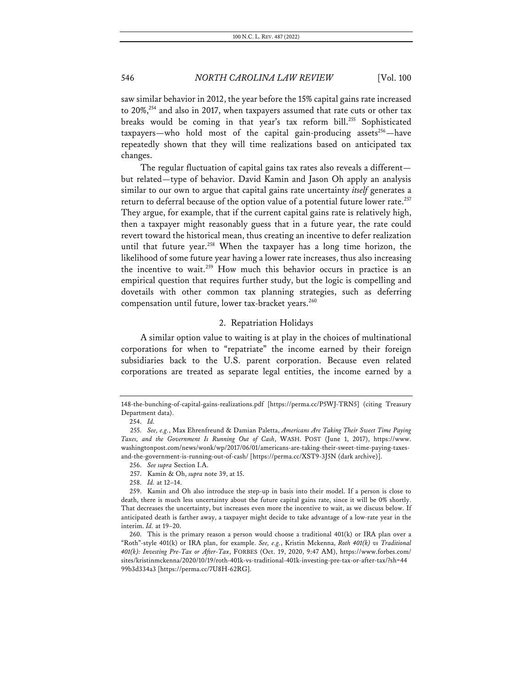saw similar behavior in 2012, the year before the 15% capital gains rate increased to 20%,<sup>254</sup> and also in 2017, when taxpayers assumed that rate cuts or other tax breaks would be coming in that year's tax reform bill.<sup>255</sup> Sophisticated taxpayers—who hold most of the capital gain-producing assets<sup>256</sup>—have repeatedly shown that they will time realizations based on anticipated tax changes.

The regular fluctuation of capital gains tax rates also reveals a different but related—type of behavior. David Kamin and Jason Oh apply an analysis similar to our own to argue that capital gains rate uncertainty *itself* generates a return to deferral because of the option value of a potential future lower rate.<sup>257</sup> They argue, for example, that if the current capital gains rate is relatively high, then a taxpayer might reasonably guess that in a future year, the rate could revert toward the historical mean, thus creating an incentive to defer realization until that future year.<sup>258</sup> When the taxpayer has a long time horizon, the likelihood of some future year having a lower rate increases, thus also increasing the incentive to wait.<sup>259</sup> How much this behavior occurs in practice is an empirical question that requires further study, but the logic is compelling and dovetails with other common tax planning strategies, such as deferring compensation until future, lower tax-bracket years.<sup>260</sup>

### 2. Repatriation Holidays

A similar option value to waiting is at play in the choices of multinational corporations for when to "repatriate" the income earned by their foreign subsidiaries back to the U.S. parent corporation. Because even related corporations are treated as separate legal entities, the income earned by a

<sup>148-</sup>the-bunching-of-capital-gains-realizations.pdf [https://perma.cc/P5WJ-TRN5] (citing Treasury Department data).

<sup>254.</sup> *Id.*

<sup>255.</sup> *See, e.g.*, Max Ehrenfreund & Damian Paletta, *Americans Are Taking Their Sweet Time Paying Taxes, and the Government Is Running Out of Cash*, WASH. POST (June 1, 2017), https://www. washingtonpost.com/news/wonk/wp/2017/06/01/americans-are-taking-their-sweet-time-paying-taxesand-the-government-is-running-out-of-cash/ [https://perma.cc/XST9-3J5N (dark archive)].

<sup>256.</sup> *See supra* Section I.A.

<sup>257.</sup> Kamin & Oh, *supra* note 39, at 15.

<sup>258.</sup> *Id.* at 12–14.

<sup>259.</sup> Kamin and Oh also introduce the step-up in basis into their model. If a person is close to death, there is much less uncertainty about the future capital gains rate, since it will be 0% shortly. That decreases the uncertainty, but increases even more the incentive to wait, as we discuss below. If anticipated death is farther away, a taxpayer might decide to take advantage of a low-rate year in the interim. *Id.* at 19–20.

<sup>260.</sup> This is the primary reason a person would choose a traditional 401(k) or IRA plan over a "Roth"-style 401(k) or IRA plan, for example. *See, e.g.*, Kristin Mckenna, *Roth 401(k) vs Traditional 401(k): Investing Pre-Tax or After-Tax*, FORBES (Oct. 19, 2020, 9:47 AM), https://www.forbes.com/ sites/kristinmckenna/2020/10/19/roth-401k-vs-traditional-401k-investing-pre-tax-or-after-tax/?sh=44 99b3d334a3 [https://perma.cc/7U8H-62RG].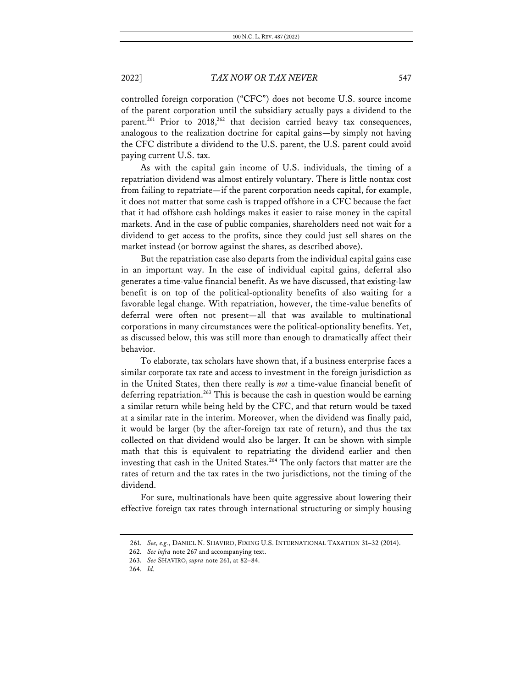controlled foreign corporation ("CFC") does not become U.S. source income of the parent corporation until the subsidiary actually pays a dividend to the parent.<sup>261</sup> Prior to 2018,<sup>262</sup> that decision carried heavy tax consequences, analogous to the realization doctrine for capital gains—by simply not having the CFC distribute a dividend to the U.S. parent, the U.S. parent could avoid paying current U.S. tax.

As with the capital gain income of U.S. individuals, the timing of a repatriation dividend was almost entirely voluntary. There is little nontax cost from failing to repatriate—if the parent corporation needs capital, for example, it does not matter that some cash is trapped offshore in a CFC because the fact that it had offshore cash holdings makes it easier to raise money in the capital markets. And in the case of public companies, shareholders need not wait for a dividend to get access to the profits, since they could just sell shares on the market instead (or borrow against the shares, as described above).

But the repatriation case also departs from the individual capital gains case in an important way. In the case of individual capital gains, deferral also generates a time-value financial benefit. As we have discussed, that existing-law benefit is on top of the political-optionality benefits of also waiting for a favorable legal change. With repatriation, however, the time-value benefits of deferral were often not present—all that was available to multinational corporations in many circumstances were the political-optionality benefits. Yet, as discussed below, this was still more than enough to dramatically affect their behavior.

To elaborate, tax scholars have shown that, if a business enterprise faces a similar corporate tax rate and access to investment in the foreign jurisdiction as in the United States, then there really is *not* a time-value financial benefit of deferring repatriation.<sup>263</sup> This is because the cash in question would be earning a similar return while being held by the CFC, and that return would be taxed at a similar rate in the interim. Moreover, when the dividend was finally paid, it would be larger (by the after-foreign tax rate of return), and thus the tax collected on that dividend would also be larger. It can be shown with simple math that this is equivalent to repatriating the dividend earlier and then investing that cash in the United States. <sup>264</sup> The only factors that matter are the rates of return and the tax rates in the two jurisdictions, not the timing of the dividend.

For sure, multinationals have been quite aggressive about lowering their effective foreign tax rates through international structuring or simply housing

<sup>261.</sup> *See, e.g.*, DANIEL N. SHAVIRO, FIXING U.S. INTERNATIONAL TAXATION 31–32 (2014).

<sup>262.</sup> *See infra* note 267 and accompanying text.

<sup>263.</sup> *See* SHAVIRO, *supra* note 261, at 82–84.

<sup>264.</sup> *Id.*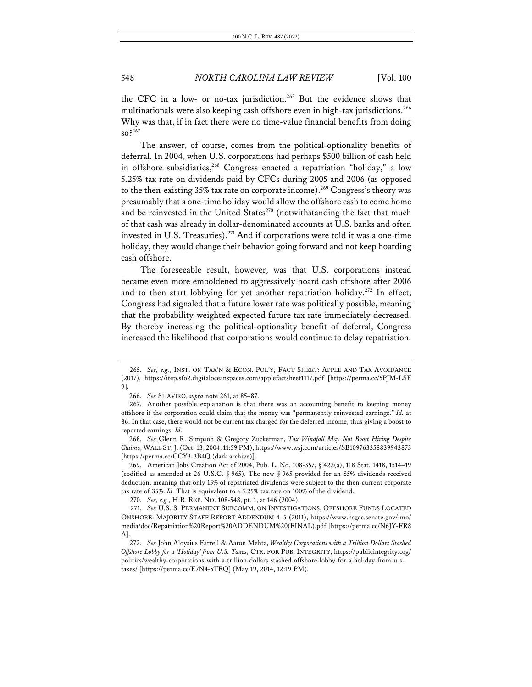the CFC in a low- or no-tax jurisdiction.<sup>265</sup> But the evidence shows that multinationals were also keeping cash offshore even in high-tax jurisdictions.<sup>266</sup> Why was that, if in fact there were no time-value financial benefits from doing so?267

The answer, of course, comes from the political-optionality benefits of deferral. In 2004, when U.S. corporations had perhaps \$500 billion of cash held in offshore subsidiaries,<sup>268</sup> Congress enacted a repatriation "holiday," a low 5.25% tax rate on dividends paid by CFCs during 2005 and 2006 (as opposed to the then-existing 35% tax rate on corporate income).<sup>269</sup> Congress's theory was presumably that a one-time holiday would allow the offshore cash to come home and be reinvested in the United States $270$  (notwithstanding the fact that much of that cash was already in dollar-denominated accounts at U.S. banks and often invested in U.S. Treasuries).<sup>271</sup> And if corporations were told it was a one-time holiday, they would change their behavior going forward and not keep hoarding cash offshore.

The foreseeable result, however, was that U.S. corporations instead became even more emboldened to aggressively hoard cash offshore after 2006 and to then start lobbying for yet another repatriation holiday.<sup>272</sup> In effect, Congress had signaled that a future lower rate was politically possible, meaning that the probability-weighted expected future tax rate immediately decreased. By thereby increasing the political-optionality benefit of deferral, Congress increased the likelihood that corporations would continue to delay repatriation.

<sup>265.</sup> *See, e.g.*, INST. ON TAX'N & ECON. POL'Y, FACT SHEET: APPLE AND TAX AVOIDANCE (2017), https://itep.sfo2.digitaloceanspaces.com/applefactsheet1117.pdf [https://perma.cc/5PJM-LSF 9].

<sup>266.</sup> *See* SHAVIRO, *supra* note 261, at 85–87.

<sup>267.</sup> Another possible explanation is that there was an accounting benefit to keeping money offshore if the corporation could claim that the money was "permanently reinvested earnings." *Id.* at 86. In that case, there would not be current tax charged for the deferred income, thus giving a boost to reported earnings. *Id.*

<sup>268.</sup> *See* Glenn R. Simpson & Gregory Zuckerman, *Tax Windfall May Not Boost Hiring Despite Claim*s, WALL ST.J. (Oct. 13, 2004, 11:59 PM), https://www.wsj.com/articles/SB109763358839943873 [https://perma.cc/CCY3-3B4Q (dark archive)].

<sup>269.</sup> American Jobs Creation Act of 2004, Pub. L. No. 108-357, § 422(a), 118 Stat. 1418, 1514–19 (codified as amended at 26 U.S.C. § 965). The new § 965 provided for an 85% dividends-received deduction, meaning that only 15% of repatriated dividends were subject to the then-current corporate tax rate of 35%. *Id.* That is equivalent to a 5.25% tax rate on 100% of the dividend.

<sup>270.</sup> *See, e.g.*, H.R. REP. NO. 108-548, pt. 1, at 146 (2004).

<sup>271.</sup> *See* U.S. S. PERMANENT SUBCOMM. ON INVESTIGATIONS, OFFSHORE FUNDS LOCATED ONSHORE: MAJORITY STAFF REPORT ADDENDUM 4–5 (2011), https://www.hsgac.senate.gov/imo/ media/doc/Repatriation%20Report%20ADDENDUM%20(FINAL).pdf [https://perma.cc/N6JY-FR8 A].

<sup>272.</sup> *See* John Aloysius Farrell & Aaron Mehta, *Wealthy Corporations with a Trillion Dollars Stashed Offshore Lobby for a 'Holiday' from U.S. Taxes*, CTR. FOR PUB. INTEGRITY, https://publicintegrity.org/ politics/wealthy-corporations-with-a-trillion-dollars-stashed-offshore-lobby-for-a-holiday-from-u-staxes/ [https://perma.cc/E7N4-5TEQ] (May 19, 2014, 12:19 PM).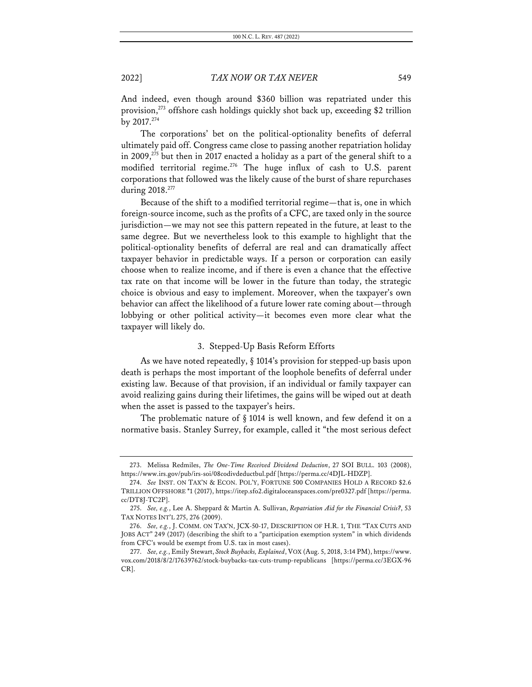And indeed, even though around \$360 billion was repatriated under this provision,273 offshore cash holdings quickly shot back up, exceeding \$2 trillion by  $2017.<sup>274</sup>$ 

The corporations' bet on the political-optionality benefits of deferral ultimately paid off. Congress came close to passing another repatriation holiday in 2009, $^{275}$  but then in 2017 enacted a holiday as a part of the general shift to a modified territorial regime.<sup>276</sup> The huge influx of cash to U.S. parent corporations that followed was the likely cause of the burst of share repurchases during 2018.<sup>277</sup>

Because of the shift to a modified territorial regime—that is, one in which foreign-source income, such as the profits of a CFC, are taxed only in the source jurisdiction—we may not see this pattern repeated in the future, at least to the same degree. But we nevertheless look to this example to highlight that the political-optionality benefits of deferral are real and can dramatically affect taxpayer behavior in predictable ways. If a person or corporation can easily choose when to realize income, and if there is even a chance that the effective tax rate on that income will be lower in the future than today, the strategic choice is obvious and easy to implement. Moreover, when the taxpayer's own behavior can affect the likelihood of a future lower rate coming about—through lobbying or other political activity—it becomes even more clear what the taxpayer will likely do.

### 3. Stepped-Up Basis Reform Efforts

As we have noted repeatedly, § 1014's provision for stepped-up basis upon death is perhaps the most important of the loophole benefits of deferral under existing law. Because of that provision, if an individual or family taxpayer can avoid realizing gains during their lifetimes, the gains will be wiped out at death when the asset is passed to the taxpayer's heirs.

The problematic nature of § 1014 is well known, and few defend it on a normative basis. Stanley Surrey, for example, called it "the most serious defect

<sup>273.</sup> Melissa Redmiles, *The One-Time Received Dividend Deduction*, 27 SOI BULL. 103 (2008), https://www.irs.gov/pub/irs-soi/08codivdeductbul.pdf [https://perma.cc/4DJL-HDZP].

<sup>274.</sup> *See* INST. ON TAX'N & ECON. POL'Y, FORTUNE 500 COMPANIES HOLD A RECORD \$2.6 TRILLION OFFSHORE \*1 (2017), https://itep.sfo2.digitaloceanspaces.com/pre0327.pdf [https://perma. cc/DT8J-TC2P].

<sup>275.</sup> *See, e.g.*, Lee A. Sheppard & Martin A. Sullivan, *Repatriation Aid for the Financial Crisis?*, 53 TAX NOTES INT'L 275, 276 (2009).

<sup>276.</sup> *See, e.g.*, J. COMM. ON TAX'N, JCX-50-17, DESCRIPTION OF H.R. 1, THE "TAX CUTS AND JOBS ACT" 249 (2017) (describing the shift to a "participation exemption system" in which dividends from CFC's would be exempt from U.S. tax in most cases).

<sup>277.</sup> *See, e.g.*, Emily Stewart, *Stock Buybacks, Explained*, VOX (Aug. 5, 2018, 3:14 PM), https://www. vox.com/2018/8/2/17639762/stock-buybacks-tax-cuts-trump-republicans [https://perma.cc/3EGX-96 CR].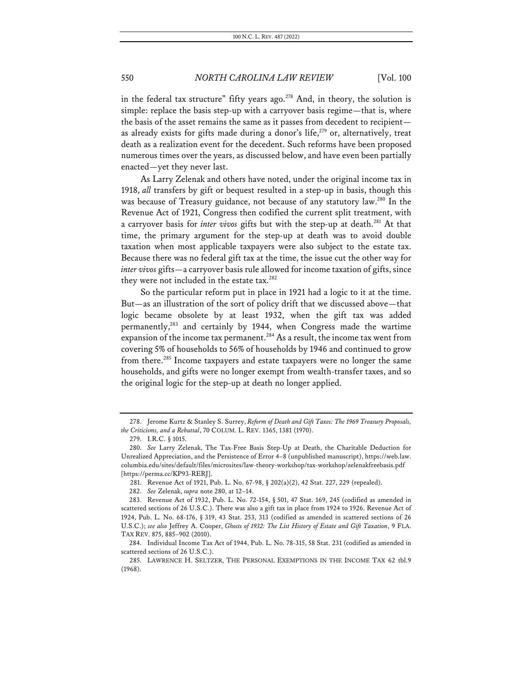in the federal tax structure" fifty years ago.<sup>278</sup> And, in theory, the solution is simple: replace the basis step-up with a carryover basis regime—that is, where the basis of the asset remains the same as it passes from decedent to recipient as already exists for gifts made during a donor's life,<sup>279</sup> or, alternatively, treat death as a realization event for the decedent. Such reforms have been proposed numerous times over the years, as discussed below, and have even been partially enacted—yet they never last.

As Larry Zelenak and others have noted, under the original income tax in 1918, *all* transfers by gift or bequest resulted in a step-up in basis, though this was because of Treasury guidance, not because of any statutory law.<sup>280</sup> In the Revenue Act of 1921, Congress then codified the current split treatment, with a carryover basis for *inter vivos* gifts but with the step-up at death.<sup>281</sup> At that time, the primary argument for the step-up at death was to avoid double taxation when most applicable taxpayers were also subject to the estate tax. Because there was no federal gift tax at the time, the issue cut the other way for *inter vivos* gifts—a carryover basis rule allowed for income taxation of gifts, since they were not included in the estate tax.<sup>282</sup>

So the particular reform put in place in 1921 had a logic to it at the time. But—as an illustration of the sort of policy drift that we discussed above—that logic became obsolete by at least 1932, when the gift tax was added permanently,283 and certainly by 1944, when Congress made the wartime expansion of the income tax permanent.<sup>284</sup> As a result, the income tax went from covering 5% of households to 56% of households by 1946 and continued to grow from there.<sup>285</sup> Income taxpayers and estate taxpayers were no longer the same households, and gifts were no longer exempt from wealth-transfer taxes, and so the original logic for the step-up at death no longer applied.

<sup>278.</sup> Jerome Kurtz & Stanley S. Surrey, *Reform of Death and Gift Taxes: The 1969 Treasury Proposals, the Criticisms, and a Rebuttal*, 70 COLUM. L. REV. 1365, 1381 (1970).

<sup>279.</sup> I.R.C. § 1015.

<sup>280.</sup> *See* Larry Zelenak, The Tax-Free Basis Step-Up at Death, the Charitable Deduction for Unrealized Appreciation, and the Persistence of Error 4–8 (unpublished manuscript), https://web.law. columbia.edu/sites/default/files/microsites/law-theory-workshop/tax-workshop/zelenakfreebasis.pdf [https://perma.cc/KP93-RERJ].

<sup>281.</sup> Revenue Act of 1921, Pub. L. No. 67-98, § 202(a)(2), 42 Stat. 227, 229 (repealed).

<sup>282.</sup> *See* Zelenak, *supra* note 280, at 12–14.

<sup>283.</sup> Revenue Act of 1932, Pub. L. No. 72-154, § 501, 47 Stat. 169, 245 (codified as amended in scattered sections of 26 U.S.C.). There was also a gift tax in place from 1924 to 1926. Revenue Act of 1924, Pub. L. No. 68-176, § 319, 43 Stat. 253, 313 (codified as amended in scattered sections of 26 U.S.C.); *see also* Jeffrey A. Cooper, *Ghosts of 1932: The List History of Estate and Gift Taxation*, 9 FLA. TAX REV. 875, 885–902 (2010).

<sup>284.</sup> Individual Income Tax Act of 1944, Pub. L. No. 78-315, 58 Stat. 231 (codified as amended in scattered sections of 26 U.S.C.).

<sup>285.</sup> LAWRENCE H. SELTZER, THE PERSONAL EXEMPTIONS IN THE INCOME TAX 62 tbl.9 (1968).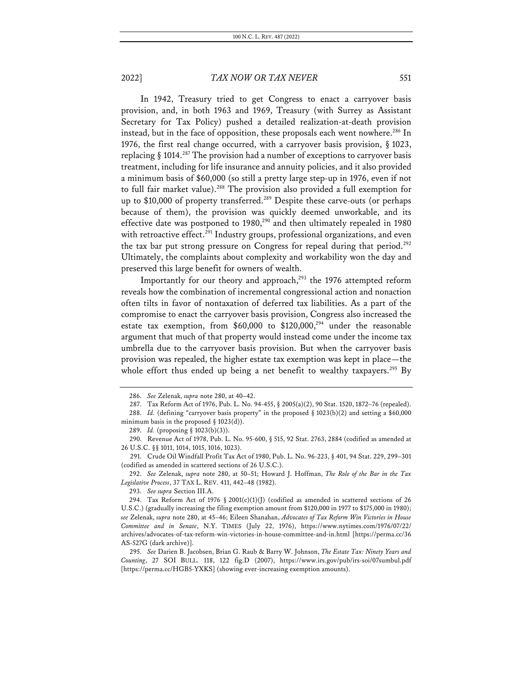In 1942, Treasury tried to get Congress to enact a carryover basis provision, and, in both 1963 and 1969, Treasury (with Surrey as Assistant Secretary for Tax Policy) pushed a detailed realization-at-death provision instead, but in the face of opposition, these proposals each went nowhere.<sup>286</sup> In 1976, the first real change occurred, with a carryover basis provision, § 1023, replacing  $\S$  1014.<sup>287</sup> The provision had a number of exceptions to carryover basis treatment, including for life insurance and annuity policies, and it also provided a minimum basis of \$60,000 (so still a pretty large step-up in 1976, even if not to full fair market value).<sup>288</sup> The provision also provided a full exemption for up to \$10,000 of property transferred.<sup>289</sup> Despite these carve-outs (or perhaps because of them), the provision was quickly deemed unworkable, and its effective date was postponed to 1980,<sup>290</sup> and then ultimately repealed in 1980 with retroactive effect.<sup>291</sup> Industry groups, professional organizations, and even the tax bar put strong pressure on Congress for repeal during that period.<sup>292</sup> Ultimately, the complaints about complexity and workability won the day and preserved this large benefit for owners of wealth.

Importantly for our theory and approach,<sup>293</sup> the 1976 attempted reform reveals how the combination of incremental congressional action and nonaction often tilts in favor of nontaxation of deferred tax liabilities. As a part of the compromise to enact the carryover basis provision, Congress also increased the estate tax exemption, from  $$60,000$  to  $$120,000,^{294}$  under the reasonable argument that much of that property would instead come under the income tax umbrella due to the carryover basis provision. But when the carryover basis provision was repealed, the higher estate tax exemption was kept in place—the whole effort thus ended up being a net benefit to wealthy taxpayers.<sup>295</sup> By

289. *Id.* (proposing § 1023(b)(3)).

290. Revenue Act of 1978, Pub. L. No. 95-600, § 515, 92 Stat. 2763, 2884 (codified as amended at 26 U.S.C. §§ 1011, 1014, 1015, 1016, 1023).

291. Crude Oil Windfall Profit Tax Act of 1980, Pub. L. No. 96-223, § 401, 94 Stat. 229, 299–301 (codified as amended in scattered sections of 26 U.S.C.).

292. *See* Zelenak, *supra* note 280, at 50–51; Howard J. Hoffman, *The Role of the Bar in the Tax Legislative Process*, 37 TAX L. REV. 411, 442–48 (1982).

293. *See supra* Section III.A.

<sup>286.</sup> *See* Zelenak, *supra* note 280, at 40–42.

<sup>287.</sup> Tax Reform Act of 1976, Pub. L. No. 94-455, § 2005(a)(2), 90 Stat. 1520, 1872–76 (repealed).

<sup>288.</sup> *Id.* (defining "carryover basis property" in the proposed § 1023(b)(2) and setting a \$60,000 minimum basis in the proposed  $\S$  1023(d)).

<sup>294.</sup> Tax Reform Act of 1976 § 2001(c)(1)(J) (codified as amended in scattered sections of 26 U.S.C.) (gradually increasing the filing exemption amount from \$120,000 in 1977 to \$175,000 in 1980); *see* Zelenak, *supra* note 280, at 45–46; Eileen Shanahan, *Advocates of Tax Reform Win Victories in House Committee and in Senate*, N.Y. TIMES (July 22, 1976), https://www.nytimes.com/1976/07/22/ archives/advocates-of-tax-reform-win-victories-in-house-committee-and-in.html [https://perma.cc/36 AS-527G (dark archive)].

<sup>295.</sup> *See* Darien B. Jacobsen, Brian G. Raub & Barry W. Johnson, *The Estate Tax: Ninety Years and Counting*, 27 SOI BULL. 118, 122 fig.D (2007), https://www.irs.gov/pub/irs-soi/07sumbul.pdf [https://perma.cc/HGB5-YXKS] (showing ever-increasing exemption amounts).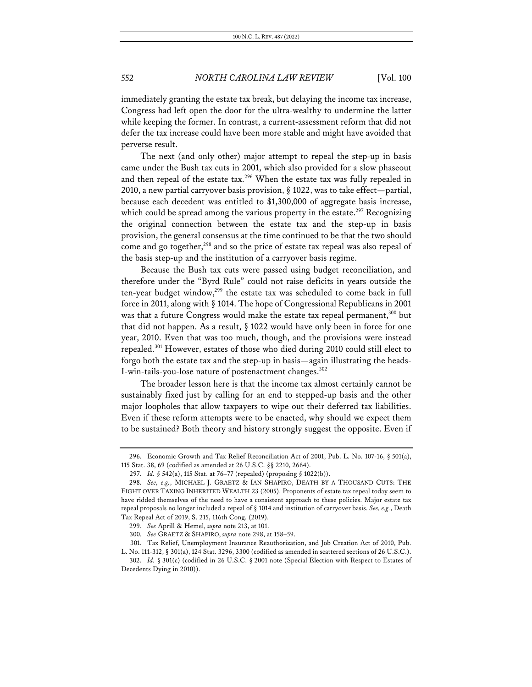immediately granting the estate tax break, but delaying the income tax increase, Congress had left open the door for the ultra-wealthy to undermine the latter while keeping the former. In contrast, a current-assessment reform that did not defer the tax increase could have been more stable and might have avoided that perverse result.

The next (and only other) major attempt to repeal the step-up in basis came under the Bush tax cuts in 2001, which also provided for a slow phaseout and then repeal of the estate tax.<sup>296</sup> When the estate tax was fully repealed in 2010, a new partial carryover basis provision, § 1022, was to take effect—partial, because each decedent was entitled to \$1,300,000 of aggregate basis increase, which could be spread among the various property in the estate.<sup>297</sup> Recognizing the original connection between the estate tax and the step-up in basis provision, the general consensus at the time continued to be that the two should come and go together,<sup>298</sup> and so the price of estate tax repeal was also repeal of the basis step-up and the institution of a carryover basis regime.

Because the Bush tax cuts were passed using budget reconciliation, and therefore under the "Byrd Rule" could not raise deficits in years outside the ten-year budget window,<sup>299</sup> the estate tax was scheduled to come back in full force in 2011, along with § 1014. The hope of Congressional Republicans in 2001 was that a future Congress would make the estate tax repeal permanent,<sup>300</sup> but that did not happen. As a result, § 1022 would have only been in force for one year, 2010. Even that was too much, though, and the provisions were instead repealed.301 However, estates of those who died during 2010 could still elect to forgo both the estate tax and the step-up in basis—again illustrating the heads-I-win-tails-you-lose nature of postenactment changes.<sup>302</sup>

The broader lesson here is that the income tax almost certainly cannot be sustainably fixed just by calling for an end to stepped-up basis and the other major loopholes that allow taxpayers to wipe out their deferred tax liabilities. Even if these reform attempts were to be enacted, why should we expect them to be sustained? Both theory and history strongly suggest the opposite. Even if

<sup>296.</sup> Economic Growth and Tax Relief Reconciliation Act of 2001, Pub. L. No. 107-16, § 501(a), 115 Stat. 38, 69 (codified as amended at 26 U.S.C. §§ 2210, 2664).

<sup>297.</sup> *Id.* § 542(a), 115 Stat. at 76–77 (repealed) (proposing § 1022(b)).

<sup>298.</sup> *See, e.g.*, MICHAEL J. GRAETZ & IAN SHAPIRO, DEATH BY A THOUSAND CUTS: THE FIGHT OVER TAXING INHERITED WEALTH 23 (2005). Proponents of estate tax repeal today seem to have ridded themselves of the need to have a consistent approach to these policies. Major estate tax repeal proposals no longer included a repeal of § 1014 and institution of carryover basis. *See, e.g.*, Death Tax Repeal Act of 2019, S. 215, 116th Cong. (2019).

<sup>299.</sup> *See* Aprill & Hemel, *supra* note 213, at 101.

<sup>300.</sup> *See* GRAETZ & SHAPIRO, *supra* note 298, at 158–59.

<sup>301.</sup> Tax Relief, Unemployment Insurance Reauthorization, and Job Creation Act of 2010, Pub. L. No. 111-312, § 301(a), 124 Stat. 3296, 3300 (codified as amended in scattered sections of 26 U.S.C.).

<sup>302.</sup> *Id.* § 301(c) (codified in 26 U.S.C. § 2001 note (Special Election with Respect to Estates of Decedents Dying in 2010)).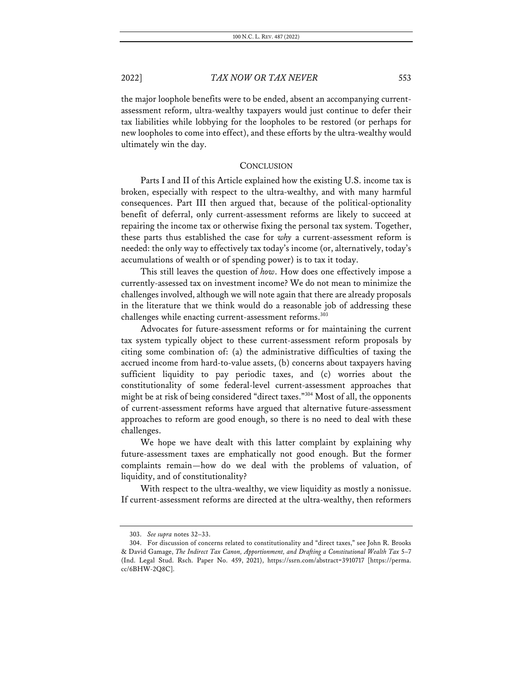the major loophole benefits were to be ended, absent an accompanying currentassessment reform, ultra-wealthy taxpayers would just continue to defer their tax liabilities while lobbying for the loopholes to be restored (or perhaps for new loopholes to come into effect), and these efforts by the ultra-wealthy would ultimately win the day.

### **CONCLUSION**

Parts I and II of this Article explained how the existing U.S. income tax is broken, especially with respect to the ultra-wealthy, and with many harmful consequences. Part III then argued that, because of the political-optionality benefit of deferral, only current-assessment reforms are likely to succeed at repairing the income tax or otherwise fixing the personal tax system. Together, these parts thus established the case for *why* a current-assessment reform is needed: the only way to effectively tax today's income (or, alternatively, today's accumulations of wealth or of spending power) is to tax it today.

This still leaves the question of *how*. How does one effectively impose a currently-assessed tax on investment income? We do not mean to minimize the challenges involved, although we will note again that there are already proposals in the literature that we think would do a reasonable job of addressing these challenges while enacting current-assessment reforms.<sup>303</sup>

Advocates for future-assessment reforms or for maintaining the current tax system typically object to these current-assessment reform proposals by citing some combination of: (a) the administrative difficulties of taxing the accrued income from hard-to-value assets, (b) concerns about taxpayers having sufficient liquidity to pay periodic taxes, and (c) worries about the constitutionality of some federal-level current-assessment approaches that might be at risk of being considered "direct taxes."304 Most of all, the opponents of current-assessment reforms have argued that alternative future-assessment approaches to reform are good enough, so there is no need to deal with these challenges.

We hope we have dealt with this latter complaint by explaining why future-assessment taxes are emphatically not good enough. But the former complaints remain—how do we deal with the problems of valuation, of liquidity, and of constitutionality?

With respect to the ultra-wealthy, we view liquidity as mostly a nonissue. If current-assessment reforms are directed at the ultra-wealthy, then reformers

<sup>303.</sup> *See supra* notes 32–33.

<sup>304.</sup> For discussion of concerns related to constitutionality and "direct taxes," see John R. Brooks & David Gamage, *The Indirect Tax Canon, Apportionment, and Drafting a Constitutional Wealth Tax* 5–7 (Ind. Legal Stud. Rsch. Paper No. 459, 2021), https://ssrn.com/abstract=3910717 [https://perma. cc/6BHW-2Q8C].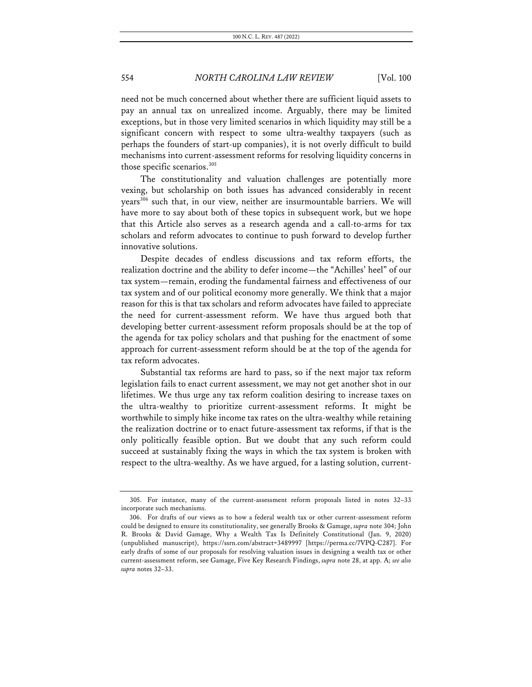need not be much concerned about whether there are sufficient liquid assets to pay an annual tax on unrealized income. Arguably, there may be limited exceptions, but in those very limited scenarios in which liquidity may still be a significant concern with respect to some ultra-wealthy taxpayers (such as perhaps the founders of start-up companies), it is not overly difficult to build mechanisms into current-assessment reforms for resolving liquidity concerns in those specific scenarios.<sup>305</sup>

The constitutionality and valuation challenges are potentially more vexing, but scholarship on both issues has advanced considerably in recent years306 such that, in our view, neither are insurmountable barriers. We will have more to say about both of these topics in subsequent work, but we hope that this Article also serves as a research agenda and a call-to-arms for tax scholars and reform advocates to continue to push forward to develop further innovative solutions.

Despite decades of endless discussions and tax reform efforts, the realization doctrine and the ability to defer income—the "Achilles' heel" of our tax system—remain, eroding the fundamental fairness and effectiveness of our tax system and of our political economy more generally. We think that a major reason for this is that tax scholars and reform advocates have failed to appreciate the need for current-assessment reform. We have thus argued both that developing better current-assessment reform proposals should be at the top of the agenda for tax policy scholars and that pushing for the enactment of some approach for current-assessment reform should be at the top of the agenda for tax reform advocates.

Substantial tax reforms are hard to pass, so if the next major tax reform legislation fails to enact current assessment, we may not get another shot in our lifetimes. We thus urge any tax reform coalition desiring to increase taxes on the ultra-wealthy to prioritize current-assessment reforms. It might be worthwhile to simply hike income tax rates on the ultra-wealthy while retaining the realization doctrine or to enact future-assessment tax reforms, if that is the only politically feasible option. But we doubt that any such reform could succeed at sustainably fixing the ways in which the tax system is broken with respect to the ultra-wealthy. As we have argued, for a lasting solution, current-

<sup>305.</sup> For instance, many of the current-assessment reform proposals listed in notes 32–33 incorporate such mechanisms.

<sup>306.</sup> For drafts of our views as to how a federal wealth tax or other current-assessment reform could be designed to ensure its constitutionality, see generally Brooks & Gamage, *supra* note 304; John R. Brooks & David Gamage, Why a Wealth Tax Is Definitely Constitutional (Jan. 9, 2020) (unpublished manuscript), https://ssrn.com/abstract=3489997 [https://perma.cc/7VPQ-C287]. For early drafts of some of our proposals for resolving valuation issues in designing a wealth tax or other current-assessment reform, see Gamage, Five Key Research Findings, *supra* note 28, at app. A; *see also supra* notes 32–33.